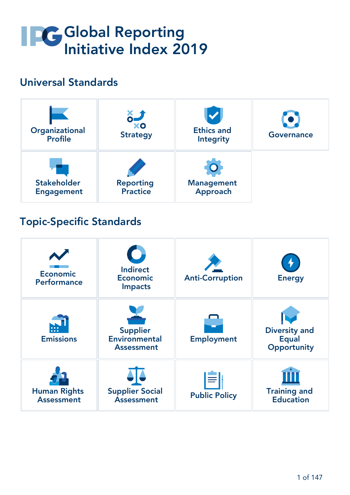# Global Reporting Initiative Index 2019

## Universal Standards



## Topic-Specific Standards

| <b>Economic</b><br><b>Performance</b>    | $\bigcup$<br><b>Indirect</b><br><b>Economic</b><br>Impacts   | <b>Anti-Corruption</b> | <b>Energy</b>                                       |
|------------------------------------------|--------------------------------------------------------------|------------------------|-----------------------------------------------------|
| <b>Emissions</b>                         | <b>Supplier</b><br><b>Environmental</b><br><b>Assessment</b> | <b>Employment</b>      | <b>Diversity and</b><br><b>Equal</b><br>Opportunity |
| <b>Human Rights</b><br><b>Assessment</b> | <b>Supplier Social</b><br><b>Assessment</b>                  | <b>Public Policy</b>   | <b>Training and</b><br><b>Education</b>             |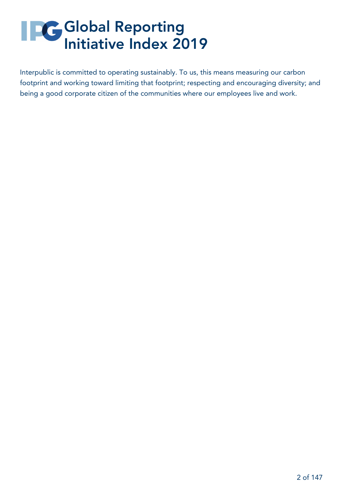# Global Reporting Initiative Index 2019

Interpublic is committed to operating sustainably. To us, this means measuring our carbon footprint and working toward limiting that footprint; respecting and encouraging diversity; and being a good corporate citizen of the communities where our employees live and work.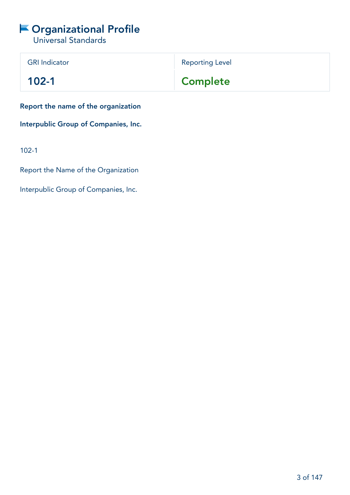## Organizational Profile

Universal Standards

| <b>GRI</b> Indicator | <b>Reporting Level</b> |
|----------------------|------------------------|
| $102 - 1$            | <b>Complete</b>        |

Report the name of the organization

Interpublic Group of Companies, Inc.

102-1

Report the Name of the Organization

Interpublic Group of Companies, Inc.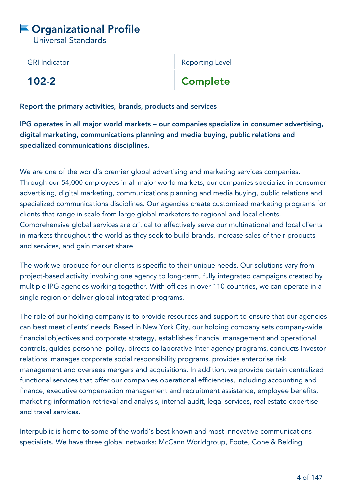## **Setter** Organizational Profile

Universal Standards

| <b>GRI</b> Indicator | <b>Reporting Level</b> |
|----------------------|------------------------|
| $102 - 2$            | Complete               |

Report the primary activities, brands, products and services

IPG operates in all major world markets – our companies specialize in consumer advertising, digital marketing, communications planning and media buying, public relations and specialized communications disciplines.

We are one of the world's premier global advertising and marketing services companies. Through our 54,000 employees in all major world markets, our companies specialize in consumer advertising, digital marketing, communications planning and media buying, public relations and specialized communications disciplines. Our agencies create customized marketing programs for clients that range in scale from large global marketers to regional and local clients. Comprehensive global services are critical to effectively serve our multinational and local clients in markets throughout the world as they seek to build brands, increase sales of their products and services, and gain market share.

The work we produce for our clients is specific to their unique needs. Our solutions vary from project-based activity involving one agency to long-term, fully integrated campaigns created by multiple IPG agencies working together. With offices in over 110 countries, we can operate in a single region or deliver global integrated programs.

The role of our holding company is to provide resources and support to ensure that our agencies can best meet clients' needs. Based in New York City, our holding company sets company-wide financial objectives and corporate strategy, establishes financial management and operational controls, guides personnel policy, directs collaborative inter-agency programs, conducts investor relations, manages corporate social responsibility programs, provides enterprise risk management and oversees mergers and acquisitions. In addition, we provide certain centralized functional services that offer our companies operational efficiencies, including accounting and finance, executive compensation management and recruitment assistance, employee benefits, marketing information retrieval and analysis, internal audit, legal services, real estate expertise and travel services.

Interpublic is home to some of the world's best-known and most innovative communications specialists. We have three global networks: McCann Worldgroup, Foote, Cone & Belding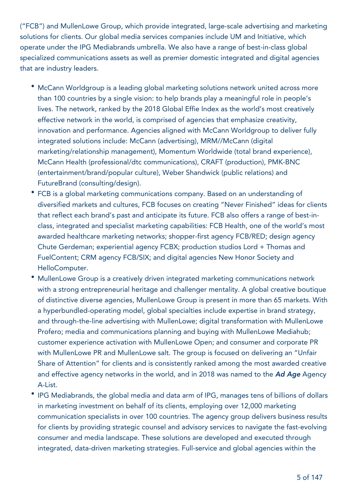("FCB") and MullenLowe Group, which provide integrated, large-scale advertising and marketing solutions for clients. Our global media services companies include UM and Initiative, which operate under the IPG Mediabrands umbrella. We also have a range of best-in-class global specialized communications assets as well as premier domestic integrated and digital agencies that are industry leaders.

- McCann Worldgroup is a leading global marketing solutions network united across more than 100 countries by a single vision: to help brands play a meaningful role in people's lives. The network, ranked by the 2018 Global Effie Index as the world's most creatively effective network in the world, is comprised of agencies that emphasize creativity, innovation and performance. Agencies aligned with McCann Worldgroup to deliver fully integrated solutions include: McCann (advertising), MRM//McCann (digital marketing/relationship management), Momentum Worldwide (total brand experience), McCann Health (professional/dtc communications), CRAFT (production), PMK-BNC (entertainment/brand/popular culture), Weber Shandwick (public relations) and FutureBrand (consulting/design).
- FCB is a global marketing communications company. Based on an understanding of diversified markets and cultures, FCB focuses on creating "Never Finished" ideas for clients that reflect each brand's past and anticipate its future. FCB also offers a range of best-inclass, integrated and specialist marketing capabilities: FCB Health, one of the world's most awarded healthcare marketing networks; shopper-first agency FCB/RED; design agency Chute Gerdeman; experiential agency FCBX; production studios Lord + Thomas and FuelContent; CRM agency FCB/SIX; and digital agencies New Honor Society and HelloComputer.
- MullenLowe Group is a creatively driven integrated marketing communications network with a strong entrepreneurial heritage and challenger mentality. A global creative boutique of distinctive diverse agencies, MullenLowe Group is present in more than 65 markets. With a hyperbundled-operating model, global specialties include expertise in brand strategy, and through-the-line advertising with MullenLowe; digital transformation with MullenLowe Profero; media and communications planning and buying with MullenLowe Mediahub; customer experience activation with MullenLowe Open; and consumer and corporate PR with MullenLowe PR and MullenLowe salt. The group is focused on delivering an "Unfair Share of Attention" for clients and is consistently ranked among the most awarded creative and effective agency networks in the world, and in 2018 was named to the *Ad Age* Agency A-List.
- IPG Mediabrands, the global media and data arm of IPG, manages tens of billions of dollars in marketing investment on behalf of its clients, employing over 12,000 marketing communication specialists in over 100 countries. The agency group delivers business results for clients by providing strategic counsel and advisory services to navigate the fast-evolving consumer and media landscape. These solutions are developed and executed through integrated, data-driven marketing strategies. Full-service and global agencies within the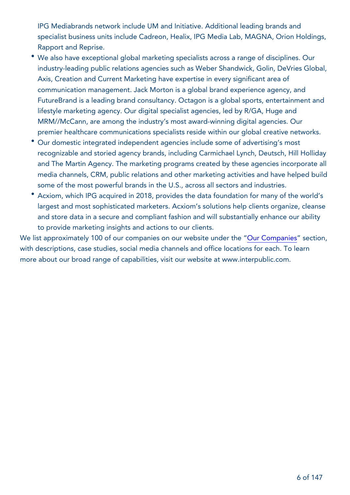IPG Mediabrands network include UM and Initiative. Additiona specialist business units include Cadreon, Healix, IPG Media Rapport and Reprise.

- We also have exceptional global marketing specialists across industry-leading public relations agencies such as Weber Sha Axis, Creation and Current Marketing have expertise in every communication management. Jack Morton is a global brand ex FutureBrand is a leading brand consultancy. Octagon is a glob lifestyle marketing agency. Our digital specialist agencies, le MRM//McCann, are among the industry s most award-winning digital agency. premier healthcare communications specialists reside within c
- <sup>o</sup> Our domestic integrated independent agencies include some o recognizable and storied agency brands, including Carmichael and The Martin Agency. The marketing programs created by the media channels, CRM, public relations and other marketing activities and have helped build build build build b some of the most powerful brands in the  $U.S.,$  across all sectors
- Acxiom, which IPG acquired in 2018, provides the data founda largest and most sophisticated marketers. Acxiom s solutions and store data in a secure and compliant fashion and will sub to provide marketing insights and actions to our clients.

We list approximately 100 of our companies old unould owner basing the companies of the companies of the section with descriptions, case studies, social media channels and office more about our broad range of capabilities, visit our website at w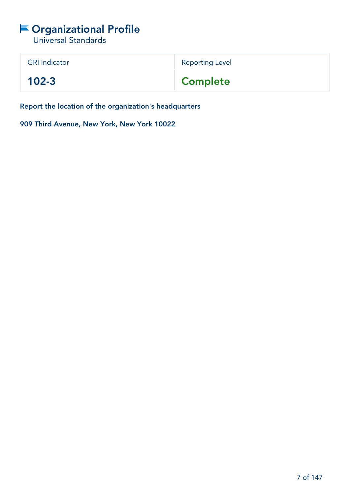## Organizational Profile

Universal Standards

| <b>GRI</b> Indicator | <b>Reporting Level</b> |
|----------------------|------------------------|
| $102 - 3$            | <b>Complete</b>        |

Report the location of the organization's headquarters

909 Third Avenue, New York, New York 10022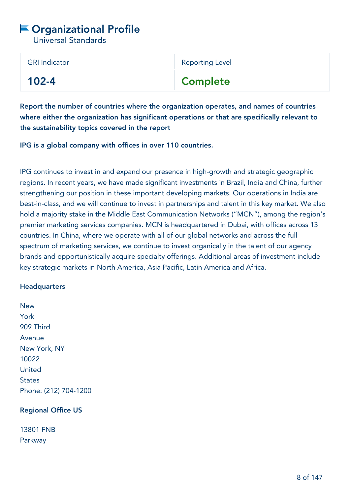## **Setter** Organizational Profile

Universal Standards

| <b>GRI</b> Indicator | <b>Reporting Level</b> |
|----------------------|------------------------|
| $102 - 4$            | Complete               |

Report the number of countries where the organization operates, and names of countries where either the organization has significant operations or that are specifically relevant to the sustainability topics covered in the report

IPG is a global company with offices in over 110 countries.

IPG continues to invest in and expand our presence in high-growth and strategic geographic regions. In recent years, we have made significant investments in Brazil, India and China, further strengthening our position in these important developing markets. Our operations in India are best-in-class, and we will continue to invest in partnerships and talent in this key market. We also hold a majority stake in the Middle East Communication Networks ("MCN"), among the region's premier marketing services companies. MCN is headquartered in Dubai, with offices across 13 countries. In China, where we operate with all of our global networks and across the full spectrum of marketing services, we continue to invest organically in the talent of our agency brands and opportunistically acquire specialty offerings. Additional areas of investment include key strategic markets in North America, Asia Pacific, Latin America and Africa.

#### **Headquarters**

New York 909 Third Avenue New York, NY 10022 United **States States States States States States** Phone: (212) 704-1200

#### Regional Office US

13801 FNB Parkway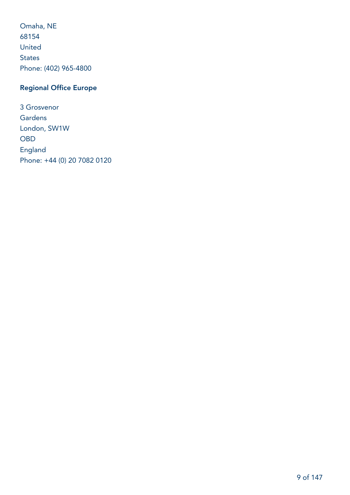Omaha, NE 68154 United **States States States States States States** Phone: (402) 965-4800

#### Regional Office Europe

3 Grosvenor Gardens London, SW1W OBD England Phone: +44 (0) 20 7082 0120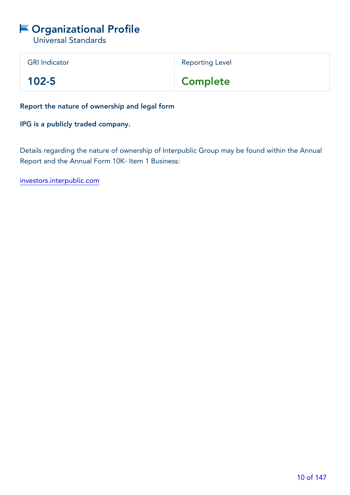#### Organizational Profile Universal Standards

| <b>GRI</b> Indicator | Reporting Level |
|----------------------|-----------------|
| $102 - 5$            | Complete        |

Report the nature of ownership and legal form

IPG is a publicly traded company.

Details regarding the nature of ownership of Interpublic Group ma Report and the Annual Form 10K- Item 1 Business:

[investors.interp](https://Investors.interpublic.com)ublic.com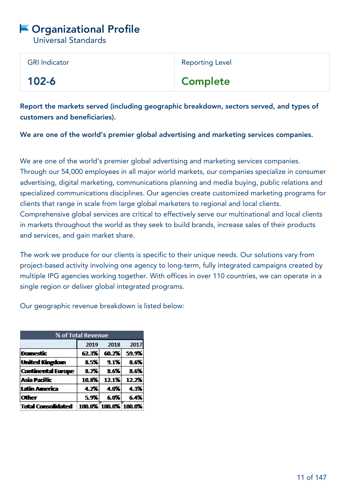## **Setter** Organizational Profile

Universal Standards

| <b>GRI Indicator</b> | <b>Reporting Level</b> |
|----------------------|------------------------|
| $102 - 6$            | Complete               |

Report the markets served (including geographic breakdown, sectors served, and types of customers and beneficiaries).

We are one of the world's premier global advertising and marketing services companies.

We are one of the world's premier global advertising and marketing services companies. Through our 54,000 employees in all major world markets, our companies specialize in consumer advertising, digital marketing, communications planning and media buying, public relations and specialized communications disciplines. Our agencies create customized marketing programs for clients that range in scale from large global marketers to regional and local clients. Comprehensive global services are critical to effectively serve our multinational and local clients in markets throughout the world as they seek to build brands, increase sales of their products and services, and gain market share.

The work we produce for our clients is specific to their unique needs. Our solutions vary from project-based activity involving one agency to long-term, fully integrated campaigns created by multiple IPG agencies working together. With offices in over 110 countries, we can operate in a single region or deliver global integrated programs.

Our geographic revenue breakdown is listed below:

| % of Total Revenue        |       |       |                      |
|---------------------------|-------|-------|----------------------|
|                           | 2019  | 2018  | 2017                 |
| <b>Domestic</b>           | 62.3% | 60.2% | 59.9%                |
| <b>United Kingdom</b>     | 8.5%  | 9.1%  | 8.6%                 |
| <b>Continental Europe</b> | 8.2%  | 8.6%  | 8.6%                 |
| Asia Pacific              | 10.8% | 12.1% | 12.2%                |
| <b>Latin America</b>      | 4.2%  | 4.0%  | 4.3%                 |
| <b>Other</b>              | 5.9%  | 6.0%  | 6.4%                 |
| <b>Total Consolidated</b> |       |       | 100.0% 100.0% 100.0% |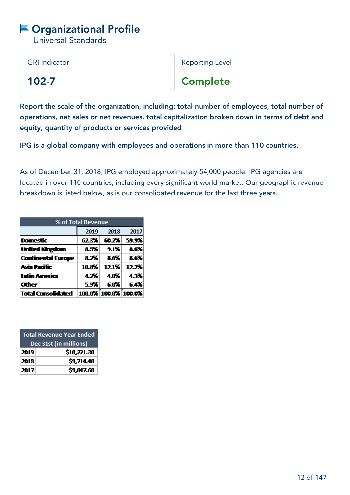## **S** Organizational Profile

Universal Standards

| <b>GRI</b> Indicator | <b>Reporting Level</b> |
|----------------------|------------------------|
| $102 - 7$            | Complete               |

Report the scale of the organization, including: total number of employees, total number of operations, net sales or net revenues, total capitalization broken down in terms of debt and equity, quantity of products or services provided

IPG is a global company with employees and operations in more than 110 countries.

As of December 31, 2018, IPG employed approximately 54,000 people. IPG agencies are located in over 110 countries, including every significant world market. Our geographic revenue breakdown is listed below, as is our consolidated revenue for the last three years.

| % of Total Revenue        |       |                      |       |
|---------------------------|-------|----------------------|-------|
|                           | 2019  | 2018                 | 2017  |
| <b>Domestic</b>           | 62.3% | 60.2%                | 59.9% |
| <b>United Kingdom</b>     | 8.5%  | 9.1%                 | 8.6%  |
| <b>Continental Europe</b> | 3.2%  | 8.6%                 | 8.6%  |
| Asia Pacific              | 10.8% | 12.1%                | 12.2% |
| <b>Latin America</b>      | 4.2%  | 4.0%                 | 4.3%  |
| <b>Other</b>              | 5.9%  | 6.0%                 | 6.4%  |
| <b>Total Consolidated</b> |       | 100.0% 100.0% 100.0% |       |

| <b>Total Revenue Year Ended</b><br>Dec 31st (in millions) |             |
|-----------------------------------------------------------|-------------|
| 2019                                                      | \$10,221.30 |
| 2018                                                      | \$9,714.40  |
| 2017                                                      | \$9,047.60  |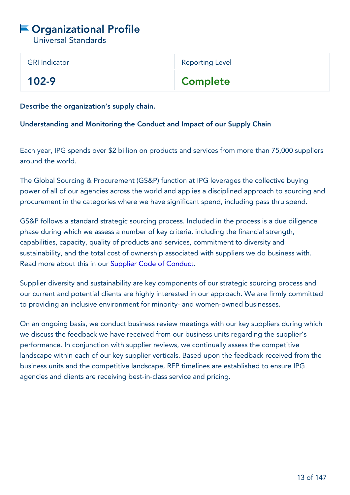#### Organizational Profile Universal Standards

| <b>GRI</b> Indicator | Reporting Level |
|----------------------|-----------------|
| $102 - 9$            | Complete        |

Describe the organization s supply chain.

Understanding and Monitoring the Conduct and Impact of our Sup

Each year, IPG spends over \$2 billion on products and services f around the world.

The Global Sourcing & Procurement (GS&P) function at IPG lever power of all of our agencies across the world and applies a disci procurement in the categories where we have significant spend, i

GS&P follows a standard strategic sourcing process. Included in phase during which we assess a number of key criteria, including capabilities, capacity, quality of products and services, commitm sustainability, and the total cost of ownership associated with su Read more about this usp pihis code of Conduct

Supplier diversity and sustainability are key components of our s our current and potential clients are highly interested in our approach. to providing an inclusive environment for minority- and women-own

On an ongoing basis, we conduct business review meetings with d we discuss the feedback we have received from our business unit performance. In conjunction with supplier reviews, we continually landscape within each of our key supplier verticals. Based upon t business units and the competitive landscape, RFP timelines are agencies and clients are receiving best-in-class service and prici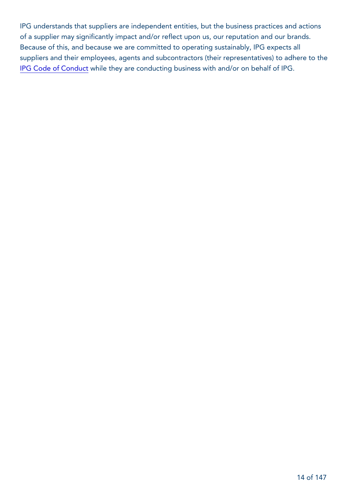IPG understands that suppliers are independent entities, but the of a supplier may significantly impact and/or reflect upon us, our Because of this, and because we are committed to operating sust suppliers and their employees, agents and subcontractors (their i [IPG Code of C](https://www.interpublic.com/wp-content/uploads/2019/07/IPG_CoC_2018-English-International.pdf) wwhich lunct they are conducting business with and/or on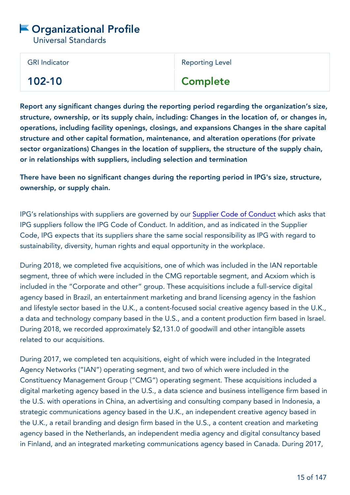### Organizational Profile Universal Standards

| <b>GRI</b> Indicator | Reporting Level |
|----------------------|-----------------|
| $102 - 10$           | Complete        |

Report any significant changes during the reporting period regard structure, ownership, or its supply chain, including: Changes in t operations, including facility openings, closings, and expansions structure and other capital formation, maintenance, and alteratio sector organizations) Changes in the location of suppliers, the st or in relationships with suppliers, including selection and termina

There have been no significant changes during the reporting period. ownership, or supply chain.

IPG s relationships with suppliers Sauppdieve Choedde boyf Could princ chu at asks the IPG suppliers follow the IPG Code of Conduct. In addition, and as Code, IPG expects that its suppliers share the same social responsibility and  $I$ sustainability, diversity, human rights and equal opportunity in the

During 2018, we completed five acquisitions, one of which was in segment, three of which were included in the CMG reportable seg included in the Corporate and other group. These acquisitions i agency based in Brazil, an entertainment marketing and brand lic and lifestyle sector based in the U.K., a content-focused social c a data and technology company based in the U.S., and a content During 2018, we recorded approximately \$2,131.0 of goodwill and related to our acquisitions.

During 2017, we completed ten acquisitions, eight of which were Agency Networks (IAN) operating segment, and two of which were Constituency Management Group ( CMG ) operating segment. These digital marketing agency based in the U.S., a data science and be the U.S. with operations in China, an advertising and consulting strategic communications agency based in the U.K., an independent the U.K., a retail branding and design firm based in the U.S., a c agency based in the Netherlands, an independent media agency a in Finland, and an integrated marketing communications agency b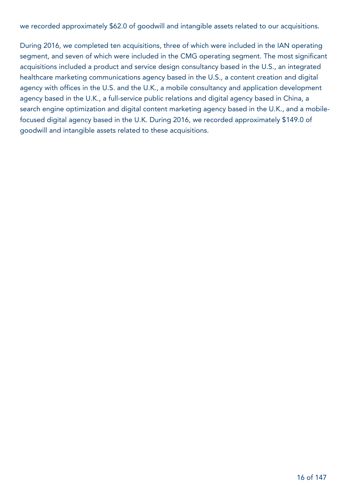we recorded approximately \$62.0 of goodwill and intangible assets related to our acquisitions.

During 2016, we completed ten acquisitions, three of which were included in the IAN operating segment, and seven of which were included in the CMG operating segment. The most significant acquisitions included a product and service design consultancy based in the U.S., an integrated healthcare marketing communications agency based in the U.S., a content creation and digital agency with offices in the U.S. and the U.K., a mobile consultancy and application development agency based in the U.K., a full-service public relations and digital agency based in China, a search engine optimization and digital content marketing agency based in the U.K., and a mobilefocused digital agency based in the U.K. During 2016, we recorded approximately \$149.0 of goodwill and intangible assets related to these acquisitions.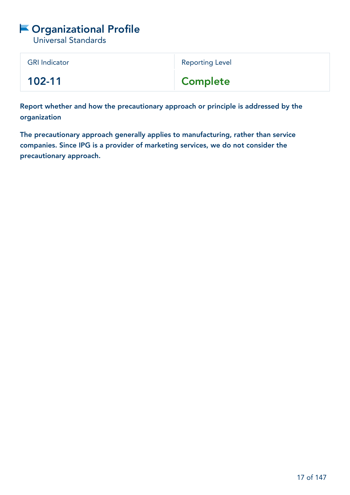## Organizational Profile

Universal Standards

| <b>GRI</b> Indicator | <b>Reporting Level</b> |
|----------------------|------------------------|
| 102-11               | <b>Complete</b>        |

Report whether and how the precautionary approach or principle is addressed by the organization

The precautionary approach generally applies to manufacturing, rather than service companies. Since IPG is a provider of marketing services, we do not consider the precautionary approach.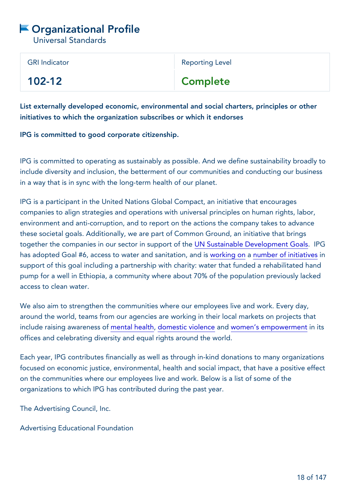#### Organizational Profile Universal Standards

| <b>GRI</b> Indicator | Reporting Level |
|----------------------|-----------------|
| $102 - 12$           | Complete        |

List externally developed economic, environmental and social cha initiatives to which the organization subscribes or which it endor

IPG is committed to good corporate citizenship.

IPG is committed to operating as sustainably as possible. And we include diversity and inclusion, the betterment of our communitie in a way that is in sync with the long-term health of our planet.

IPG is a participant in the United Nations Global Compact, an ini companies to align strategies and operations with universal princ environment and anti-corruption, and to report on the actions the these societal goals. Additionally, we are part of Common Ground together the companies in our secton is usuipport of the velopment G has adopted Goal #6, access to water wannow is anamati[on](https://www.interpublic.com/news/construction-completed-on-ipg-water-project-in-ethiopia/) to be paint dimistimative support of this goal including a partnership with charity: water th pump for a well in Ethiopia, a community where about 70% of the access to clean water.

We also aim to strengthen the communities where our employees around the world, teams from our agencies are working in their Ic include raising awmaneemteals sheeld other stic violence women s empowermites to offices and celebrating diversity and equal rights around the wor

Each year, IPG contributes financially as well as through in-kind focused on economic justice, environmental, health and social im on the communities where our employees live and work. Below is organizations to which IPG has contributed during the past year.

The Advertising Council, Inc.

Advertising Educational Foundation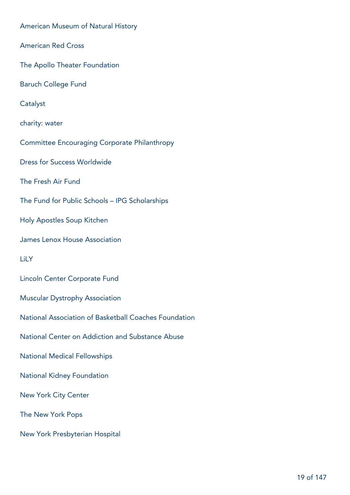| <b>American Museum of Natural History</b>             |
|-------------------------------------------------------|
| <b>American Red Cross</b>                             |
| The Apollo Theater Foundation                         |
| <b>Baruch College Fund</b>                            |
| Catalyst                                              |
| charity: water                                        |
| <b>Committee Encouraging Corporate Philanthropy</b>   |
| <b>Dress for Success Worldwide</b>                    |
| The Fresh Air Fund                                    |
| The Fund for Public Schools - IPG Scholarships        |
| Holy Apostles Soup Kitchen                            |
| <b>James Lenox House Association</b>                  |
| LiLY                                                  |
| Lincoln Center Corporate Fund                         |
| <b>Muscular Dystrophy Association</b>                 |
| National Association of Basketball Coaches Foundation |
| National Center on Addiction and Substance Abuse      |
| <b>National Medical Fellowships</b>                   |
| <b>National Kidney Foundation</b>                     |
| <b>New York City Center</b>                           |
| The New York Pops                                     |
| New York Presbyterian Hospital                        |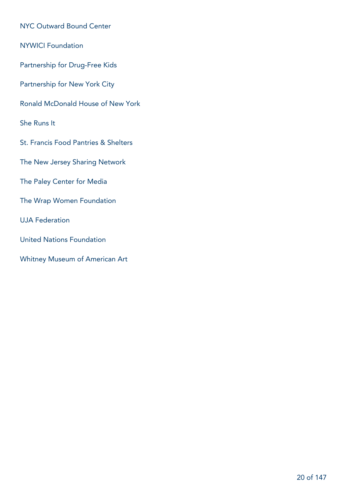#### NYC Outward Bound Center

- NYWICI Foundation
- Partnership for Drug-Free Kids
- Partnership for New York City
- Ronald McDonald House of New York
- She Runs It
- St. Francis Food Pantries & Shelters
- The New Jersey Sharing Network
- The Paley Center for Media
- The Wrap Women Foundation
- UJA Federation
- United Nations Foundation
- Whitney Museum of American Art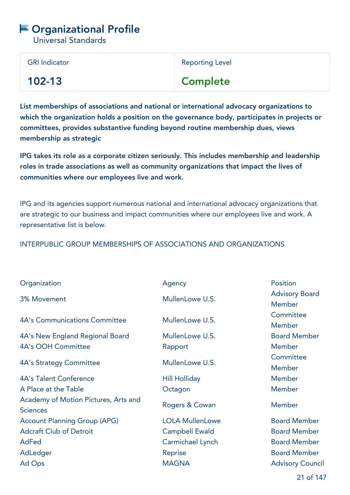### **S** Organizational Profile

Universal Standards

| <b>GRI Indicator</b> | <b>Reporting Level</b> |
|----------------------|------------------------|
| 102-13               | <b>Complete</b>        |

List memberships of associations and national or international advocacy organizations to which the organization holds a position on the governance body, participates in projects or committees, provides substantive funding beyond routine membership dues, views membership as strategic

IPG takes its role as a corporate citizen seriously. This includes membership and leadership roles in trade associations as well as community organizations that impact the lives of communities where our employees live and work.

IPG and its agencies support numerous national and international advocacy organizations that are strategic to our business and impact communities where our employees live and work. A representative list is below.

INTERPUBLIC GROUP MEMBERSHIPS OF ASSOCIATIONS AND ORGANIZATIONS

| Organization<br>3% Movement                             | Agency<br>MullenLowe U.S. | Position<br><b>Advisory Board</b><br>Member |
|---------------------------------------------------------|---------------------------|---------------------------------------------|
| <b>4A's Communications Committee</b>                    | MullenLowe U.S.           | Committee<br>Member                         |
| 4A's New England Regional Board                         | MullenLowe U.S.           | <b>Board Member</b>                         |
| 4A's OOH Committee                                      | Rapport                   | Member                                      |
| 4A's Strategy Committee                                 | MullenLowe U.S.           | Committee<br>Member                         |
| 4A's Talent Conference                                  | Hill Holliday             | Member                                      |
| A Place at the Table                                    | Octagon                   | Member                                      |
| Academy of Motion Pictures, Arts and<br><b>Sciences</b> | Rogers & Cowan            | Member                                      |
| <b>Account Planning Group (APG)</b>                     | <b>LOLA MullenLowe</b>    | <b>Board Member</b>                         |
| <b>Adcraft Club of Detroit</b>                          | <b>Campbell Ewald</b>     | <b>Board Member</b>                         |
| AdFed                                                   | Carmichael Lynch          | <b>Board Member</b>                         |
| AdLedger                                                | Reprise                   | <b>Board Member</b>                         |
| Ad Ops                                                  | <b>MAGNA</b>              | <b>Advisory Council</b>                     |
|                                                         |                           |                                             |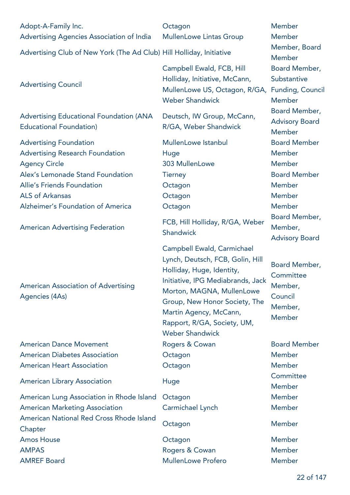| Adopt-A-Family Inc.<br>Advertising Agencies Association of India                                                                                                                                                                        | Octagon<br>MullenLowe Lintas Group                                                                                                                                                                                                                                                | Member<br>Member                                                                             |
|-----------------------------------------------------------------------------------------------------------------------------------------------------------------------------------------------------------------------------------------|-----------------------------------------------------------------------------------------------------------------------------------------------------------------------------------------------------------------------------------------------------------------------------------|----------------------------------------------------------------------------------------------|
| Advertising Club of New York (The Ad Club) Hill Holliday, Initiative                                                                                                                                                                    |                                                                                                                                                                                                                                                                                   | Member, Board<br>Member                                                                      |
| <b>Advertising Council</b>                                                                                                                                                                                                              | Campbell Ewald, FCB, Hill<br>Holliday, Initiative, McCann,<br>MullenLowe US, Octagon, R/GA,<br><b>Weber Shandwick</b>                                                                                                                                                             | Board Member,<br>Substantive<br>Funding, Council<br>Member                                   |
| <b>Advertising Educational Foundation (ANA</b><br><b>Educational Foundation)</b>                                                                                                                                                        | Deutsch, IW Group, McCann,<br>R/GA, Weber Shandwick                                                                                                                                                                                                                               | Board Member,<br><b>Advisory Board</b><br>Member                                             |
| <b>Advertising Foundation</b><br><b>Advertising Research Foundation</b><br><b>Agency Circle</b><br>Alex's Lemonade Stand Foundation<br><b>Allie's Friends Foundation</b><br><b>ALS of Arkansas</b><br>Alzheimer's Foundation of America | MullenLowe Istanbul<br>Huge<br>303 MullenLowe<br><b>Tierney</b><br>Octagon<br>Octagon<br>Octagon                                                                                                                                                                                  | <b>Board Member</b><br>Member<br>Member<br><b>Board Member</b><br>Member<br>Member<br>Member |
| <b>American Advertising Federation</b>                                                                                                                                                                                                  | FCB, Hill Holliday, R/GA, Weber<br>Shandwick                                                                                                                                                                                                                                      | Board Member,<br>Member,<br><b>Advisory Board</b>                                            |
| <b>American Association of Advertising</b><br>Agencies (4As)                                                                                                                                                                            | Campbell Ewald, Carmichael<br>Lynch, Deutsch, FCB, Golin, Hill<br>Holliday, Huge, Identity,<br>Initiative, IPG Mediabrands, Jack<br>Morton, MAGNA, MullenLowe<br>Group, New Honor Society, The<br>Martin Agency, McCann,<br>Rapport, R/GA, Society, UM,<br><b>Weber Shandwick</b> | Board Member,<br>Committee<br>Member,<br>Council<br>Member,<br>Member                        |
| <b>American Dance Movement</b><br><b>American Diabetes Association</b><br><b>American Heart Association</b>                                                                                                                             | Rogers & Cowan<br>Octagon<br>Octagon                                                                                                                                                                                                                                              | <b>Board Member</b><br>Member<br>Member                                                      |
| <b>American Library Association</b>                                                                                                                                                                                                     | Huge                                                                                                                                                                                                                                                                              | Committee<br>Member                                                                          |
| American Lung Association in Rhode Island<br><b>American Marketing Association</b><br>American National Red Cross Rhode Island                                                                                                          | Octagon<br>Carmichael Lynch                                                                                                                                                                                                                                                       | Member<br>Member                                                                             |
| Chapter<br><b>Amos House</b><br><b>AMPAS</b><br><b>AMREF Board</b>                                                                                                                                                                      | Octagon<br>Octagon<br>Rogers & Cowan<br><b>MullenLowe Profero</b>                                                                                                                                                                                                                 | Member<br>Member<br>Member<br>Member                                                         |
|                                                                                                                                                                                                                                         |                                                                                                                                                                                                                                                                                   | 22 of 147                                                                                    |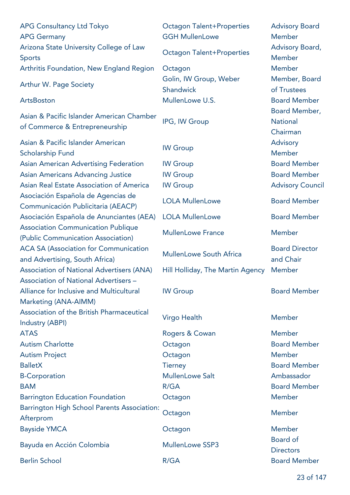| <b>APG Consultancy Ltd Tokyo</b><br><b>APG Germany</b>                          | <b>Octagon Talent+Properties</b><br><b>GGH MullenLowe</b> | <b>Advisory Board</b><br>Member              |
|---------------------------------------------------------------------------------|-----------------------------------------------------------|----------------------------------------------|
| Arizona State University College of Law                                         |                                                           | Advisory Board,                              |
| <b>Sports</b>                                                                   | <b>Octagon Talent+Properties</b>                          | Member                                       |
| Arthritis Foundation, New England Region                                        | Octagon                                                   | Member                                       |
| Arthur W. Page Society                                                          | Golin, IW Group, Weber<br>Shandwick                       | Member, Board<br>of Trustees                 |
| ArtsBoston                                                                      | MullenLowe U.S.                                           | <b>Board Member</b>                          |
| Asian & Pacific Islander American Chamber<br>of Commerce & Entrepreneurship     | IPG, IW Group                                             | Board Member,<br><b>National</b><br>Chairman |
| Asian & Pacific Islander American<br>Scholarship Fund                           | <b>IW Group</b>                                           | Advisory<br>Member                           |
| Asian American Advertising Federation                                           | <b>IW Group</b>                                           | <b>Board Member</b>                          |
| <b>Asian Americans Advancing Justice</b>                                        | <b>IW Group</b>                                           | <b>Board Member</b>                          |
| Asian Real Estate Association of America                                        | <b>IW Group</b>                                           | <b>Advisory Council</b>                      |
| Asociación Española de Agencias de<br>Communicación Publicitaria (AEACP)        | <b>LOLA MullenLowe</b>                                    | <b>Board Member</b>                          |
| Asociación Española de Anunciantes (AEA)                                        | <b>LOLA MullenLowe</b>                                    | <b>Board Member</b>                          |
| <b>Association Communication Publique</b><br>(Public Communication Association) | <b>MullenLowe France</b>                                  | Member                                       |
| <b>ACA SA (Association for Communication</b><br>and Advertising, South Africa)  | <b>MullenLowe South Africa</b>                            | <b>Board Director</b><br>and Chair           |
| Association of National Advertisers (ANA)                                       | Hill Holliday, The Martin Agency                          | Member                                       |
| <b>Association of National Advertisers -</b>                                    |                                                           |                                              |
| Alliance for Inclusive and Multicultural                                        | <b>IW Group</b>                                           | <b>Board Member</b>                          |
| Marketing (ANA-AIMM)                                                            |                                                           |                                              |
| Association of the British Pharmaceutical<br><b>Industry (ABPI)</b>             | Virgo Health                                              | Member                                       |
| <b>ATAS</b>                                                                     | Rogers & Cowan                                            | Member                                       |
| <b>Autism Charlotte</b>                                                         | Octagon                                                   | <b>Board Member</b>                          |
| <b>Autism Project</b>                                                           | Octagon                                                   | Member                                       |
| <b>BalletX</b>                                                                  | <b>Tierney</b>                                            | <b>Board Member</b>                          |
| <b>B-Corporation</b>                                                            | <b>MullenLowe Salt</b>                                    | Ambassador                                   |
| <b>BAM</b>                                                                      | R/GA                                                      | <b>Board Member</b>                          |
| <b>Barrington Education Foundation</b>                                          | Octagon                                                   | Member                                       |
| <b>Barrington High School Parents Association:</b>                              |                                                           | Member                                       |
| Afterprom                                                                       | Octagon                                                   |                                              |
| <b>Bayside YMCA</b>                                                             | Octagon                                                   | Member                                       |
| Bayuda en Acción Colombia                                                       | <b>MullenLowe SSP3</b>                                    | <b>Board of</b><br><b>Directors</b>          |
| <b>Berlin School</b>                                                            | R/GA                                                      | <b>Board Member</b>                          |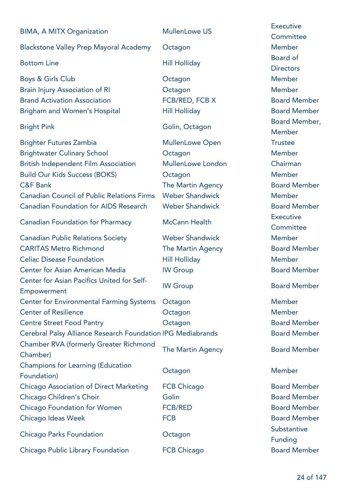|                                                             |                        | <b>Executive</b>        |
|-------------------------------------------------------------|------------------------|-------------------------|
| <b>BIMA, A MITX Organization</b>                            | <b>MullenLowe US</b>   | Committee               |
| <b>Blackstone Valley Prep Mayoral Academy</b>               | Octagon                | Member                  |
| <b>Bottom Line</b>                                          | <b>Hill Holliday</b>   | <b>Board of</b>         |
|                                                             |                        | <b>Directors</b>        |
| Boys & Girls Club                                           | Octagon                | Member                  |
| <b>Brain Injury Association of RI</b>                       | Octagon                | Member                  |
| <b>Brand Activation Association</b>                         | FCB/RED, FCB X         | <b>Board Member</b>     |
| Brigham and Women's Hospital                                | <b>Hill Holliday</b>   | <b>Board Member</b>     |
| <b>Bright Pink</b>                                          | Golin, Octagon         | Board Member,<br>Member |
| <b>Brighter Futures Zambia</b>                              | <b>MullenLowe Open</b> | <b>Trustee</b>          |
| <b>Brightwater Culinary School</b>                          | Octagon                | Member                  |
| British Independent Film Association                        | MullenLowe London      | Chairman                |
| <b>Build Our Kids Success (BOKS)</b>                        | Octagon                | Member                  |
| <b>C&amp;F Bank</b>                                         | The Martin Agency      | <b>Board Member</b>     |
| <b>Canadian Council of Public Relations Firms</b>           | <b>Weber Shandwick</b> | Member                  |
| <b>Canadian Foundation for AIDS Research</b>                | <b>Weber Shandwick</b> | <b>Board Member</b>     |
|                                                             |                        | <b>Executive</b>        |
| <b>Canadian Foundation for Pharmacy</b>                     | <b>McCann Health</b>   | Committee               |
| <b>Canadian Public Relations Society</b>                    | <b>Weber Shandwick</b> | Member                  |
| <b>CARITAS Metro Richmond</b>                               | The Martin Agency      | <b>Board Member</b>     |
| <b>Celiac Disease Foundation</b>                            | <b>Hill Holliday</b>   | Member                  |
| <b>Center for Asian American Media</b>                      | <b>IW Group</b>        | <b>Board Member</b>     |
| Center for Asian Pacifics United for Self-                  |                        |                         |
| Empowerment                                                 | <b>IW Group</b>        | <b>Board Member</b>     |
| <b>Center for Environmental Farming Systems</b>             | Octagon                | Member                  |
| <b>Center of Resilience</b>                                 | Octagon                | Member                  |
| <b>Centre Street Food Pantry</b>                            | Octagon                | <b>Board Member</b>     |
| Cerebral Palsy Alliance Research Foundation IPG Mediabrands |                        | <b>Board Member</b>     |
| Chamber RVA (formerly Greater Richmond                      |                        | <b>Board Member</b>     |
| Chamber)                                                    | The Martin Agency      |                         |
| <b>Champions for Learning (Education</b><br>Foundation)     | Octagon                | Member                  |
| <b>Chicago Association of Direct Marketing</b>              | <b>FCB Chicago</b>     | <b>Board Member</b>     |
| Chicago Children's Choir                                    | Golin                  | <b>Board Member</b>     |
| <b>Chicago Foundation for Women</b>                         | <b>FCB/RED</b>         | <b>Board Member</b>     |
| Chicago Ideas Week                                          | <b>FCB</b>             | <b>Board Member</b>     |
|                                                             |                        | Substantive             |
| <b>Chicago Parks Foundation</b>                             | Octagon                | Funding                 |
| Chicago Public Library Foundation                           | <b>FCB Chicago</b>     | <b>Board Member</b>     |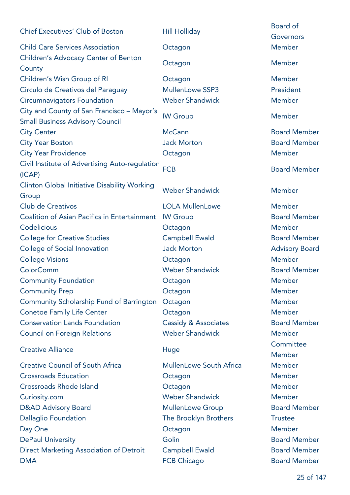| <b>Chief Executives' Club of Boston</b>             | <b>Hill Holliday</b>            | Board of<br>Governors |
|-----------------------------------------------------|---------------------------------|-----------------------|
| <b>Child Care Services Association</b>              | Octagon                         | Member                |
| Children's Advocacy Center of Benton<br>County      | Octagon                         | Member                |
| Children's Wish Group of RI                         | Octagon                         | Member                |
| Circulo de Creativos del Paraguay                   | MullenLowe SSP3                 | President             |
| <b>Circumnavigators Foundation</b>                  | <b>Weber Shandwick</b>          | Member                |
| City and County of San Francisco - Mayor's          |                                 |                       |
| <b>Small Business Advisory Council</b>              | <b>IW Group</b>                 | Member                |
| <b>City Center</b>                                  | <b>McCann</b>                   | <b>Board Member</b>   |
| <b>City Year Boston</b>                             | <b>Jack Morton</b>              | <b>Board Member</b>   |
| <b>City Year Providence</b>                         | Octagon                         | Member                |
| Civil Institute of Advertising Auto-regulation      |                                 |                       |
| (ICAP)                                              | <b>FCB</b>                      | <b>Board Member</b>   |
| <b>Clinton Global Initiative Disability Working</b> |                                 |                       |
| Group                                               | <b>Weber Shandwick</b>          | Member                |
| Club de Creativos                                   | <b>LOLA MullenLowe</b>          | Member                |
| <b>Coalition of Asian Pacifics in Entertainment</b> | <b>IW Group</b>                 | <b>Board Member</b>   |
| Codelicious                                         | Octagon                         | Member                |
| <b>College for Creative Studies</b>                 | <b>Campbell Ewald</b>           | <b>Board Member</b>   |
| <b>College of Social Innovation</b>                 | <b>Jack Morton</b>              | <b>Advisory Board</b> |
| <b>College Visions</b>                              | Octagon                         | Member                |
| ColorComm                                           | <b>Weber Shandwick</b>          | <b>Board Member</b>   |
| <b>Community Foundation</b>                         | Octagon                         | Member                |
| <b>Community Prep</b>                               | Octagon                         | Member                |
| Community Scholarship Fund of Barrington            | Octagon                         | Member                |
| <b>Conetoe Family Life Center</b>                   | Octagon                         | Member                |
| <b>Conservation Lands Foundation</b>                | <b>Cassidy &amp; Associates</b> | <b>Board Member</b>   |
| <b>Council on Foreign Relations</b>                 | <b>Weber Shandwick</b>          | Member                |
|                                                     |                                 | Committee             |
| <b>Creative Alliance</b>                            | Huge                            | Member                |
| <b>Creative Council of South Africa</b>             | <b>MullenLowe South Africa</b>  | Member                |
| <b>Crossroads Education</b>                         | Octagon                         | Member                |
| <b>Crossroads Rhode Island</b>                      | Octagon                         | Member                |
| Curiosity.com                                       | <b>Weber Shandwick</b>          | Member                |
| <b>D&amp;AD Advisory Board</b>                      | <b>MullenLowe Group</b>         | <b>Board Member</b>   |
| <b>Dallaglio Foundation</b>                         | The Brooklyn Brothers           | <b>Trustee</b>        |
| Day One                                             | Octagon                         | Member                |
| <b>DePaul University</b>                            | Golin                           | <b>Board Member</b>   |
| Direct Marketing Association of Detroit             | <b>Campbell Ewald</b>           | <b>Board Member</b>   |
| <b>DMA</b>                                          | <b>FCB Chicago</b>              | <b>Board Member</b>   |
|                                                     |                                 |                       |

25 of 147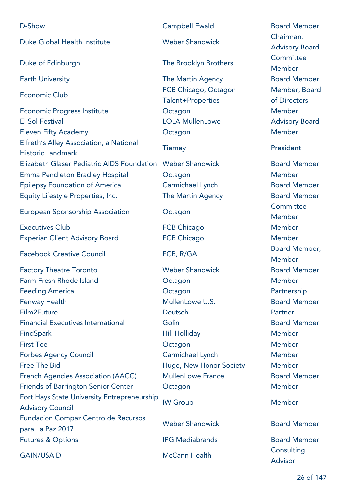Duke Global Health Institute Weber Shandwick Chairman,

Economic Progress Institute **Conomic Progress Institute Conomic Progress Institute Conomic Progress Institute** El Sol Festival **El Sol Festival El Sol Festival** Eleven Fifty Academy **Canadiates** Octagon Member Elfreth's Alley Association, a National Effective Schley Association, a National Tierney Tierney President President Elizabeth Glaser Pediatric AIDS Foundation Weber Shandwick Board Member Emma Pendleton Bradley Hospital Octagon Member Epilepsy Foundation of America **Carmichael Lynch** Board Member Equity Lifestyle Properties, Inc. The Martin Agency Board Member

European Sponsorship Association Octagon

Executives Club **FCB Chicago** Member Experian Client Advisory Board **FCB Chicago** Member

Factory Theatre Toronto **Exercise Shandwick** Board Member Farm Fresh Rhode Island **Canada Contagon** Cotagon Member Feeding America **Contagon** Contagon **Partnership** Fenway Health **MullenLowe U.S.** Board Member Film2Future Deutsch Partner Financial Executives International **Golin** Golin **Golin** Board Member FindSpark **Hill Holliday** Hill Holliday Member First Tee Octagon Member Forbes Agency Council **Carmichael Lynch** Member Free The Bid **Free The Bid Huge, New Honor Society** Member French Agencies Association (AACC) MullenLowe France Board Member Friends of Barrington Senior Center **Cancel Contagon** Cotagon Member Fort Hays State University Entrepreneurship Port Flays State Oniversity Entrepreneurship IW Group Member Member Fundacion Compaz Centro de Recursos para La Paz 2017 Futures & Options **IPG Mediabrands** Board Member GAIN/USAID **Consulting** 

D-Show Campbell Ewald Board Member

Earth University **Example 20** The Martin Agency **Board Member** Economic Club **FCB Chicago, Octagon** Talent+Properties

Weber Shandwick Board Member

Advisory Board Duke of Edinburgh The Brooklyn Brothers Committee Member Member, Board of Directors Committee Member Facebook Creative Council **FCB, R/GA** Board Member, Member

Advisor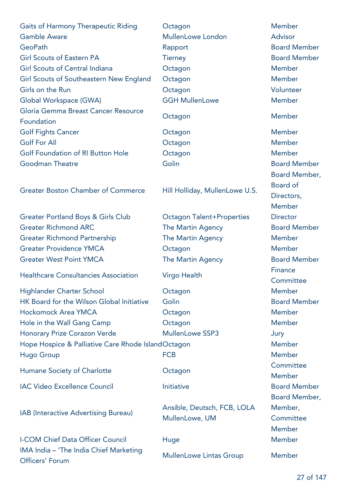Gaits of Harmony Therapeutic Riding Cotagon Communication of Harmony Therapeutic Riding Cotagon Gamble Aware MullenLowe London Advisor GeoPath **Rapport** Rapport **Board Member** Girl Scouts of Eastern PA Tierney Tierney Board Member Girl Scouts of Central Indiana **Communication** Octagon Member Girl Scouts of Southeastern New England Octagon Member Girls on the Run **Community Community** Contagon **Community Community Community Community Community Community Community Community Community Community Community Community Community Community Community Community Community Com** Global Workspace (GWA) GGH MullenLowe Member Gloria Gemma Breast Cancer Resource Foundation Octagon Member Golf Fights Cancer **Cancer** Contagon **Communist Cancer** Member Golf For All Octagon Member Golf Foundation of RI Button Hole **C**octagon **Member** Member Goodman Theatre Golin Board Member Greater Boston Chamber of Commerce Hill Holliday, MullenLowe U.S. Greater Portland Boys & Girls Club Cotagon Talent+Properties Director Greater Richmond ARC The Martin Agency Board Member Greater Richmond Partnership The Martin Agency Member

Highlander Charter School Octagon Member HK Board for the Wilson Global Initiative Golin **Board Member** Hockomock Area YMCA **Channel Community** Octagon Member Hole in the Wall Gang Camp **Camp** Octagon **Member** Honorary Prize Corazon Verde MullenLowe SSP3 Jury Hope Hospice & Palliative Care Rhode IslandOctagon Member Hugo Group **FCB** FCB Member

Humane Society of Charlotte **Canada Contagon** 

IAC Video Excellence Council **Initiative Initiative Initiative** Board Member

I-COM Chief Data Officer Council Huge Huge Member IMA India – 'The India Chief Marketing MullenLowe Lintas Group Member<br>Officers' Forum MullenLowe Lintas Group Member

Greater Providence YMCA **Changes** Octagon **Member** Member Greater West Point YMCA The Martin Agency Board Member Healthcare Consultancies Association Virgo Health Finance

IAB (Interactive Advertising Bureau) Ansible, Deutsch, FCB, LOLA MullenLowe, UM

Board Member, Board of Directors. Member **Committee** Committee Member Board Member, Member, **Committee** Member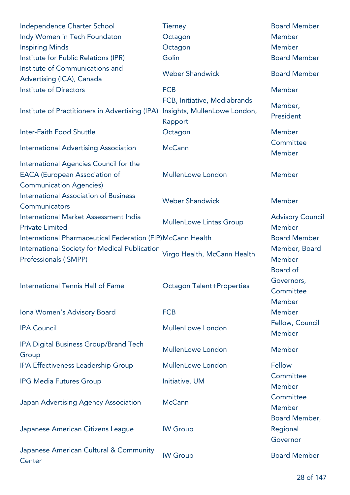| Independence Charter School                                                                                      | <b>Tierney</b>                                                          | <b>Board Member</b>                                  |
|------------------------------------------------------------------------------------------------------------------|-------------------------------------------------------------------------|------------------------------------------------------|
| Indy Women in Tech Foundaton                                                                                     | Octagon                                                                 | Member                                               |
| <b>Inspiring Minds</b>                                                                                           | Octagon                                                                 | Member                                               |
| Institute for Public Relations (IPR)                                                                             | Golin                                                                   | <b>Board Member</b>                                  |
| Institute of Communications and                                                                                  | <b>Weber Shandwick</b>                                                  |                                                      |
| Advertising (ICA), Canada                                                                                        |                                                                         | <b>Board Member</b>                                  |
| Institute of Directors                                                                                           | <b>FCB</b>                                                              | Member                                               |
| Institute of Practitioners in Advertising (IPA)                                                                  | FCB, Initiative, Mediabrands<br>Insights, MullenLowe London,<br>Rapport | Member,<br>President                                 |
| Inter-Faith Food Shuttle                                                                                         | Octagon                                                                 | Member                                               |
| International Advertising Association                                                                            | <b>McCann</b>                                                           | Committee<br>Member                                  |
| International Agencies Council for the<br><b>EACA</b> (European Association of<br><b>Communication Agencies)</b> | MullenLowe London                                                       | Member                                               |
| <b>International Association of Business</b><br>Communicators                                                    | <b>Weber Shandwick</b>                                                  | Member                                               |
| International Market Assessment India<br><b>Private Limited</b>                                                  | <b>MullenLowe Lintas Group</b>                                          | <b>Advisory Council</b><br>Member                    |
| International Pharmaceutical Federation (FIP) McCann Health                                                      |                                                                         | <b>Board Member</b>                                  |
| International Society for Medical Publication<br>Professionals (ISMPP)                                           | Virgo Health, McCann Health                                             | Member, Board<br>Member                              |
| International Tennis Hall of Fame                                                                                | <b>Octagon Talent+Properties</b>                                        | <b>Board of</b><br>Governors,<br>Committee<br>Member |
| Iona Women's Advisory Board                                                                                      | <b>FCB</b>                                                              | Member                                               |
| <b>IPA Council</b>                                                                                               | MullenLowe London                                                       | Fellow, Council<br>Member                            |
| <b>IPA Digital Business Group/Brand Tech</b><br>Group                                                            | <b>MullenLowe London</b>                                                | Member                                               |
| IPA Effectiveness Leadership Group                                                                               | <b>MullenLowe London</b>                                                | Fellow                                               |
| <b>IPG Media Futures Group</b>                                                                                   | Initiative, UM                                                          | Committee<br>Member                                  |
| Japan Advertising Agency Association                                                                             | <b>McCann</b>                                                           | Committee<br>Member                                  |
| Japanese American Citizens League                                                                                | <b>IW Group</b>                                                         | Board Member,<br>Regional<br>Governor                |
| Japanese American Cultural & Community<br>Center                                                                 | <b>IW Group</b>                                                         | <b>Board Member</b>                                  |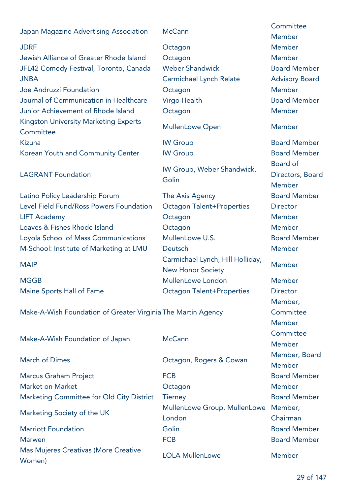| Japan Magazine Advertising Association                       | <b>McCann</b>                    | Committee             |
|--------------------------------------------------------------|----------------------------------|-----------------------|
|                                                              |                                  | Member                |
| <b>JDRF</b>                                                  | Octagon                          | Member                |
| Jewish Alliance of Greater Rhode Island                      | Octagon                          | Member                |
| JFL42 Comedy Festival, Toronto, Canada                       | <b>Weber Shandwick</b>           | <b>Board Member</b>   |
| <b>JNBA</b>                                                  | Carmichael Lynch Relate          | <b>Advisory Board</b> |
| Joe Andruzzi Foundation                                      | Octagon                          | Member                |
| Journal of Communication in Healthcare                       | Virgo Health                     | <b>Board Member</b>   |
| Junior Achievement of Rhode Island                           | Octagon                          | Member                |
| Kingston University Marketing Experts<br>Committee           | <b>MullenLowe Open</b>           | Member                |
| Kizuna                                                       | <b>IW Group</b>                  | <b>Board Member</b>   |
| Korean Youth and Community Center                            | <b>IW Group</b>                  | <b>Board Member</b>   |
|                                                              |                                  | <b>Board of</b>       |
| <b>LAGRANT Foundation</b>                                    | IW Group, Weber Shandwick,       | Directors, Board      |
|                                                              | Golin                            | Member                |
| Latino Policy Leadership Forum                               | The Axis Agency                  | <b>Board Member</b>   |
| Level Field Fund/Ross Powers Foundation                      | <b>Octagon Talent+Properties</b> | <b>Director</b>       |
| <b>LIFT Academy</b>                                          | Octagon                          | Member                |
| Loaves & Fishes Rhode Island                                 | Octagon                          | Member                |
| Loyola School of Mass Communications                         | MullenLowe U.S.                  | <b>Board Member</b>   |
| M-School: Institute of Marketing at LMU                      | Deutsch                          | Member                |
|                                                              | Carmichael Lynch, Hill Holliday, |                       |
| <b>MAIP</b>                                                  | <b>New Honor Society</b>         | Member                |
| <b>MGGB</b>                                                  | MullenLowe London                | Member                |
| Maine Sports Hall of Fame                                    | <b>Octagon Talent+Properties</b> | <b>Director</b>       |
|                                                              |                                  | Member,               |
| Make-A-Wish Foundation of Greater Virginia The Martin Agency |                                  | Committee             |
|                                                              |                                  | Member                |
|                                                              |                                  | Committee             |
| Make-A-Wish Foundation of Japan                              | <b>McCann</b>                    | Member                |
|                                                              |                                  | Member, Board         |
| <b>March of Dimes</b>                                        | Octagon, Rogers & Cowan          | Member                |
| <b>Marcus Graham Project</b>                                 | <b>FCB</b>                       | <b>Board Member</b>   |
| <b>Market on Market</b>                                      | Octagon                          | Member                |
| Marketing Committee for Old City District                    | <b>Tierney</b>                   | <b>Board Member</b>   |
|                                                              | MullenLowe Group, MullenLowe     | Member,               |
| Marketing Society of the UK                                  | London                           | Chairman              |
| <b>Marriott Foundation</b>                                   | Golin                            | <b>Board Member</b>   |
| <b>Marwen</b>                                                | <b>FCB</b>                       | <b>Board Member</b>   |
| <b>Mas Mujeres Creativas (More Creative</b>                  | <b>LOLA MullenLowe</b>           | Member                |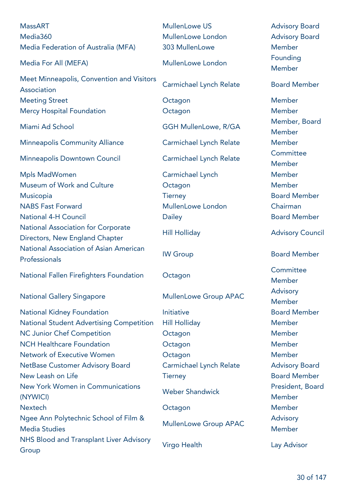MassART MullenLowe US Advisory Board Media360 MullenLowe London Advisory Board Media Federation of Australia (MFA) 303 MullenLowe Member Media For All (MEFA) MullenLowe London Founding Meet Minneapolis, Convention and Visitors Association Meeting Street **Member** Octagon **Member** Octagon Member Mercy Hospital Foundation **Member** Octagon Member Miami Ad School GGH MullenLowe, R/GA Member, Board Minneapolis Community Alliance Carmichael Lynch Relate Member Minneapolis Downtown Council Carmichael Lynch Relate Committee Mpls MadWomen Carmichael Lynch Member Museum of Work and Culture **Canadian Culture Canadian Culture** Octagon Member Musicopia Tierney Board Member NABS Fast Forward MullenLowe London Chairman National 4-H Council Dailey Board Member National Association for Corporate Directors, New England Chapter Hill Holliday Advisory Council National Association of Asian American Professionals IW Group Board Member National Fallen Firefighters Foundation Octagon National Gallery Singapore MullenLowe Group APAC Advisory National Kidney Foundation **Initiative Initiative Initiative** Board Member National Student Advertising Competition Hill Holliday Member NC Junior Chef Competition Cotagon Chef Competition Correspondent Competition Correspondent Competition Competition NCH Healthcare Foundation **Construction** Octagon Member Network of Executive Women **Construction** Octagon **Member** Member NetBase Customer Advisory Board Carmichael Lynch Relate Advisory Board New Leash on Life **Tierney** Tierney **Read Member** Board Member New York Women in Communications

NHS Blood and Transplant Liver Advisory

(NYWICI)

Group

Carmichael Lynch Relate Board Member Weber Shandwick **President, Board** Nextech Octagon Member Ngee Ann Polytechnic School of Film & Media Studies MullenLowe Group APAC Advisory

Member Member Member **Committee** Member Member Member

Virgo Health Lay Advisor

Member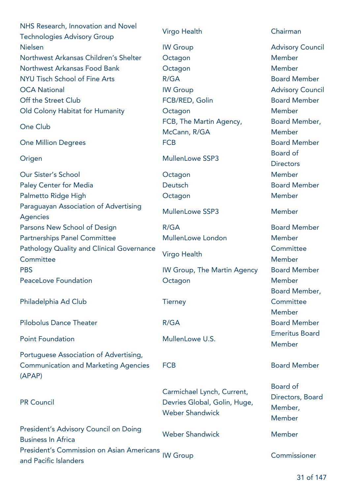NHS Research, Innovation and Novel This Research, information and Novel Virgo Health Chairman<br>Technologies Advisory Group Nielsen **IW Group Advisory Council** Nielsen Northwest Arkansas Children's Shelter Cotagon Member Northwest Arkansas Food Bank **Octagon** Communication Member NYU Tisch School of Fine Arts **R/GA** Board Member OCA National **IW Group IW Group Advisory Council** Off the Street Club **FCB/RED**, Golin Board Member Old Colony Habitat for Humanity **Colony Colony Colony Colony Colony Colony** Member One Club **FCB**, The Martin Agency, McCann, R/GA One Million Degrees **FCB** Board Member Origen Board of MullenLowe SSP3 **Our Sister's School Contagon Contagon Contagon** Member Paley Center for Media **Deutsch** Board Member Palmetto Ridge High **Canadian Contagon** Cotagon Member Paraguayan Association of Advertising Agencies MullenLowe SSP3 Member Parsons New School of Design **R/GA** Board Member Partnerships Panel Committee MullenLowe London Member Pathology Quality and Clinical Governance **Committee** Virgo Health Committee PBS **IW Group, The Martin Agency** Board Member PeaceLove Foundation **Community** Octagon Member Philadelphia Ad Club Tierney Pilobolus Dance Theater **R/GA** Board Member Point Foundation MullenLowe U.S. Emeritus Board Portuguese Association of Advertising, Communication and Marketing Agencies (APAP) FCB Board Member PR Council Carmichael Lynch, Current, Devries Global, Golin, Huge, Weber Shandwick President's Advisory Council on Doing Business In Africa<br>Business In Africa President's Commission on Asian Americans and Pacific Islanders IV Commission City ISLACTIC ISLANDING IW Group Commissioner

Board Member, Member **Directors** Member Board Member, **Committee** Member Member

Board of Directors, Board Member, Member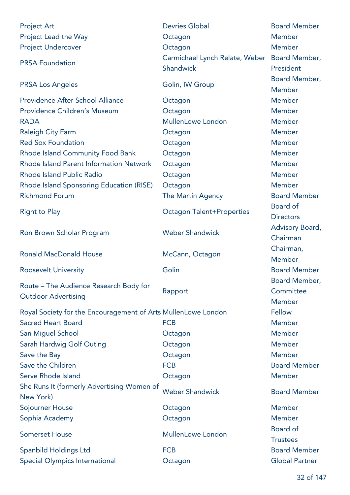| <b>Project Art</b>                                            | <b>Devries Global</b>            | <b>Board Member</b>     |
|---------------------------------------------------------------|----------------------------------|-------------------------|
| Project Lead the Way                                          | Octagon                          | Member                  |
| Project Undercover                                            | Octagon                          | Member                  |
| <b>PRSA Foundation</b>                                        | Carmichael Lynch Relate, Weber   | Board Member,           |
|                                                               | Shandwick                        | President               |
| <b>PRSA Los Angeles</b>                                       | Golin, IW Group                  | Board Member,<br>Member |
| Providence After School Alliance                              | Octagon                          | Member                  |
| Providence Children's Museum                                  | Octagon                          | Member                  |
| <b>RADA</b>                                                   | MullenLowe London                | Member                  |
| <b>Raleigh City Farm</b>                                      | Octagon                          | Member                  |
| <b>Red Sox Foundation</b>                                     | Octagon                          | Member                  |
| Rhode Island Community Food Bank                              | Octagon                          | Member                  |
| Rhode Island Parent Information Network                       | Octagon                          | Member                  |
| Rhode Island Public Radio                                     | Octagon                          | Member                  |
| Rhode Island Sponsoring Education (RISE)                      | Octagon                          | Member                  |
| <b>Richmond Forum</b>                                         | The Martin Agency                | <b>Board Member</b>     |
|                                                               |                                  | <b>Board of</b>         |
| <b>Right to Play</b>                                          | <b>Octagon Talent+Properties</b> | <b>Directors</b>        |
|                                                               |                                  | Advisory Board,         |
| Ron Brown Scholar Program                                     | <b>Weber Shandwick</b>           | Chairman                |
|                                                               | McCann, Octagon                  | Chairman,               |
| <b>Ronald MacDonald House</b>                                 |                                  | Member                  |
| <b>Roosevelt University</b>                                   | Golin                            | <b>Board Member</b>     |
| Route - The Audience Research Body for                        | Rapport                          | Board Member,           |
| <b>Outdoor Advertising</b>                                    |                                  | Committee               |
|                                                               |                                  | Member                  |
| Royal Society for the Encouragement of Arts MullenLowe London |                                  | Fellow                  |
| <b>Sacred Heart Board</b>                                     | <b>FCB</b>                       | Member                  |
| San Miguel School                                             | Octagon                          | Member                  |
| <b>Sarah Hardwig Golf Outing</b>                              | Octagon                          | Member                  |
| Save the Bay                                                  | Octagon                          | Member                  |
| Save the Children                                             | <b>FCB</b>                       | <b>Board Member</b>     |
| Serve Rhode Island                                            | Octagon                          | Member                  |
| She Runs It (formerly Advertising Women of<br>New York)       | <b>Weber Shandwick</b>           | <b>Board Member</b>     |
| Sojourner House                                               | Octagon                          | Member                  |
| Sophia Academy                                                | Octagon                          | Member                  |
|                                                               |                                  | <b>Board of</b>         |
| <b>Somerset House</b>                                         | MullenLowe London                | <b>Trustees</b>         |
| Spanbild Holdings Ltd                                         | <b>FCB</b>                       | <b>Board Member</b>     |
| Special Olympics International                                | Octagon                          | <b>Global Partner</b>   |
|                                                               |                                  |                         |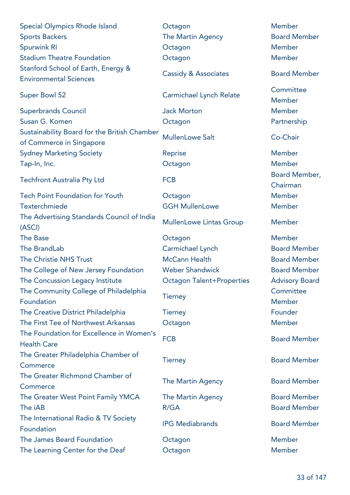| Special Olympics Rhode Island                                            | Octagon                          | Member                          |
|--------------------------------------------------------------------------|----------------------------------|---------------------------------|
| <b>Sports Backers</b>                                                    | The Martin Agency                | <b>Board Member</b>             |
| <b>Spurwink RI</b>                                                       | Octagon                          | Member                          |
| <b>Stadium Theatre Foundation</b>                                        | Octagon                          | Member                          |
| Stanford School of Earth, Energy &<br><b>Environmental Sciences</b>      | <b>Cassidy &amp; Associates</b>  | <b>Board Member</b>             |
| Super Bowl 52                                                            | Carmichael Lynch Relate          | Committee<br>Member             |
| <b>Superbrands Council</b>                                               | <b>Jack Morton</b>               | Member                          |
| Susan G. Komen                                                           | Octagon                          | Partnership                     |
| Sustainability Board for the British Chamber<br>of Commerce in Singapore | <b>MullenLowe Salt</b>           | Co-Chair                        |
| <b>Sydney Marketing Society</b>                                          | Reprise                          | Member                          |
| Tap-In, Inc.                                                             | Octagon                          | Member                          |
| <b>Techfront Australia Pty Ltd</b>                                       | <b>FCB</b>                       | <b>Board Member</b><br>Chairman |
| <b>Tech Point Foundation for Youth</b>                                   | Octagon                          | Member                          |
| Texterchmiede                                                            | <b>GGH MullenLowe</b>            | Member                          |
| The Advertising Standards Council of India<br>(ASCI)                     | MullenLowe Lintas Group          | Member                          |
| The Base                                                                 | Octagon                          | Member                          |
| The BrandLab                                                             | Carmichael Lynch                 | <b>Board Member</b>             |
| The Christie NHS Trust                                                   | <b>McCann Health</b>             | <b>Board Member</b>             |
| The College of New Jersey Foundation                                     | <b>Weber Shandwick</b>           | <b>Board Member</b>             |
| The Concussion Legacy Institute                                          | <b>Octagon Talent+Properties</b> | <b>Advisory Board</b>           |
| The Community College of Philadelphia<br>Foundation                      | <b>Tierney</b>                   | Committee<br>Member             |
| The Creative District Philadelphia                                       | <b>Tierney</b>                   | Founder                         |
| The First Tee of Northwest Arkansas                                      | Octagon                          | Member                          |
| The Foundation for Excellence in Women's<br><b>Health Care</b>           | <b>FCB</b>                       | <b>Board Member</b>             |
| The Greater Philadelphia Chamber of<br>Commerce                          | <b>Tierney</b>                   | <b>Board Member</b>             |
| The Greater Richmond Chamber of<br>Commerce                              | The Martin Agency                | <b>Board Member</b>             |
| The Greater West Point Family YMCA                                       | The Martin Agency                | <b>Board Member</b>             |
| The iAB                                                                  | R/GA                             | <b>Board Member</b>             |
| The International Radio & TV Society<br>Foundation                       | <b>IPG Mediabrands</b>           | <b>Board Member</b>             |
| The James Beard Foundation                                               | Octagon                          | Member                          |
| The Learning Center for the Deaf                                         | Octagon                          | Member                          |

Board Member, Chairman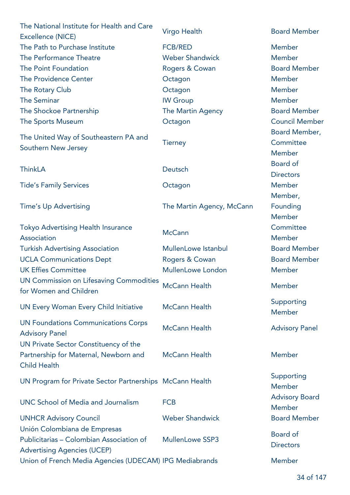| The National Institute for Health and Care<br>Excellence (NICE)                                                | <b>Virgo Health</b>       | <b>Board Member</b>                  |
|----------------------------------------------------------------------------------------------------------------|---------------------------|--------------------------------------|
| The Path to Purchase Institute                                                                                 | <b>FCB/RED</b>            | Member                               |
| The Performance Theatre                                                                                        | <b>Weber Shandwick</b>    | Member                               |
| The Point Foundation                                                                                           | Rogers & Cowan            | <b>Board Member</b>                  |
| The Providence Center                                                                                          | Octagon                   | Member                               |
| The Rotary Club                                                                                                | Octagon                   | Member                               |
| <b>The Seminar</b>                                                                                             | <b>IW Group</b>           | Member                               |
| The Shockoe Partnership                                                                                        | The Martin Agency         | <b>Board Member</b>                  |
| The Sports Museum                                                                                              | Octagon                   | <b>Council Member</b>                |
| The United Way of Southeastern PA and<br>Southern New Jersey                                                   | <b>Tierney</b>            | Board Member,<br>Committee<br>Member |
| <b>ThinkLA</b>                                                                                                 | Deutsch                   | <b>Board of</b>                      |
|                                                                                                                |                           | <b>Directors</b>                     |
| <b>Tide's Family Services</b>                                                                                  | Octagon                   | Member                               |
| Time's Up Advertising                                                                                          | The Martin Agency, McCann | Member,<br>Founding<br>Member        |
| <b>Tokyo Advertising Health Insurance</b><br>Association                                                       | <b>McCann</b>             | Committee<br>Member                  |
| <b>Turkish Advertising Association</b>                                                                         | MullenLowe Istanbul       | <b>Board Member</b>                  |
| <b>UCLA Communications Dept</b>                                                                                | Rogers & Cowan            | <b>Board Member</b>                  |
| <b>UK Effies Committee</b>                                                                                     | MullenLowe London         | Member                               |
| UN Commission on Lifesaving Commodities<br>for Women and Children                                              | McCann Health             | Member                               |
| <b>UN Every Woman Every Child Initiative</b>                                                                   | <b>McCann Health</b>      | Supporting<br>Member                 |
| <b>UN Foundations Communications Corps</b><br><b>Advisory Panel</b>                                            | <b>McCann Health</b>      | <b>Advisory Panel</b>                |
| UN Private Sector Constituency of the<br>Partnership for Maternal, Newborn and<br><b>Child Health</b>          | <b>McCann Health</b>      | Member                               |
| UN Program for Private Sector Partnerships McCann Health                                                       |                           | Supporting<br>Member                 |
| <b>UNC School of Media and Journalism</b>                                                                      | <b>FCB</b>                | <b>Advisory Board</b><br>Member      |
| <b>UNHCR Advisory Council</b>                                                                                  | <b>Weber Shandwick</b>    | <b>Board Member</b>                  |
| Unión Colombiana de Empresas<br>Publicitarias - Colombian Association of<br><b>Advertising Agencies (UCEP)</b> | MullenLowe SSP3           | Board of<br><b>Directors</b>         |
| Union of French Media Agencies (UDECAM) IPG Mediabrands                                                        |                           | Member                               |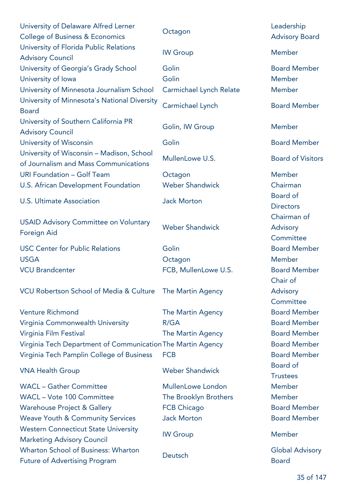| University of Delaware Alfred Lerner<br><b>College of Business &amp; Economics</b> | Octagon                  | Leadership<br><b>Advisory Board</b>    |
|------------------------------------------------------------------------------------|--------------------------|----------------------------------------|
| University of Florida Public Relations                                             | <b>IW Group</b>          | Member                                 |
| <b>Advisory Council</b>                                                            |                          |                                        |
| University of Georgia's Grady School                                               | Golin                    | <b>Board Member</b>                    |
| University of Iowa                                                                 | Golin                    | Member                                 |
| University of Minnesota Journalism School                                          | Carmichael Lynch Relate  | Member                                 |
| University of Minnesota's National Diversity<br><b>Board</b>                       | Carmichael Lynch         | <b>Board Member</b>                    |
| University of Southern California PR<br><b>Advisory Council</b>                    | Golin, IW Group          | Member                                 |
| University of Wisconsin                                                            | Golin                    | <b>Board Member</b>                    |
| University of Wisconsin - Madison, School<br>of Journalism and Mass Communications | MullenLowe U.S.          | <b>Board of Visitors</b>               |
| <b>URI Foundation - Golf Team</b>                                                  | Octagon                  | Member                                 |
| U.S. African Development Foundation                                                | <b>Weber Shandwick</b>   | Chairman                               |
| <b>U.S. Ultimate Association</b>                                                   | <b>Jack Morton</b>       | <b>Board of</b><br><b>Directors</b>    |
| <b>USAID Advisory Committee on Voluntary</b><br>Foreign Aid                        | <b>Weber Shandwick</b>   | Chairman of<br>Advisory<br>Committee   |
| <b>USC Center for Public Relations</b>                                             | Golin                    | <b>Board Member</b>                    |
| <b>USGA</b>                                                                        | Octagon                  | <b>Member</b>                          |
| <b>VCU Brandcenter</b>                                                             | FCB, MullenLowe U.S.     | <b>Board Member</b>                    |
|                                                                                    |                          | Chair of                               |
| VCU Robertson School of Media & Culture                                            | The Martin Agency        | Advisory<br>Committee                  |
| <b>Venture Richmond</b>                                                            | The Martin Agency        | <b>Board Member</b>                    |
| Virginia Commonwealth University                                                   | R/GA                     | <b>Board Member</b>                    |
| Virginia Film Festival                                                             | The Martin Agency        | <b>Board Member</b>                    |
| Virginia Tech Department of Communication The Martin Agency                        |                          | <b>Board Member</b>                    |
| Virginia Tech Pamplin College of Business                                          | <b>FCB</b>               | <b>Board Member</b>                    |
| <b>VNA Health Group</b>                                                            | <b>Weber Shandwick</b>   | <b>Board of</b><br><b>Trustees</b>     |
| <b>WACL</b> - Gather Committee                                                     | <b>MullenLowe London</b> | <b>Member</b>                          |
| <b>WACL - Vote 100 Committee</b>                                                   | The Brooklyn Brothers    | <b>Member</b>                          |
| <b>Warehouse Project &amp; Gallery</b>                                             | <b>FCB Chicago</b>       | <b>Board Member</b>                    |
| <b>Weave Youth &amp; Community Services</b>                                        | <b>Jack Morton</b>       | <b>Board Member</b>                    |
| <b>Western Connecticut State University</b><br><b>Marketing Advisory Council</b>   | <b>IW Group</b>          | Member                                 |
| Wharton School of Business: Wharton<br>Future of Advertising Program               | Deutsch                  | <b>Global Advisory</b><br><b>Board</b> |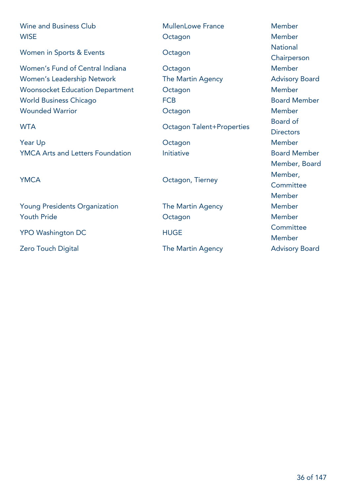| <b>Wine and Business Club</b>           | <b>MullenLowe France</b>         | Member                |
|-----------------------------------------|----------------------------------|-----------------------|
| <b>WISE</b>                             | Octagon                          | Member                |
| Women in Sports & Events                |                                  | <b>National</b>       |
|                                         | Octagon                          | Chairperson           |
| Women's Fund of Central Indiana         | Octagon                          | Member                |
| Women's Leadership Network              | The Martin Agency                | <b>Advisory Board</b> |
| <b>Woonsocket Education Department</b>  | Octagon                          | Member                |
| <b>World Business Chicago</b>           | <b>FCB</b>                       | <b>Board Member</b>   |
| <b>Wounded Warrior</b>                  | Octagon                          | Member                |
| <b>WTA</b>                              | <b>Octagon Talent+Properties</b> | <b>Board of</b>       |
|                                         |                                  | <b>Directors</b>      |
| Year Up                                 | Octagon                          | Member                |
| <b>YMCA Arts and Letters Foundation</b> | Initiative                       | <b>Board Member</b>   |
|                                         |                                  | Member, Board         |
| <b>YMCA</b>                             |                                  | Member,               |
|                                         | Octagon, Tierney                 | Committee             |
|                                         |                                  | Member                |
| <b>Young Presidents Organization</b>    | The Martin Agency                | Member                |
| <b>Youth Pride</b>                      | Octagon                          | Member                |
| <b>YPO Washington DC</b>                | <b>HUGE</b>                      | Committee             |
|                                         |                                  | Member                |
| Zero Touch Digital                      | The Martin Agency                | <b>Advisory Board</b> |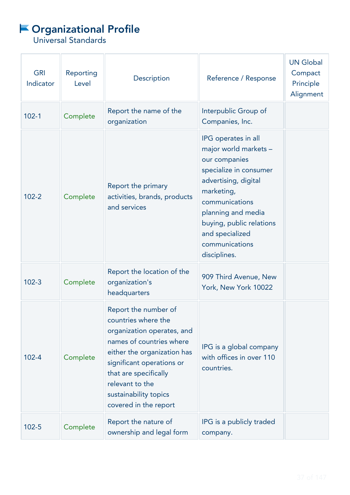# Organizational Profile

Universal Standards

| <b>GRI</b><br>Indicator | Reporting<br>Level | Description                                                                                                                                                                                                                                                     | Reference / Response                                                                                                                                                                                                                                   | <b>UN Global</b><br>Compact<br>Principle<br>Alignment |
|-------------------------|--------------------|-----------------------------------------------------------------------------------------------------------------------------------------------------------------------------------------------------------------------------------------------------------------|--------------------------------------------------------------------------------------------------------------------------------------------------------------------------------------------------------------------------------------------------------|-------------------------------------------------------|
| $102 - 1$               | Complete           | Report the name of the<br>organization                                                                                                                                                                                                                          | Interpublic Group of<br>Companies, Inc.                                                                                                                                                                                                                |                                                       |
| $102 - 2$               | Complete           | Report the primary<br>activities, brands, products<br>and services                                                                                                                                                                                              | IPG operates in all<br>major world markets -<br>our companies<br>specialize in consumer<br>advertising, digital<br>marketing,<br>communications<br>planning and media<br>buying, public relations<br>and specialized<br>communications<br>disciplines. |                                                       |
| $102 - 3$               | Complete           | Report the location of the<br>organization's<br>headquarters                                                                                                                                                                                                    | 909 Third Avenue, New<br>York, New York 10022                                                                                                                                                                                                          |                                                       |
| $102 - 4$               | Complete           | Report the number of<br>countries where the<br>organization operates, and<br>names of countries where<br>either the organization has<br>significant operations or<br>that are specifically<br>relevant to the<br>sustainability topics<br>covered in the report | IPG is a global company<br>with offices in over 110<br>countries.                                                                                                                                                                                      |                                                       |
| $102 - 5$               | Complete           | Report the nature of<br>ownership and legal form                                                                                                                                                                                                                | IPG is a publicly traded<br>company.                                                                                                                                                                                                                   |                                                       |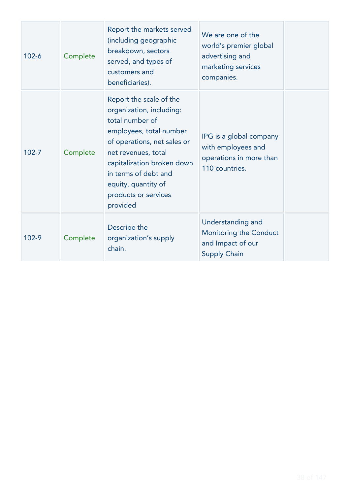| $102 - 6$ | Complete | Report the markets served<br>(including geographic<br>breakdown, sectors<br>served, and types of<br>customers and<br>beneficiaries).                                                                                                                                     | We are one of the<br>world's premier global<br>advertising and<br>marketing services<br>companies. |  |
|-----------|----------|--------------------------------------------------------------------------------------------------------------------------------------------------------------------------------------------------------------------------------------------------------------------------|----------------------------------------------------------------------------------------------------|--|
| $102 - 7$ | Complete | Report the scale of the<br>organization, including:<br>total number of<br>employees, total number<br>of operations, net sales or<br>net revenues, total<br>capitalization broken down<br>in terms of debt and<br>equity, quantity of<br>products or services<br>provided | IPG is a global company<br>with employees and<br>operations in more than<br>110 countries.         |  |
| $102 - 9$ | Complete | Describe the<br>organization's supply<br>chain.                                                                                                                                                                                                                          | Understanding and<br>Monitoring the Conduct<br>and Impact of our<br><b>Supply Chain</b>            |  |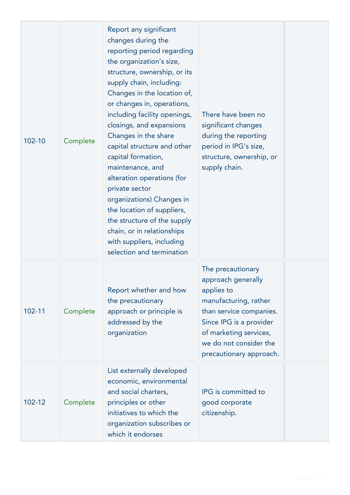| 102-10     | Complete | Report any significant<br>changes during the<br>reporting period regarding<br>the organization's size,<br>structure, ownership, or its<br>supply chain, including:<br>Changes in the location of,<br>or changes in, operations,<br>including facility openings,<br>closings, and expansions<br>Changes in the share<br>capital structure and other<br>capital formation,<br>maintenance, and<br>alteration operations (for<br>private sector<br>organizations) Changes in<br>the location of suppliers,<br>the structure of the supply<br>chain, or in relationships<br>with suppliers, including<br>selection and termination | There have been no<br>significant changes<br>during the reporting<br>period in IPG's size,<br>structure, ownership, or<br>supply chain.                                                                             |  |
|------------|----------|--------------------------------------------------------------------------------------------------------------------------------------------------------------------------------------------------------------------------------------------------------------------------------------------------------------------------------------------------------------------------------------------------------------------------------------------------------------------------------------------------------------------------------------------------------------------------------------------------------------------------------|---------------------------------------------------------------------------------------------------------------------------------------------------------------------------------------------------------------------|--|
| $102 - 11$ | Complete | Report whether and how<br>the precautionary<br>approach or principle is<br>addressed by the<br>organization                                                                                                                                                                                                                                                                                                                                                                                                                                                                                                                    | The precautionary<br>approach generally<br>applies to<br>manufacturing, rather<br>than service companies.<br>Since IPG is a provider<br>of marketing services,<br>we do not consider the<br>precautionary approach. |  |
| 102-12     | Complete | List externally developed<br>economic, environmental<br>and social charters,<br>principles or other<br>initiatives to which the<br>organization subscribes or<br>which it endorses                                                                                                                                                                                                                                                                                                                                                                                                                                             | IPG is committed to<br>good corporate<br>citizenship.                                                                                                                                                               |  |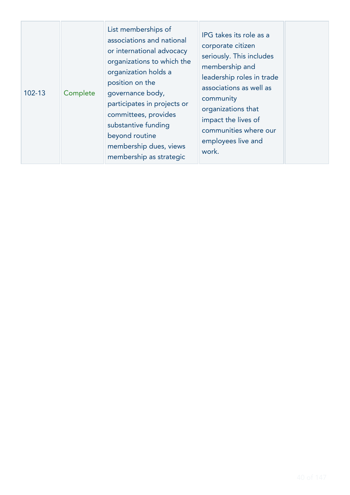| $102 - 13$ | Complete | List memberships of<br>associations and national<br>or international advocacy<br>organizations to which the<br>organization holds a<br>position on the<br>governance body,<br>participates in projects or<br>committees, provides<br>substantive funding<br>beyond routine<br>membership dues, views<br>membership as strategic | IPG takes its role as a<br>corporate citizen<br>seriously. This includes<br>membership and<br>leadership roles in trade<br>associations as well as<br>community<br>organizations that<br>impact the lives of<br>communities where our<br>employees live and<br>work. |  |
|------------|----------|---------------------------------------------------------------------------------------------------------------------------------------------------------------------------------------------------------------------------------------------------------------------------------------------------------------------------------|----------------------------------------------------------------------------------------------------------------------------------------------------------------------------------------------------------------------------------------------------------------------|--|
|------------|----------|---------------------------------------------------------------------------------------------------------------------------------------------------------------------------------------------------------------------------------------------------------------------------------------------------------------------------------|----------------------------------------------------------------------------------------------------------------------------------------------------------------------------------------------------------------------------------------------------------------------|--|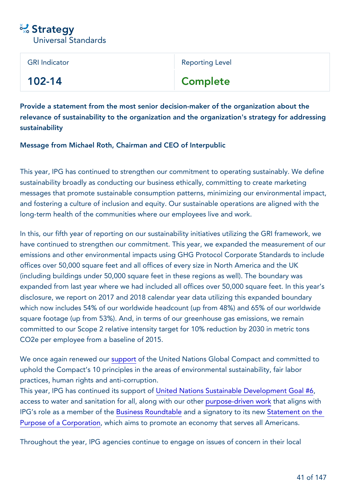#### Strategy Universal Standards

GRI Indicator Reporting Level

102-14 Complete

Provide a statement from the most senior decision-maker of the organization about the organization and the sense of the sense of the sense of the sense of the sense of the sense of the sense of the sense of the sense of th relevance of sustainability to the organization and the organizati sustainability

Message from Michael Roth, Chairman and CEO of Interpublic

This year, IPG has continued to strengthen our commitment to op sustainability broadly as conducting our business ethically, comm messages that promote sustainable consumption patterns, minimizing and fostering a culture of inclusion and equity. Our sustainable o long-term health of the communities where our employees live an

In this, our fifth year of reporting on our sustainability initiatives have continued to strengthen our commitment. This year, we expa emissions and other environmental impacts using GHG Protocol C offices over 50,000 square feet and all offices of every size in N (including buildings under 50,000 square feet in these regions as expanded from last year where we had included all offices over 5 disclosure, we report on 2017 and 2018 calendar year data utilizi which now includes 54% of our worldwide headcount (up from 48% square footage (up from 53%). And, in terms of our greenhouse g committed to our Scope 2 relative intensity target for 10% reduct CO2e per employee from a baseline of 2015.

We once again rensewpepdo offurthe United Nations Global Compact and uphold the Compact s 10 principles in the areas of environmental practices, human rights and anti-corruption.

This year, IPG has continue thits ds National so Sustainable Development Children Contra Entertainable Developme access to water and sanitation for album about our interesting to the equinour burst with a ccess to water and sanitation for album about with any other with a IPG s role as a memBloustineefs the Rounachtobalesignatory Socialtes meen wt on the [Purpose of a Co](https://www.businessroundtable.org/business-roundtable-redefines-the-purpose-of-a-corporation-to-promote-an-economy-that-serves-all-americans)rpoon had ho aims to promote an economy that serves all Americans.

Throughout the year, IPG agencies continue to engage on issues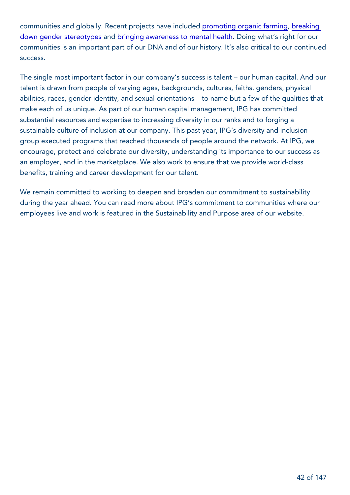communities and globally. Recent pr**piects thagy @rignachuic lefreteranking** [down gender ste](https://www.interpublic.com/case-study/mccann-new-york-and-microsoft-partner-on-super-bowl-ad-with-katie-sowers/)raodypregsing awareness to meDrotianighwebatths right for communities is an important part of our DNA and of our history. I success.

The single most important factor in our company s success is talent talent is drawn from people of varying ages, backgrounds, culture abilities, races, gender identity, and sexual orientations to nam make each of us unique. As part of our human capital management substantial resources and expertise to increasing diversity in our sustainable culture of inclusion at our company. This past year, I group executed programs that reached thousands of people aroun encourage, protect and celebrate our diversity, understanding its an employer, and in the marketplace. We also work to ensure that benefits, training and career development for our talent.

We remain committed to working to deepen and broaden our comm during the year ahead. You can read more about IPG s commitment employees live and work is featured in the Sustainability and Pur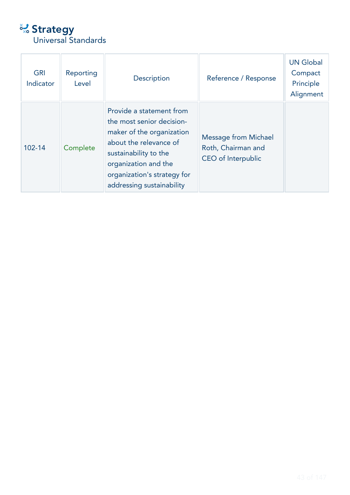

| <b>GRI</b><br>Indicator | Reporting<br>Level | Description                                                                                                                                                                                                               | Reference / Response                                                    | <b>UN Global</b><br>Compact<br>Principle<br>Alignment |
|-------------------------|--------------------|---------------------------------------------------------------------------------------------------------------------------------------------------------------------------------------------------------------------------|-------------------------------------------------------------------------|-------------------------------------------------------|
| $102 - 14$              | Complete           | Provide a statement from<br>the most senior decision-<br>maker of the organization<br>about the relevance of<br>sustainability to the<br>organization and the<br>organization's strategy for<br>addressing sustainability | <b>Message from Michael</b><br>Roth, Chairman and<br>CEO of Interpublic |                                                       |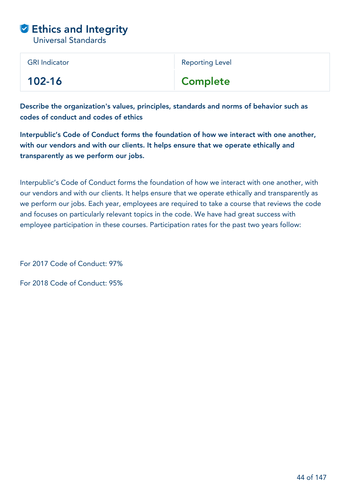# **Ethics and Integrity**

Universal Standards

| <b>GRI</b> Indicator | <b>Reporting Level</b> |
|----------------------|------------------------|
| 102-16               | <b>Complete</b>        |

Describe the organization's values, principles, standards and norms of behavior such as codes of conduct and codes of ethics

Interpublic's Code of Conduct forms the foundation of how we interact with one another, with our vendors and with our clients. It helps ensure that we operate ethically and transparently as we perform our jobs.

Interpublic's Code of Conduct forms the foundation of how we interact with one another, with our vendors and with our clients. It helps ensure that we operate ethically and transparently as we perform our jobs. Each year, employees are required to take a course that reviews the code and focuses on particularly relevant topics in the code. We have had great success with employee participation in these courses. Participation rates for the past two years follow:

For 2017 Code of Conduct: 97%

For 2018 Code of Conduct: 95%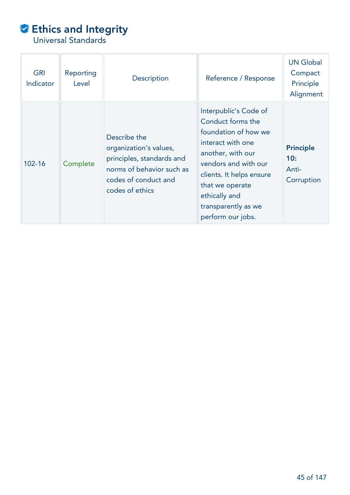### Ethics and Integrity

Universal Standards

| <b>GRI</b><br>Indicator | Reporting<br>Level | Description                                                                                                                                 | Reference / Response                                                                                                                                                                                                                             | <b>UN Global</b><br>Compact<br>Principle<br>Alignment |
|-------------------------|--------------------|---------------------------------------------------------------------------------------------------------------------------------------------|--------------------------------------------------------------------------------------------------------------------------------------------------------------------------------------------------------------------------------------------------|-------------------------------------------------------|
| 102-16                  | Complete           | Describe the<br>organization's values,<br>principles, standards and<br>norms of behavior such as<br>codes of conduct and<br>codes of ethics | Interpublic's Code of<br>Conduct forms the<br>foundation of how we<br>interact with one<br>another, with our<br>vendors and with our<br>clients. It helps ensure<br>that we operate<br>ethically and<br>transparently as we<br>perform our jobs. | <b>Principle</b><br>10:<br>Anti-<br>Corruption        |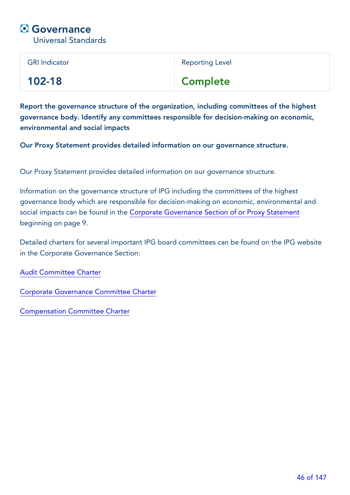#### Governance Universal Standards

GRI Indicator Reporting Level

#### 102-18 Complete

Report the governance structure of the organization, including co governance body. Identify any committees responsible for decisio environmental and social impacts

Our Proxy Statement provides detailed information on our govern.

Our Proxy Statement provides detailed information on our govern.

Information on the governance structure of IPG including the com governance body which are responsible for decision-making on ed social impacts can be *Coupod riantet IGeovernance* Section of or Proxy Statement beginning on page 9.

Detailed charters for several important IPG board committees can in the Corporate Governance Section:

[Audit Committee](https://www.interpublic.com/wp-content/uploads/2019/07/AuditCommitteeCharterF7-28-17.pdf) Charter

[Corporate Governance Com](https://www.interpublic.com/wp-content/uploads/2019/07/CorporateGovernanceCommitteeCharter2016.pdf)mittee Charter

[Compensation Commit](https://www.interpublic.com/wp-content/uploads/2019/07/CompensationCommitteeCharterDr10-26-2016F.pdf)tee Charter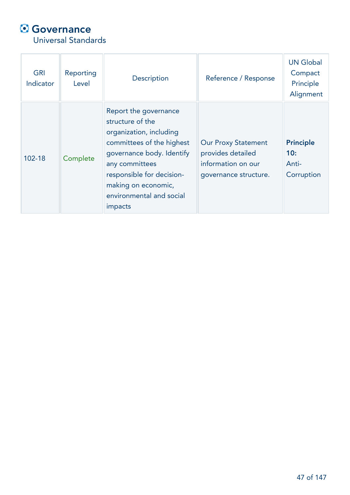### **G** Governance

Universal Standards

| <b>GRI</b><br>Indicator | Reporting<br>Level | <b>Description</b>                                                                                                                                                                                                                          | Reference / Response                                                                           | <b>UN Global</b><br>Compact<br>Principle<br>Alignment |
|-------------------------|--------------------|---------------------------------------------------------------------------------------------------------------------------------------------------------------------------------------------------------------------------------------------|------------------------------------------------------------------------------------------------|-------------------------------------------------------|
| 102-18                  | Complete           | Report the governance<br>structure of the<br>organization, including<br>committees of the highest<br>governance body. Identify<br>any committees<br>responsible for decision-<br>making on economic,<br>environmental and social<br>impacts | <b>Our Proxy Statement</b><br>provides detailed<br>information on our<br>governance structure. | <b>Principle</b><br>10:<br>Anti-<br>Corruption        |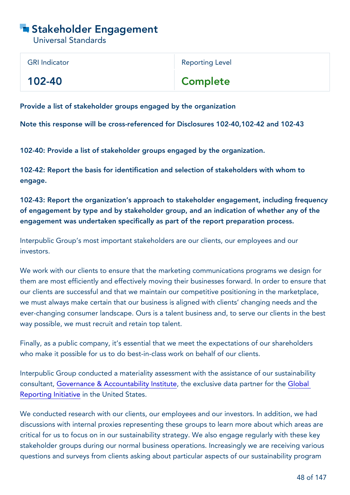#### Stakeholder Engagement Universal Standards

| <b>GRI</b> Indicator | Reporting Level |
|----------------------|-----------------|
| $102 - 40$           | Complete        |

Provide a list of stakeholder groups engaged by the organization

Note this response will be cross-referenced for Disclosures 102-4

102-40: Provide a list of stakeholder groups engaged by the organization.

102-42: Report the basis for identification and selection of stake engage.

102-43: Report the organization s approach to stakeholder engag of engagement by type and by stakeholder group, and an indication engagement was undertaken specifically as part of the report pre

Interpublic Group s most important stakeholders are our clients, investors.

We work with our clients to ensure that the marketing communica them are most efficiently and effectively moving their businesses our clients are successful and that we maintain our competitive p we must always make certain that our business is aligned with cli ever-changing consumer landscape. Ours is a talent business and way possible, we must recruit and retain top talent.

Finally, as a public company, it s essential that we meet the expert who make it possible for us to do best-in-class work on behalf of

Interpublic Group conducted a materiality assessment with the as consult Senoty ernance & Accountabilitity box still the data p[artne](https://www.globalreporting.org/Pages/default.aspx)ral for the [Glob](https://www.globalreporting.org/Pages/default.aspx)al Consult of the Global Sense of the Global Sense of the Global Sense of the Global Sense of the Global Sense of the Global Sense of the G [Reporting In](https://www.globalreporting.org/Pages/default.aspx)itiathee United States.

We conducted research with our clients, our employees and our in discussions with internal proxies representing these groups to le critical for us to focus on in our sustainability strategy. We also stakeholder groups during our normal business operations. Increa questions and surveys from clients asking about particular aspec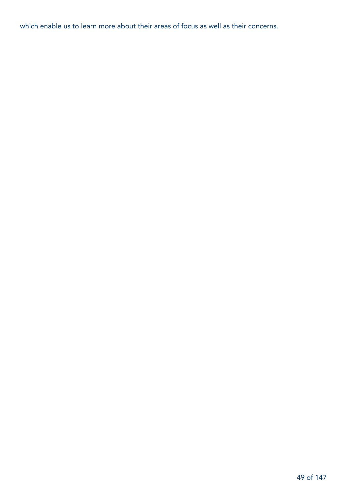which enable us to learn more about their areas of focus as well as their concerns.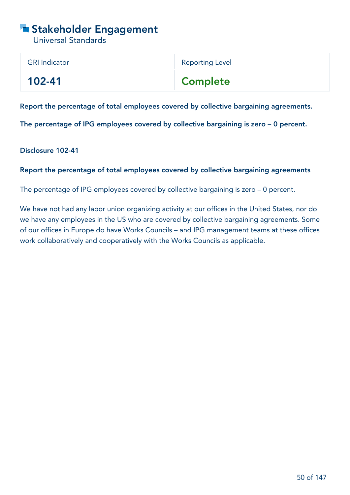### **Extekeholder Engagement**

Universal Standards

| <b>GRI</b> Indicator | <b>Reporting Level</b> |
|----------------------|------------------------|
| 102-41               | <b>Complete</b>        |

Report the percentage of total employees covered by collective bargaining agreements.

The percentage of IPG employees covered by collective bargaining is zero – 0 percent.

#### Disclosure 102-41

#### Report the percentage of total employees covered by collective bargaining agreements

The percentage of IPG employees covered by collective bargaining is zero – 0 percent.

We have not had any labor union organizing activity at our offices in the United States, nor do we have any employees in the US who are covered by collective bargaining agreements. Some of our offices in Europe do have Works Councils – and IPG management teams at these offices work collaboratively and cooperatively with the Works Councils as applicable.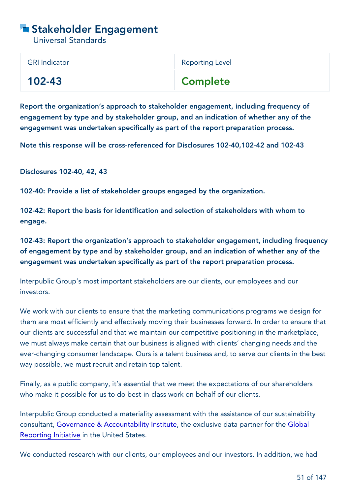#### Stakeholder Engagement Universal Standards

| <b>GRI</b> Indicator | Reporting Level |  |
|----------------------|-----------------|--|
| $102 - 43$           | Complete        |  |

Report the organization s approach to stakeholder engagement, in engagement by type and by stakeholder group, and an indication engagement was undertaken specifically as part of the report pre

Note this response will be cross-referenced for Disclosures 102-4

Disclosures 102-40, 42, 43

102-40: Provide a list of stakeholder groups engaged by the organization.

102-42: Report the basis for identification and selection of stake engage.

102-43: Report the organization s approach to stakeholder engag of engagement by type and by stakeholder group, and an indication engagement was undertaken specifically as part of the report pre

Interpublic Group s most important stakeholders are our clients, investors.

We work with our clients to ensure that the marketing communica them are most efficiently and effectively moving their businesses our clients are successful and that we maintain our competitive p we must always make certain that our business is aligned with cli ever-changing consumer landscape. Ours is a talent business and way possible, we must recruit and retain top talent.

Finally, as a public company, it s essential that we meet the expert who make it possible for us to do best-in-class work on behalf of

Interpublic Group conducted a materiality assessment with the as consult  $\epsilon$  foty ernance & Accountabilitity box still the data particle alfor the [Glob](https://www.globalreporting.org/Pages/default.aspx)al for the Global for th [Reporting In](https://www.globalreporting.org/Pages/default.aspx)itiathee United States.

We conducted research with our clients, our employees and our in

51 of 147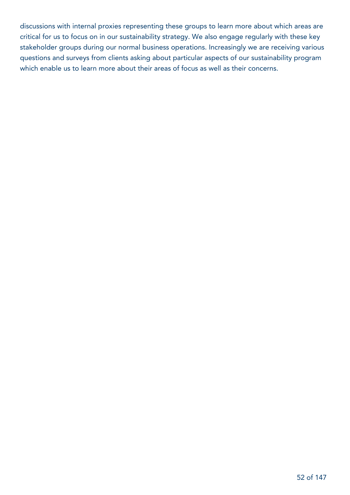discussions with internal proxies representing these groups to learn more about which areas are critical for us to focus on in our sustainability strategy. We also engage regularly with these key stakeholder groups during our normal business operations. Increasingly we are receiving various questions and surveys from clients asking about particular aspects of our sustainability program which enable us to learn more about their areas of focus as well as their concerns.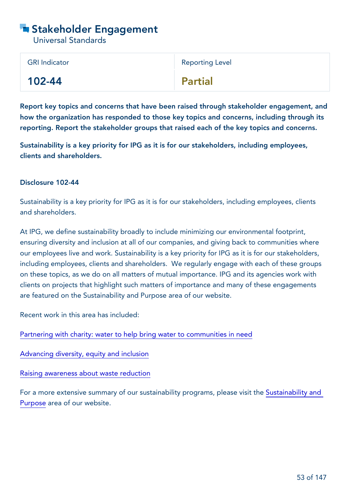#### Stakeholder Engagement Universal Standards

| <b>GRI</b> Indicator | Reporting Level |
|----------------------|-----------------|
| $102 - 44$           | Partial         |

Report key topics and concerns that have been raised through sta how the organization has responded to those key topics and conc reporting. Report the stakeholder groups that raised each of the

Sustainability is a key priority for IPG as it is for our stakeholde clients and shareholders.

Disclosure 102-44

Sustainability is a key priority for IPG as it is for our stakeholde and shareholders.

At IPG, we define sustainability broadly to include minimizing our ensuring diversity and inclusion at all of our companies, and givi our employees live and work. Sustainability is a key priority for I including employees, clients and shareholders. We regularly eng on these topics, as we do on all matters of mutual importance. IP clients on projects that highlight such matters of importance and are featured on the Sustainability and Purpose area of our websit

Recent work in this area has included:

[Partnering with charity: water to help bring wa](https://www.interpublic.com/news/construction-completed-on-ipg-water-project-in-ethiopia/)ter to communities

[Advancing diversity, equi](https://www.interpublic.com/case-study/mccann-xbc-works-with-mastercard-on-acceptance-matters-initiative/)ty and inclusion

[Raising awareness about w](https://www.interpublic.com/case-study/the-brooklyn-brothers-and-inspired-by-iceland-launch-premium-tap-water-brand-to-reduce-waste/)aste reduction

For a more extensive summary of our sustainabili**ss** y spt ao grammisty par [Purpo](https://www.interpublic.com/our-values/sustainability-purpose/)seea of our website.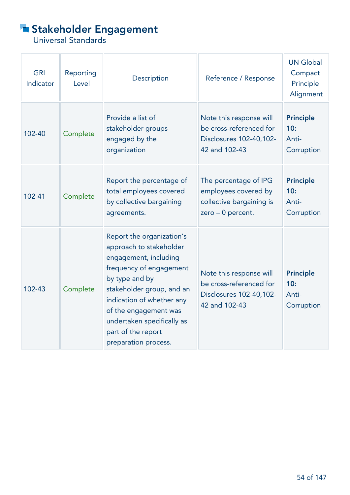# Stakeholder Engagement

Universal Standards

| <b>GRI</b><br>Indicator | Reporting<br>Level | Description                                                                                                                                                                                                                                                                               | Reference / Response                                                                           | <b>UN Global</b><br>Compact<br>Principle<br>Alignment |
|-------------------------|--------------------|-------------------------------------------------------------------------------------------------------------------------------------------------------------------------------------------------------------------------------------------------------------------------------------------|------------------------------------------------------------------------------------------------|-------------------------------------------------------|
| 102-40                  | Complete           | Provide a list of<br>stakeholder groups<br>engaged by the<br>organization                                                                                                                                                                                                                 | Note this response will<br>be cross-referenced for<br>Disclosures 102-40,102-<br>42 and 102-43 | <b>Principle</b><br>10:<br>Anti-<br>Corruption        |
| 102-41                  | Complete           | Report the percentage of<br>total employees covered<br>by collective bargaining<br>agreements.                                                                                                                                                                                            | The percentage of IPG<br>employees covered by<br>collective bargaining is<br>zero - 0 percent. | <b>Principle</b><br>10:<br>Anti-<br>Corruption        |
| 102-43                  | Complete           | Report the organization's<br>approach to stakeholder<br>engagement, including<br>frequency of engagement<br>by type and by<br>stakeholder group, and an<br>indication of whether any<br>of the engagement was<br>undertaken specifically as<br>part of the report<br>preparation process. | Note this response will<br>be cross-referenced for<br>Disclosures 102-40,102-<br>42 and 102-43 | <b>Principle</b><br>10:<br>Anti-<br>Corruption        |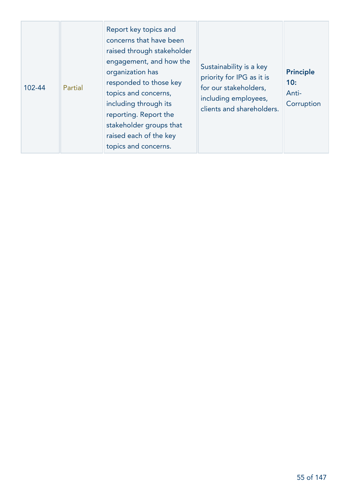| 102-44 | Partial | Report key topics and<br>concerns that have been<br>raised through stakeholder<br>engagement, and how the<br>organization has<br>responded to those key<br>topics and concerns,<br>including through its<br>reporting. Report the<br>stakeholder groups that<br>raised each of the key<br>topics and concerns. | Sustainability is a key<br>priority for IPG as it is<br>for our stakeholders,<br>including employees,<br>clients and shareholders. | <b>Principle</b><br>10:<br>Anti-<br>Corruption |
|--------|---------|----------------------------------------------------------------------------------------------------------------------------------------------------------------------------------------------------------------------------------------------------------------------------------------------------------------|------------------------------------------------------------------------------------------------------------------------------------|------------------------------------------------|
|--------|---------|----------------------------------------------------------------------------------------------------------------------------------------------------------------------------------------------------------------------------------------------------------------------------------------------------------------|------------------------------------------------------------------------------------------------------------------------------------|------------------------------------------------|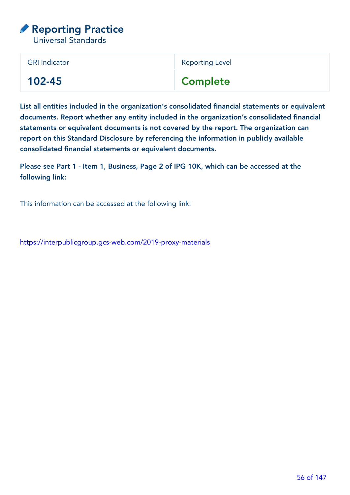#### Reporting Practice Universal Standards

| <b>GRI</b> Indicator | Reporting Level |
|----------------------|-----------------|
| $102 - 45$           | Complete        |

List all entities included in the organization s consolidated finan documents. Report whether any entity included in the organizatio statements or equivalent documents is not covered by the report. report on this Standard Disclosure by referencing the information consolidated financial statements or equivalent documents.

Please see Part 1 - Item 1, Business, Page 2 of IPG 10K, which c following link:

This information can be accessed at the following link:

[https://interpublicgroup.gcs-web.com/](https://interpublicgroup.gcs-web.com/2019-proxy-materials)2019-proxy-materials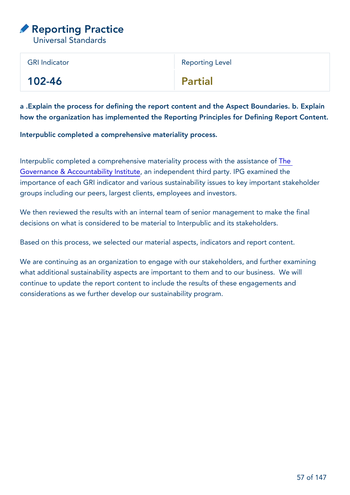#### Reporting Practice Universal Standards

| <b>GRI</b> Indicator | Reporting Level |
|----------------------|-----------------|
| $102 - 46$           | Partial         |

a . Explain the process for defining the report content and the Asp how the organization has implemented the Reporting Principles for

Interpublic completed a comprehensive materiality process.

Interpublic completed a comprehensive materiality [pro](https://www.ga-institute.com/)cess with the assistance of [Th](https://www.ga-institute.com/)e assistance of The assistance of The assistance of The assistance of The assistance of The assistance of The assistance of The assistance [Governance & Accountab](https://www.ga-institute.com/)ilaty indet pentube nt third party. IPG examined the set of the theorem in the set of the theorem in the set of the theorem in the set of the theorem in the set of the set of the set of the set of the importance of each GRI indicator and various sustainability issue groups including our peers, largest clients, employees and invest

We then reviewed the results with an internal team of senior man decisions on what is considered to be material to Interpublic and

Based on this process, we selected our material aspects, indicate

We are continuing as an organization to engage with our stakeholders, and functional and further examine are examined as an organization to engage with our stakeholder what additional sustainability aspects are important to them and continue to update the report content to include the results of the considerations as we further develop our sustainability program.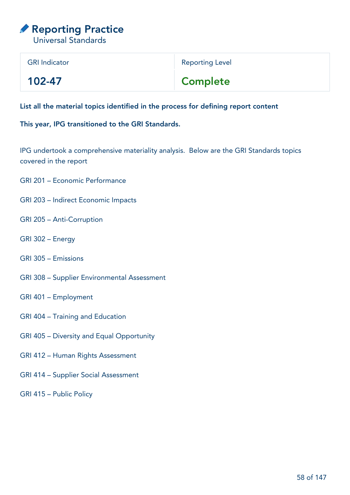Universal Standards

| <b>GRI Indicator</b> | <b>Reporting Level</b> |
|----------------------|------------------------|
| 102-47               | Complete               |

List all the material topics identified in the process for defining report content

This year, IPG transitioned to the GRI Standards.

IPG undertook a comprehensive materiality analysis. Below are the GRI Standards topics covered in the report

- GRI 201 Economic Performance
- GRI 203 Indirect Economic Impacts
- GRI 205 Anti-Corruption
- GRI 302 Energy
- GRI 305 Emissions
- GRI 308 Supplier Environmental Assessment
- GRI 401 Employment
- GRI 404 Training and Education
- GRI 405 Diversity and Equal Opportunity
- GRI 412 Human Rights Assessment
- GRI 414 Supplier Social Assessment
- GRI 415 Public Policy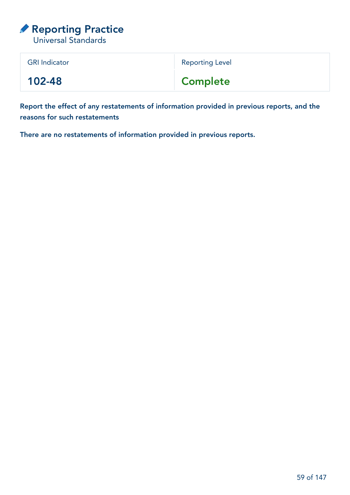Universal Standards

| <b>GRI</b> Indicator | <b>Reporting Level</b> |
|----------------------|------------------------|
| 102-48               | Complete               |

Report the effect of any restatements of information provided in previous reports, and the reasons for such restatements

There are no restatements of information provided in previous reports.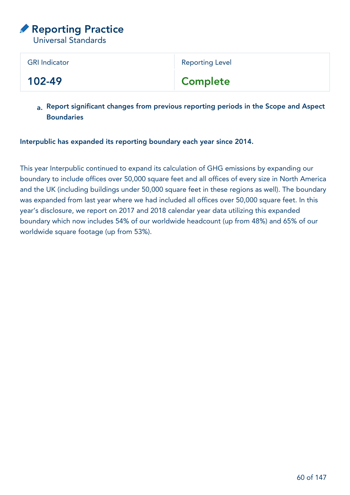### ◆ Reporting Practice Universal Standards

| <b>GRI Indicator</b> | <b>Reporting Level</b> |
|----------------------|------------------------|
| 102-49               | <b>Complete</b>        |

a. Report significant changes from previous reporting periods in the Scope and Aspect **Boundaries** 

#### Interpublic has expanded its reporting boundary each year since 2014.

This year Interpublic continued to expand its calculation of GHG emissions by expanding our boundary to include offices over 50,000 square feet and all offices of every size in North America and the UK (including buildings under 50,000 square feet in these regions as well). The boundary was expanded from last year where we had included all offices over 50,000 square feet. In this year's disclosure, we report on 2017 and 2018 calendar year data utilizing this expanded boundary which now includes 54% of our worldwide headcount (up from 48%) and 65% of our worldwide square footage (up from 53%).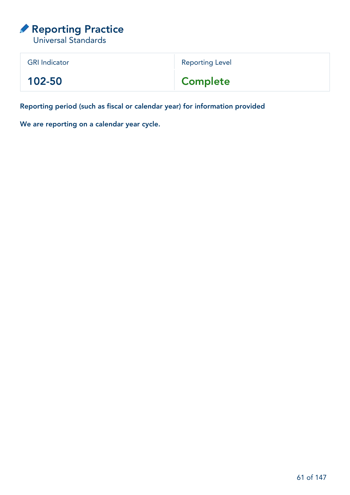Universal Standards

| <b>GRI</b> Indicator | <b>Reporting Level</b> |
|----------------------|------------------------|
| 102-50               | <b>Complete</b>        |

Reporting period (such as fiscal or calendar year) for information provided

We are reporting on a calendar year cycle.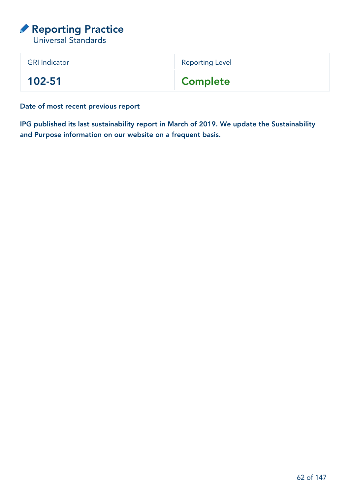Universal Standards

| <b>GRI</b> Indicator | <b>Reporting Level</b> |
|----------------------|------------------------|
| 102-51               | <b>Complete</b>        |

Date of most recent previous report

IPG published its last sustainability report in March of 2019. We update the Sustainability and Purpose information on our website on a frequent basis.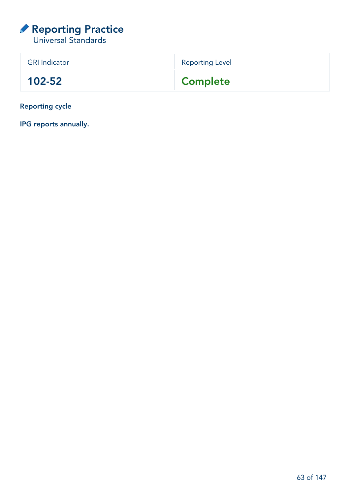Universal Standards

| <b>GRI</b> Indicator | <b>Reporting Level</b> |
|----------------------|------------------------|
| 102-52               | <b>Complete</b>        |

Reporting cycle

IPG reports annually.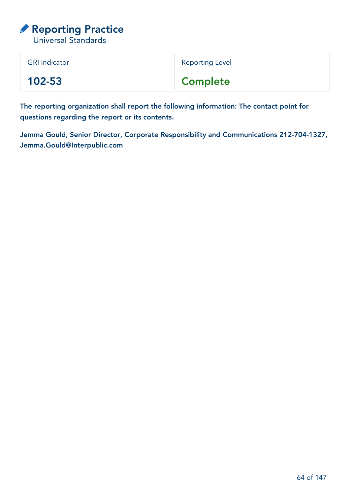Universal Standards

| <b>GRI</b> Indicator | <b>Reporting Level</b> |
|----------------------|------------------------|
| 102-53               | <b>Complete</b>        |

The reporting organization shall report the following information: The contact point for questions regarding the report or its contents.

Jemma Gould, Senior Director, Corporate Responsibility and Communications 212-704-1327, Jemma.Gould@Interpublic.com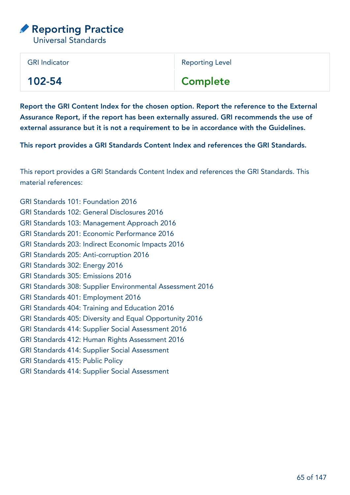Universal Standards

| <b>GRI</b> Indicator | <b>Reporting Level</b> |
|----------------------|------------------------|
| 102-54               | <b>Complete</b>        |

Report the GRI Content Index for the chosen option. Report the reference to the External Assurance Report, if the report has been externally assured. GRI recommends the use of external assurance but it is not a requirement to be in accordance with the Guidelines.

This report provides a GRI Standards Content Index and references the GRI Standards.

This report provides a GRI Standards Content Index and references the GRI Standards. This material references:

- GRI Standards 101: Foundation 2016
- GRI Standards 102: General Disclosures 2016
- GRI Standards 103: Management Approach 2016
- GRI Standards 201: Economic Performance 2016
- GRI Standards 203: Indirect Economic Impacts 2016
- GRI Standards 205: Anti-corruption 2016
- GRI Standards 302: Energy 2016
- GRI Standards 305: Emissions 2016
- GRI Standards 308: Supplier Environmental Assessment 2016
- GRI Standards 401: Employment 2016
- GRI Standards 404: Training and Education 2016
- GRI Standards 405: Diversity and Equal Opportunity 2016
- GRI Standards 414: Supplier Social Assessment 2016
- GRI Standards 412: Human Rights Assessment 2016
- GRI Standards 414: Supplier Social Assessment
- GRI Standards 415: Public Policy
- GRI Standards 414: Supplier Social Assessment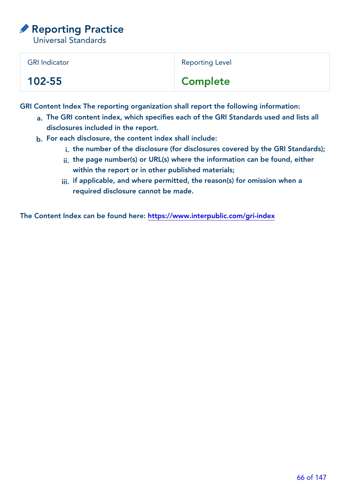#### Reporting Practice Universal Standards

| Complete<br>$102 - 55$ | <b>GRI</b> Indicator | Reporting Level |
|------------------------|----------------------|-----------------|
|                        |                      |                 |

GRI Content Index The reporting organization shall report the fol a. The GRI content index, which specifies each of the GRI Star disclosures included in the report.

- b.For each disclosure, the content index shall include:
	- j.the number of the disclosure (for disclosures covered by  $ii$ , the page number(s) or URL(s) where the information ca within the report or in other published materials;
	- jijif applicable, and where permitted, the reason(s) for o required disclosure cannot be made.

The Content Index can behfton psd//www.interpublic.com/gri-index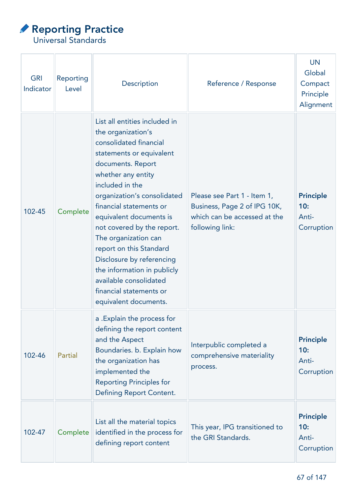Universal Standards

| <b>GRI</b><br>Indicator | Reporting<br>Level | Description                                                                                                                                                                                                                                                                                                                                                                                                                                                                             | Reference / Response                                                                                           | <b>UN</b><br>Global<br>Compact<br>Principle<br>Alignment |
|-------------------------|--------------------|-----------------------------------------------------------------------------------------------------------------------------------------------------------------------------------------------------------------------------------------------------------------------------------------------------------------------------------------------------------------------------------------------------------------------------------------------------------------------------------------|----------------------------------------------------------------------------------------------------------------|----------------------------------------------------------|
| 102-45                  | Complete           | List all entities included in<br>the organization's<br>consolidated financial<br>statements or equivalent<br>documents. Report<br>whether any entity<br>included in the<br>organization's consolidated<br>financial statements or<br>equivalent documents is<br>not covered by the report.<br>The organization can<br>report on this Standard<br>Disclosure by referencing<br>the information in publicly<br>available consolidated<br>financial statements or<br>equivalent documents. | Please see Part 1 - Item 1,<br>Business, Page 2 of IPG 10K,<br>which can be accessed at the<br>following link: | <b>Principle</b><br>10:<br>Anti-<br>Corruption           |
| 102-46                  | Partial            | a . Explain the process for<br>defining the report content<br>and the Aspect<br>Boundaries. b. Explain how<br>the organization has<br>implemented the<br><b>Reporting Principles for</b><br>Defining Report Content.                                                                                                                                                                                                                                                                    | Interpublic completed a<br>comprehensive materiality<br>process.                                               | <b>Principle</b><br>10:<br>Anti-<br>Corruption           |
| 102-47                  | Complete           | List all the material topics<br>identified in the process for<br>defining report content                                                                                                                                                                                                                                                                                                                                                                                                | This year, IPG transitioned to<br>the GRI Standards.                                                           | <b>Principle</b><br>10:<br>Anti-<br>Corruption           |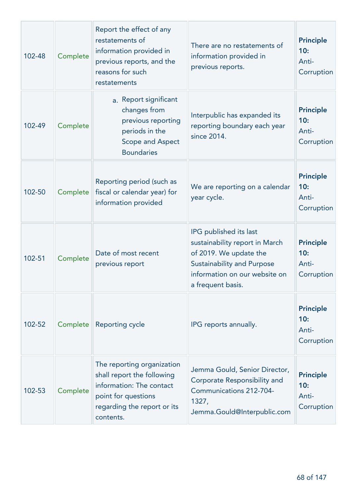| 102-48 | Complete | Report the effect of any<br>restatements of<br>information provided in<br>previous reports, and the<br>reasons for such<br>restatements                 | There are no restatements of<br>information provided in<br>previous reports.                                                                                                  | <b>Principle</b><br>10:<br>Anti-<br>Corruption |
|--------|----------|---------------------------------------------------------------------------------------------------------------------------------------------------------|-------------------------------------------------------------------------------------------------------------------------------------------------------------------------------|------------------------------------------------|
| 102-49 | Complete | a. Report significant<br>changes from<br>previous reporting<br>periods in the<br>Scope and Aspect<br><b>Boundaries</b>                                  | Interpublic has expanded its<br>reporting boundary each year<br>since 2014.                                                                                                   | <b>Principle</b><br>10:<br>Anti-<br>Corruption |
| 102-50 | Complete | Reporting period (such as<br>fiscal or calendar year) for<br>information provided                                                                       | We are reporting on a calendar<br>year cycle.                                                                                                                                 | <b>Principle</b><br>10:<br>Anti-<br>Corruption |
| 102-51 | Complete | Date of most recent<br>previous report                                                                                                                  | IPG published its last<br>sustainability report in March<br>of 2019. We update the<br><b>Sustainability and Purpose</b><br>information on our website on<br>a frequent basis. | <b>Principle</b><br>10:<br>Anti-<br>Corruption |
| 102-52 | Complete | Reporting cycle                                                                                                                                         | IPG reports annually.                                                                                                                                                         | <b>Principle</b><br>10:<br>Anti-<br>Corruption |
| 102-53 | Complete | The reporting organization<br>shall report the following<br>information: The contact<br>point for questions<br>regarding the report or its<br>contents. | Jemma Gould, Senior Director,<br>Corporate Responsibility and<br><b>Communications 212-704-</b><br>1327,<br>Jemma.Gould@Interpublic.com                                       | <b>Principle</b><br>10:<br>Anti-<br>Corruption |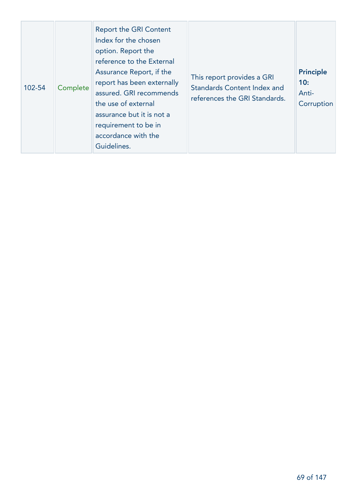| 102-54 | Complete | Report the GRI Content<br>Index for the chosen<br>option. Report the<br>reference to the External<br>Assurance Report, if the<br>report has been externally<br>assured. GRI recommends<br>the use of external<br>assurance but it is not a<br>requirement to be in<br>accordance with the<br>Guidelines. | This report provides a GRI<br><b>Standards Content Index and</b><br>references the GRI Standards. | <b>Principle</b><br>10:<br>Anti-<br>Corruption |
|--------|----------|----------------------------------------------------------------------------------------------------------------------------------------------------------------------------------------------------------------------------------------------------------------------------------------------------------|---------------------------------------------------------------------------------------------------|------------------------------------------------|
|--------|----------|----------------------------------------------------------------------------------------------------------------------------------------------------------------------------------------------------------------------------------------------------------------------------------------------------------|---------------------------------------------------------------------------------------------------|------------------------------------------------|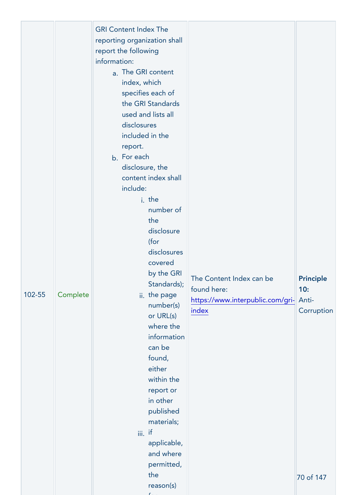|                   | <b>GRI Content Index</b> |                                |            |     |
|-------------------|--------------------------|--------------------------------|------------|-----|
|                   | reporting organiza       |                                |            |     |
|                   | report the followin      |                                |            |     |
|                   | information:             |                                |            |     |
|                   | a. The GRI cont          |                                |            |     |
|                   | index, which             |                                |            |     |
|                   | specifies eac            |                                |            |     |
|                   | the GRI Stan             |                                |            |     |
|                   | used and list            |                                |            |     |
|                   | disclosures              |                                |            |     |
|                   | included in th           |                                |            |     |
|                   | report.                  |                                |            |     |
|                   | b. For each              |                                |            |     |
|                   | disclosure, th           |                                |            |     |
|                   | content index            |                                |            |     |
|                   | include:                 |                                |            |     |
|                   | $i$ , the                |                                |            |     |
|                   | number                   |                                |            |     |
|                   | the                      |                                |            |     |
|                   | disclosu                 |                                |            |     |
|                   | (for                     |                                |            |     |
|                   | disclosu                 |                                |            |     |
|                   | covered                  |                                |            |     |
|                   | by the                   |                                |            |     |
|                   | Standar                  | The Content Index ca Principle |            |     |
| $102 - 5$ $Compl$ | jithe page               | found here:                    | 10:        |     |
|                   | number(                  | https://www.interpub Anti-     |            | gri |
|                   | or URL(                  | index                          | Corruption |     |
|                   | where tl                 |                                |            |     |
|                   | informa                  |                                |            |     |
|                   | can be                   |                                |            |     |
|                   | found,                   |                                |            |     |
|                   | either                   |                                |            |     |
|                   | within t                 |                                |            |     |
|                   | report o                 |                                |            |     |
|                   | in other                 |                                |            |     |
|                   | $p$ ublish $\epsilon$    |                                |            |     |
|                   | material                 |                                |            |     |
|                   | iiiif                    |                                |            |     |
|                   | applicat                 |                                |            |     |
|                   | and whe                  |                                |            |     |
|                   | $p$ ermitte              |                                |            |     |
|                   | the                      |                                | 70 of 147  |     |
|                   | $r$ eason $($            |                                |            |     |
|                   |                          |                                |            |     |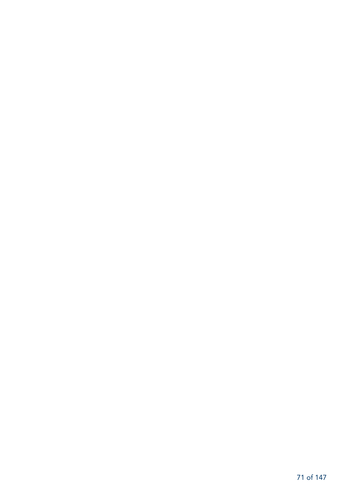71 of 147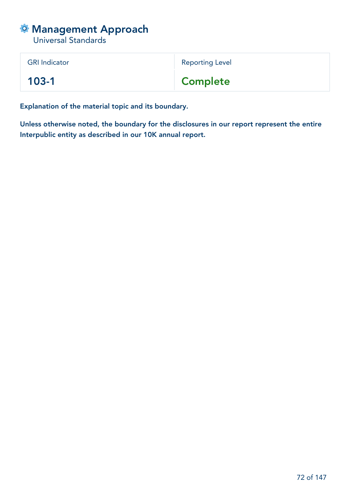### **Management Approach**

Universal Standards

| <b>GRI</b> Indicator | <b>Reporting Level</b> |
|----------------------|------------------------|
| $103-1$              | <b>Complete</b>        |

Explanation of the material topic and its boundary.

Unless otherwise noted, the boundary for the disclosures in our report represent the entire Interpublic entity as described in our 10K annual report.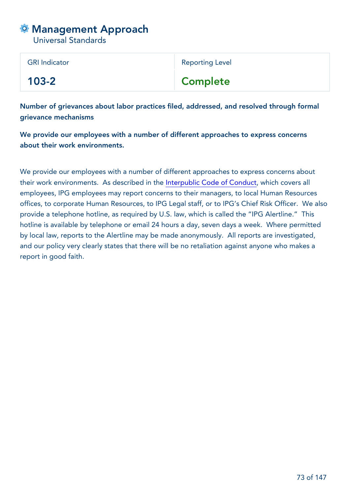### Management Approach Universal Standards

| <b>GRI</b> Indicator | Reporting Level |
|----------------------|-----------------|
| $103 - 2$            | Complete        |

Number of grievances about labor practices filed, addressed, and grievance mechanisms

We provide our employees with a number of different approaches about their work environments.

We provide our employees with a number of different approaches their work environments. As Idheterpubled dicinitie of Who incontrovers all employees, IPG employees may report concerns to their managers offices, to corporate Human Resources, to IPG Legal staff, or to provide a telephone hotline, as required by U.S. law, which is called the IPG Alertline.  $\alpha$ hotline is available by telephone or email 24 hours a day, seven by local law, reports to the Alertline may be made anonymously. and our policy very clearly states that there will be no retaliation report in good faith.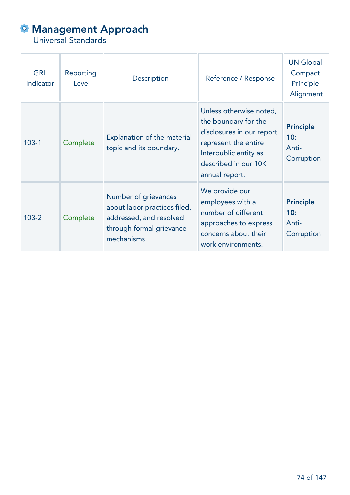# Management Approach

Universal Standards

| <b>GRI</b><br>Indicator | Reporting<br>Level | Description                                                                                                               | Reference / Response                                                                                                                                                    | <b>UN Global</b><br>Compact<br>Principle<br>Alignment |
|-------------------------|--------------------|---------------------------------------------------------------------------------------------------------------------------|-------------------------------------------------------------------------------------------------------------------------------------------------------------------------|-------------------------------------------------------|
| $103 - 1$               | Complete           | Explanation of the material<br>topic and its boundary.                                                                    | Unless otherwise noted,<br>the boundary for the<br>disclosures in our report<br>represent the entire<br>Interpublic entity as<br>described in our 10K<br>annual report. | <b>Principle</b><br>10:<br>Anti-<br>Corruption        |
| $103 - 2$               | Complete           | Number of grievances<br>about labor practices filed,<br>addressed, and resolved<br>through formal grievance<br>mechanisms | We provide our<br>employees with a<br>number of different<br>approaches to express<br>concerns about their<br>work environments.                                        | <b>Principle</b><br>10:<br>Anti-<br>Corruption        |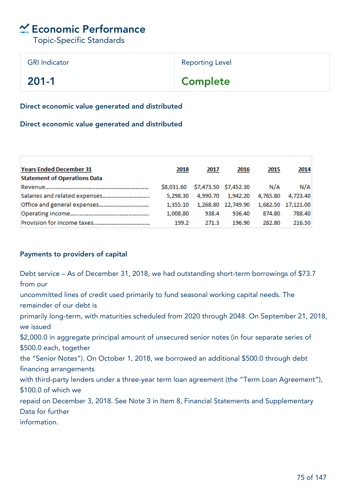# $\sim$  Economic Performance

Topic-Specific Standards

| <b>GRI</b> Indicator | <b>Reporting Level</b> |
|----------------------|------------------------|
| $201 - 1$            | <b>Complete</b>        |

#### Direct economic value generated and distributed

Direct economic value generated and distributed

| <b>Years Ended December 31</b>      | 2018                             | 2017  | 2016               | 2015     | 2014               |
|-------------------------------------|----------------------------------|-------|--------------------|----------|--------------------|
| <b>Statement of Operations Data</b> |                                  |       |                    |          |                    |
|                                     | \$8,031.60 \$7,473.50 \$7,452.30 |       |                    | N/A      | N/A                |
|                                     | 5.298.30                         |       | 4,990.70 1,942.20  | 4,765.80 | 4.723.40           |
|                                     | 1.355.10                         |       | 1,268.80 12,749.90 |          | 1,682.50 17,121.00 |
|                                     | 1,008.80                         | 938.4 | 936.40             | 874.80   | 788.40             |
|                                     | 199.2                            | 271.3 | 196.90             | 282.80   | 216.50             |

### Payments to providers of capital

Debt service – As of December 31, 2018, we had outstanding short-term borrowings of \$73.7 from our uncommitted lines of credit used primarily to fund seasonal working capital needs. The remainder of our debt is primarily long-term, with maturities scheduled from 2020 through 2048. On September 21, 2018, we issued \$2,000.0 in aggregate principal amount of unsecured senior notes (in four separate series of \$500.0 each, together the "Senior Notes"). On October 1, 2018, we borrowed an additional \$500.0 through debt financing arrangements with third-party lenders under a three-year term loan agreement (the "Term Loan Agreement"), \$100.0 of which we repaid on December 3, 2018. See Note 3 in Item 8, Financial Statements and Supplementary Data for further information.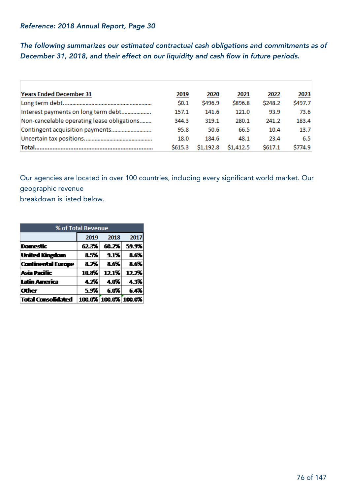### *Reference: 2018 Annual Report, Page 30*

*The following summarizes our estimated contractual cash obligations and commitments as of December 31, 2018, and their effect on our liquidity and cash flow in future periods.* 

| <b>Years Ended December 31</b>             | 2019   | 2020      | 2021      | 2022    | 2023    |
|--------------------------------------------|--------|-----------|-----------|---------|---------|
|                                            | \$0.1  | \$496.9   | \$896.8   | \$248.2 | \$497.7 |
| Interest payments on long term debt        | 157.1  | 141.6     | 121.0     | 93.9    | 73.6    |
| Non-cancelable operating lease obligations | 344.3  | 319.1     | 280.1     | 241.2   | 183.4   |
| Contingent acquisition payments            | 95.8   | 50.6      | 66.5      | 10.4    | 13.7    |
|                                            | 18.0   | 184.6     | 48.1      | 23.4    | 6.5     |
|                                            | S615.3 | \$1,192.8 | \$1,412.5 | \$617.1 | \$774.9 |

Our agencies are located in over 100 countries, including every significant world market. Our geographic revenue breakdown is listed below.

| % of Total Revenue                            |       |       |                      |  |  |
|-----------------------------------------------|-------|-------|----------------------|--|--|
| 2017<br>2018<br>2019                          |       |       |                      |  |  |
| <b>Domestic</b>                               | 62.3% | 60.2% | 59.9%                |  |  |
| 9.1%<br>8.6%<br><b>United Kingdom</b><br>8.5% |       |       |                      |  |  |
| <b>Continental Europe</b>                     | 8.2%  | 8.6%  | 8.6%                 |  |  |
| Asia Pacific                                  | 10.8% | 12.1% | 12.2%                |  |  |
| <b>Latin America</b>                          | 4.2%  | 4.0%  | 4.3%                 |  |  |
| <b>Other</b>                                  | 5.9%  | 6.0%  | 6.4%                 |  |  |
| <b>Total Consolidated</b>                     |       |       | 100.0% 100.0% 100.0% |  |  |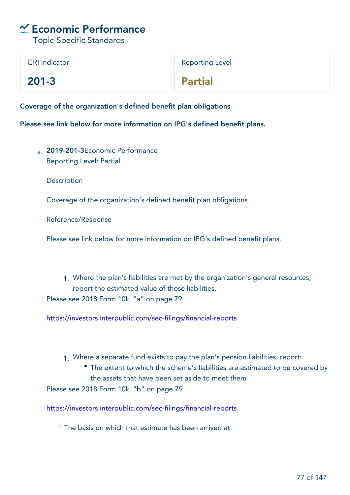## Economic Performance Topic-Specific Standards

| <b>GRI</b> Indicator | Reporting Level |
|----------------------|-----------------|
| $201 - 3$            | Partial         |

Coverage of the organization's defined benefit plan obligations

Please see link below for more information on IPG's defined bene

a.2019-20<sup>H</sup>eonomic Performance Reporting Level: Partial

Description

Coverage of the organization s defined benefit plan obligati

Reference/Response

Please see link below for more information on IPG s defined

1. Where the plan s liabilities are met by the organization report the estimated value of those liabilities. Please see 2018 Form 10k, a on page 79

[https://investors.interpublic.com/sec-](https://investors.interpublic.com/sec-filings/financial-reports)filings/financial-reports

1. Where a separate fund exists to pay the plan s pension " The extent to which the scheme s liabilities are est the assets that have been set aside to meet them Please see 2018 Form 10k, b on page 79

[https://investors.interpublic.com/sec-](https://investors.interpublic.com/sec-filings/financial-reports)filings/financial-report

 $\degree$  The basis on which that estimate has been arrived at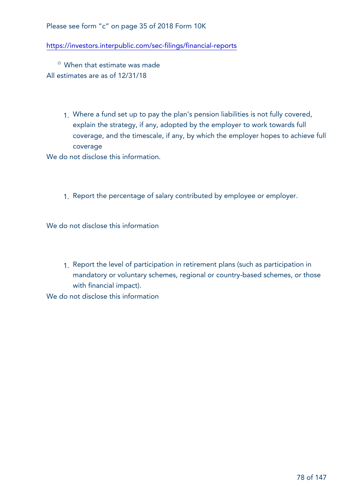Please see form c on page 35 of 2018 Form 10K

[https://investors.interpublic.com/sec-](https://investors.interpublic.com/sec-filings/financial-reports)filings/financial-reports

When that estimate was made All estimates are as of 12/31/18

> 1. Where a fund set up to pay the plan s pension liabilitie explain the strategy, if any, adopted by the employer  $t$ coverage, and the timescale, if any, by which the empl coverage

We do not disclose this information.

1. Report the percentage of salary contributed by employe

We do not disclose this information

1. Report the level of participation in retirement plans (s mandatory or voluntary schemes, regional or country-b with financial impact).

We do not disclose this information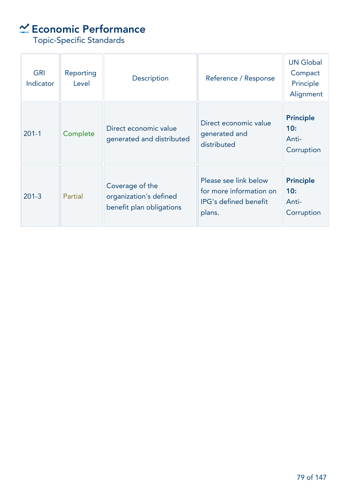# $\simeq$  Economic Performance

Topic-Specific Standards

| <b>GRI</b><br>Indicator | Reporting<br>Level | Description                                                           | Reference / Response                                                                       | <b>UN Global</b><br>Compact<br>Principle<br>Alignment |
|-------------------------|--------------------|-----------------------------------------------------------------------|--------------------------------------------------------------------------------------------|-------------------------------------------------------|
| $201-1$                 | Complete           | Direct economic value<br>generated and distributed                    | Direct economic value<br>generated and<br>distributed                                      | <b>Principle</b><br>10:<br>Anti-<br>Corruption        |
| $201 - 3$               | Partial            | Coverage of the<br>organization's defined<br>benefit plan obligations | Please see link below<br>for more information on<br><b>IPG's defined benefit</b><br>plans. | <b>Principle</b><br>10:<br>Anti-<br>Corruption        |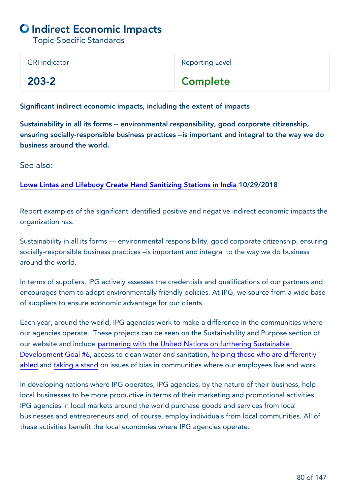# Indirect Economic Impacts Topic-Specific Standards

| <b>GRI</b> Indicator | Reporting Level |
|----------------------|-----------------|
| $203 - 2$            | Complete        |

Significant indirect economic impacts, including the extent of imp

Sustainability in all its forms -- environmental responsibility, god ensuring socially-responsible business practices --is important a business around the world.

See also:

[Lowe Lintas and Lifebuoy Create Hand Sani](https://www.interpublic.com/case-study/lowe-lintas-and-lifebuoy-create-hand-sanitizing-stations-in-india/)t1  $\hat{D} \hat{U} \hat{Q} \hat{Q}$  /  $\hat{Z}$   $\hat{U}$ alt  $\hat{B}$ ons in Indi

Report examples of the significant identified positive and negativ organization has.

Sustainability in all its forms environmental responsibility, good socially-responsible business practices is important and integral around the world.

In terms of suppliers, IPG actively assesses the credentials and encourages them to adopt environmentally friendly policies. At IP of suppliers to ensure economic advantage for our clients.

Each year, around the world, IPG agencies work to make a different our agencies operate. These projects can be seen on the Sustair our website and part hued eng with the United Nations on furthering S [Development G](https://www.interpublic.com/news/ipg-funded-water-project-in-ethiopia-is-complete/)oacless to clean water and psingit and some who are differently be velopment. [able](https://www.interpublic.com/case-study/we-are-undefeatable-a-major-new-campaign-to-support-people-with-long-term-health-conditions-to-be-active/)d n daking a sotanid sues of bias in communities where our emple

In developing nations where IPG operates, IPG agencies, by the i local businesses to be more productive in terms of their marketin IPG agencies in local markets around the world purchase goods a businesses and entrepreneurs and, of course, employ individuals these activities benefit the local economies where IPG agencies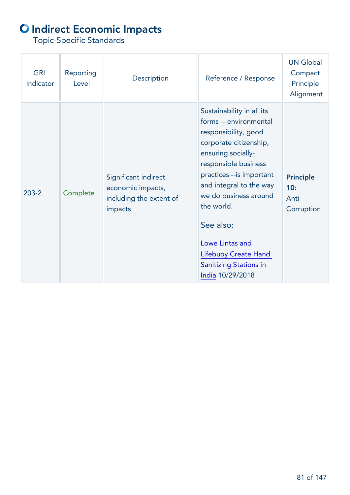# Indirect Economic Impacts Topic-Specific Standards

| GRI       | Reporting<br>Indicator Level | Description                                                               | Reference / Response<br>Principle                                                                                                                                                                                                                                                             | UN Global<br>Alignment                  |
|-----------|------------------------------|---------------------------------------------------------------------------|-----------------------------------------------------------------------------------------------------------------------------------------------------------------------------------------------------------------------------------------------------------------------------------------------|-----------------------------------------|
| $203 - 2$ | Complet                      | Significant indired<br>economic impacts,<br>including the exte<br>impacts | Sustainability in<br>forms -- environ<br>responsibility, g<br>corporate citizer<br>ensuring socially<br>responsible busi<br>practices -- is im<br>and integral to t<br>we do business<br>the world.<br>See also:<br>Lowe Lintas and<br>Lifebuoy Create<br>Sanitizing Static<br>India0/29/2018 | Principle<br>10:<br>Anti-<br>Corruption |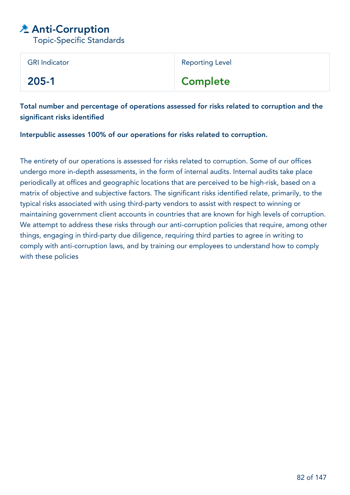# **E** Anti-Corruption

Topic-Specific Standards

| <b>GRI</b> Indicator | <b>Reporting Level</b> |
|----------------------|------------------------|
| 205-1                | <b>Complete</b>        |

Total number and percentage of operations assessed for risks related to corruption and the significant risks identified

Interpublic assesses 100% of our operations for risks related to corruption.

The entirety of our operations is assessed for risks related to corruption. Some of our offices undergo more in-depth assessments, in the form of internal audits. Internal audits take place periodically at offices and geographic locations that are perceived to be high-risk, based on a matrix of objective and subjective factors. The significant risks identified relate, primarily, to the typical risks associated with using third-party vendors to assist with respect to winning or maintaining government client accounts in countries that are known for high levels of corruption. We attempt to address these risks through our anti-corruption policies that require, among other things, engaging in third-party due diligence, requiring third parties to agree in writing to comply with anti-corruption laws, and by training our employees to understand how to comply with these policies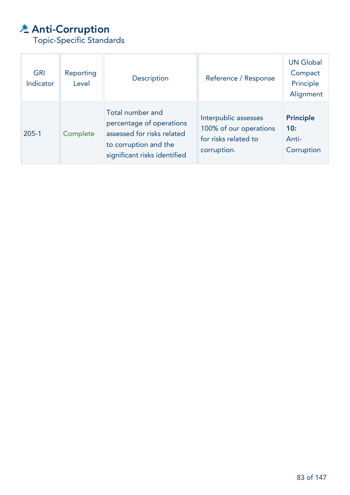# Anti-Corruption

Topic-Specific Standards

| <b>GRI</b><br>Indicator | Reporting<br>Level | Description                                                                                                                         | Reference / Response                                                                  | <b>UN Global</b><br>Compact<br>Principle<br>Alignment |
|-------------------------|--------------------|-------------------------------------------------------------------------------------------------------------------------------------|---------------------------------------------------------------------------------------|-------------------------------------------------------|
| $205 - 1$               | Complete           | Total number and<br>percentage of operations<br>assessed for risks related<br>to corruption and the<br>significant risks identified | Interpublic assesses<br>100% of our operations<br>for risks related to<br>corruption. | <b>Principle</b><br>10:<br>Anti-<br>Corruption        |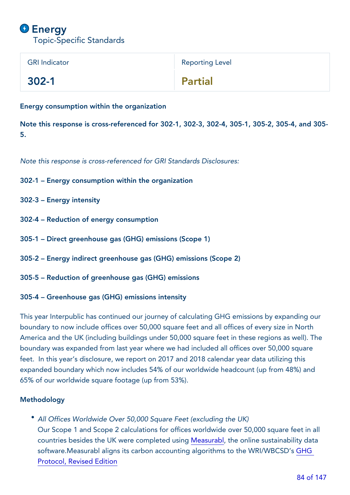## Energy Topic-Specific Standards

| <b>GRI</b> Indicator | Reporting Level |
|----------------------|-----------------|
| $302 - 1$            | Partial         |

Energy consumption within the organization

Note this response is cross-referenced for 302-1, 302-3, 302-4, 3 5.

Note this response is cross-referenced for GRI Standards Disclos

- 302-1 Energy consumption within the organization
- 302-3 Energy intensity
- 302-4 Reduction of energy consumption
- 305-1 Direct greenhouse gas (GHG) emissions (Scope 1)
- 305-2 Energy indirect greenhouse gas (GHG) emissions (Scope 2)
- 305-5 Reduction of greenhouse gas (GHG) emissions
- 305-4 Greenhouse gas (GHG) emissions intensity

This year Interpublic has continued our journey of calculating GH boundary to now include offices over 50,000 square feet and all of America and the UK (including buildings under 50,000 square fee boundary was expanded from last year where we had included all feet. In this year s disclosure, we report on 2017 and 2018 caler expanded boundary which now includes 54% of our worldwide hea 65% of our worldwide square footage (up from 53%).

Methodology

\* All Offices Worldwide Over 50,000 Square Feet (excluding the Our Scope 1 and Scope 2 calculations for offices worldwide of countries besides the UK were **Meanspulied beloches in the sustainabilit** software.Measurabl aligns its carbon accounting algorhighms to [Protocol, Revise](http://t.hsms02.com/e1t/c/5/f18dQhb0SmZ58dDMPbW2n0x6l2B9nMJW7sM9dn7dK_MMdBzM2-04?t=http://www.ghgprotocol.org/files/ghgp/public/ghg-protocol-revised.pdf&si=5101986462040064&pi=a4ca4c4f-479c-4184-b6cd-eaa6d0b31f05)d Edition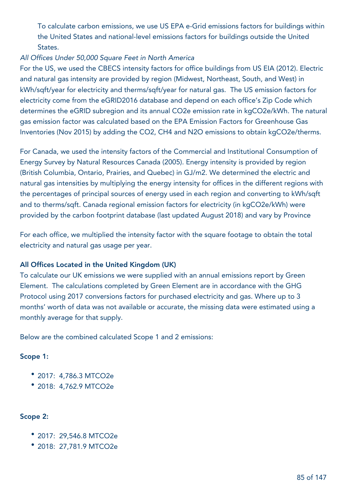To calculate carbon emissions, we use US EPA e-Grid emissions factors for buildings within the United States and national-level emissions factors for buildings outside the United States.

### *All Offices Under 50,000 Square Feet in North America*

For the US, we used the CBECS intensity factors for office buildings from US EIA (2012). Electric and natural gas intensity are provided by region (Midwest, Northeast, South, and West) in kWh/sqft/year for electricity and therms/sqft/year for natural gas. The US emission factors for electricity come from the eGRID2016 database and depend on each office's Zip Code which determines the eGRID subregion and its annual CO2e emission rate in kgCO2e/kWh. The natural gas emission factor was calculated based on the EPA Emission Factors for Greenhouse Gas Inventories (Nov 2015) by adding the CO2, CH4 and N2O emissions to obtain kgCO2e/therms.

For Canada, we used the intensity factors of the Commercial and Institutional Consumption of Energy Survey by Natural Resources Canada (2005). Energy intensity is provided by region (British Columbia, Ontario, Prairies, and Quebec) in GJ/m2. We determined the electric and natural gas intensities by multiplying the energy intensity for offices in the different regions with the percentages of principal sources of energy used in each region and converting to kWh/sqft and to therms/sqft. Canada regional emission factors for electricity (in kgCO2e/kWh) were provided by the carbon footprint database (last updated August 2018) and vary by Province

For each office, we multiplied the intensity factor with the square footage to obtain the total electricity and natural gas usage per year.

### All Offices Located in the United Kingdom (UK)

To calculate our UK emissions we were supplied with an annual emissions report by Green Element. The calculations completed by Green Element are in accordance with the GHG Protocol using 2017 conversions factors for purchased electricity and gas. Where up to 3 months' worth of data was not available or accurate, the missing data were estimated using a monthly average for that supply.

Below are the combined calculated Scope 1 and 2 emissions:

### Scope 1:

- 2017: 4,786.3 MTCO2e
- 2018: 4,762.9 MTCO2e

### Scope 2:

- 2017: 29,546.8 MTCO2e
- 2018: 27,781.9 MTCO2e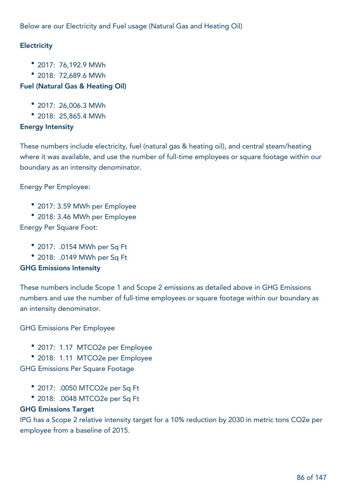Below are our Electricity and Fuel usage (Natural Gas and Heating Oil)

### **Electricity**

- 2017: 76,192.9 MWh
- 2018: 72,689.6 MWh

### Fuel (Natural Gas & Heating Oil)

- 2017: 26,006.3 MWh
- 2018: 25,865.4 MWh

### Energy Intensity

These numbers include electricity, fuel (natural gas & heating oil), and central steam/heating where it was available, and use the number of full-time employees or square footage within our boundary as an intensity denominator.

Energy Per Employee:

- 2017: 3.59 MWh per Employee
- 2018: 3.46 MWh per Employee

### Energy Per Square Foot:

- 2017: .0154 MWh per Sq Ft
- 2018: .0149 MWh per Sq Ft

### GHG Emissions Intensity

These numbers include Scope 1 and Scope 2 emissions as detailed above in GHG Emissions numbers and use the number of full-time employees or square footage within our boundary as an intensity denominator.

GHG Emissions Per Employee

- 2017: 1.17 MTCO2e per Employee
- 2018: 1.11 MTCO2e per Employee

GHG Emissions Per Square Footage

- 2017: .0050 MTCO2e per Sq Ft
- 2018: .0048 MTCO2e per Sq Ft

### **GHG Emissions Target**

IPG has a Scope 2 relative intensity target for a 10% reduction by 2030 in metric tons CO2e per employee from a baseline of 2015.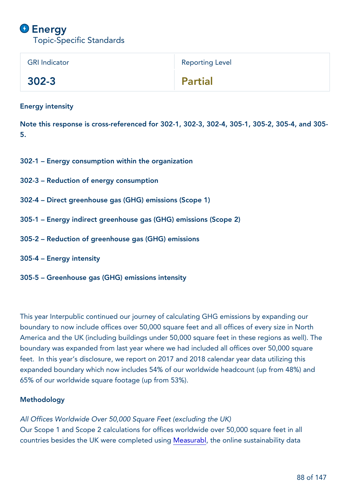# Energy Topic-Specific Standards

| <b>GRI</b> Indicator | Reporting Level |
|----------------------|-----------------|
| $302 - 3$            | Partial         |

Energy intensity

Note this response is cross-referenced for 302-1, 302-3, 302-4, 3 5.

- 302-1 Energy consumption within the organization
- 302-3 Reduction of energy consumption
- 302-4 Direct greenhouse gas (GHG) emissions (Scope 1)
- 305-1 Energy indirect greenhouse gas (GHG) emissions (Scope 2)
- 305-2 Reduction of greenhouse gas (GHG) emissions
- 305-4 Energy intensity
- 305-5 Greenhouse gas (GHG) emissions intensity

This year Interpublic continued our journey of calculating GHG er boundary to now include offices over 50,000 square feet and all of America and the UK (including buildings under 50,000 square fee boundary was expanded from last year where we had included all feet. In this year s disclosure, we report on 2017 and 2018 caler expanded boundary which now includes 54% of our worldwide hea 65% of our worldwide square footage (up from 53%).

Methodology

All Offices Worldwide Over 50,000 Square Feet (excluding the UK) Our Scope 1 and Scope 2 calculations for offices worldwide over countries besides the UK were Mcompspulpet behole uosnihigne sustainability da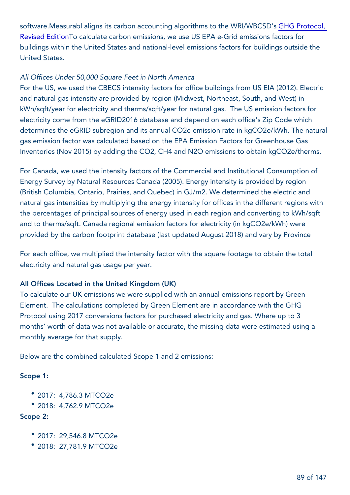software. Measurabl aligns its carbon accounting algorhigen Forms those of the Software. Measurabl aligns its carbon accounting algorhight Forms the Condi [Revised E](http://t.hsms02.com/e1t/c/5/f18dQhb0SmZ58dDMPbW2n0x6l2B9nMJW7sM9dn7dK_MMdBzM2-04?t=http://www.ghgprotocol.org/files/ghgp/public/ghg-protocol-revised.pdf&si=5101986462040064&pi=a4ca4c4f-479c-4184-b6cd-eaa6d0b31f05)diotional culate carbon emissions, we use US EPA e-Grid e buildings within the United States and national-level emissions factors for buildings within the United States and national-level emissions fa United States.

All Offices Under 50,000 Square Feet in North America For the US, we used the CBECS intensity factors for office building and natural gas intensity are provided by region (Midwest, Northe kWh/sqft/year for electricity and therms/sqft/year for natural gas. electricity come from the eGRID2016 database and depend on ead determines the eGRID subregion and its annual CO2e emission ra gas emission factor was calculated based on the EPA Emission Factors for Inventories (Nov 2015) by adding the CO2, CH4 and N2O emission

For Canada, we used the intensity factors of the Commercial and Energy Survey by Natural Resources Canada (2005). Energy inten (British Columbia, Ontario, Prairies, and Quebec) in GJ/m2. We d natural gas intensities by multiplying the energy intensity for off the percentages of principal sources of energy used in each region and to therms/sqft. Canada regional emission factors for electric provided by the carbon footprint database (last updated August 2

For each office, we multiplied the intensity factor with the square electricity and natural gas usage per year.

All Offices Located in the United Kingdom (UK)

To calculate our UK emissions we were supplied with an annual e Element. The calculations completed by Green Element are in ac Protocol using 2017 conversions factors for purchased electricity months worth of data was not available or accurate, the missing monthly average for that supply.

Below are the combined calculated Scope 1 and 2 emissions:

Scope 1:

2017: 4,786.3 MTCO2e 2018: 4,762.9 MTCO2e Scope 2:

2017: 29,546.8 MTCO2e

2018: 27,781.9 MTCO2e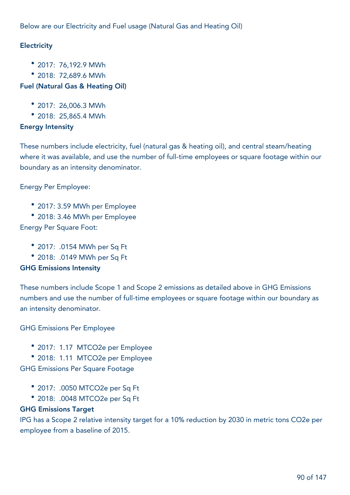Below are our Electricity and Fuel usage (Natural Gas and Heating Oil)

### **Electricity**

- 2017: 76,192.9 MWh
- 2018: 72,689.6 MWh

### Fuel (Natural Gas & Heating Oil)

- 2017: 26,006.3 MWh
- 2018: 25,865.4 MWh

### Energy Intensity

These numbers include electricity, fuel (natural gas & heating oil), and central steam/heating where it was available, and use the number of full-time employees or square footage within our boundary as an intensity denominator.

Energy Per Employee:

- 2017: 3.59 MWh per Employee
- 2018: 3.46 MWh per Employee

### Energy Per Square Foot:

- 2017: .0154 MWh per Sq Ft
- 2018: .0149 MWh per Sq Ft

### GHG Emissions Intensity

These numbers include Scope 1 and Scope 2 emissions as detailed above in GHG Emissions numbers and use the number of full-time employees or square footage within our boundary as an intensity denominator.

GHG Emissions Per Employee

- 2017: 1.17 MTCO2e per Employee
- 2018: 1.11 MTCO2e per Employee

GHG Emissions Per Square Footage

- 2017: .0050 MTCO2e per Sq Ft
- 2018: .0048 MTCO2e per Sq Ft

### **GHG Emissions Target**

IPG has a Scope 2 relative intensity target for a 10% reduction by 2030 in metric tons CO2e per employee from a baseline of 2015.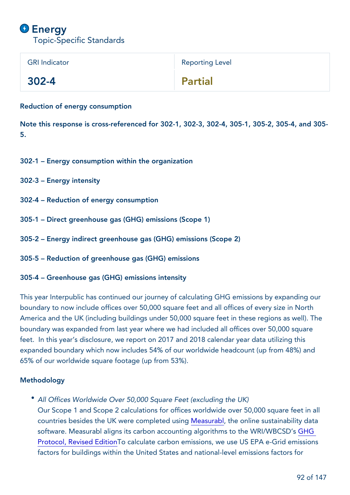## Energy Topic-Specific Standards

| <b>GRI</b> Indicator | Reporting Level |
|----------------------|-----------------|
| $302 - 4$            | Partial         |

Reduction of energy consumption

Note this response is cross-referenced for 302-1, 302-3, 302-4, 3 5.

- 302-1 Energy consumption within the organization
- 302-3 Energy intensity
- 302-4 Reduction of energy consumption
- 305-1 Direct greenhouse gas (GHG) emissions (Scope 1)
- 305-2 Energy indirect greenhouse gas (GHG) emissions (Scope 2)
- 305-5 Reduction of greenhouse gas (GHG) emissions
- 305-4 Greenhouse gas (GHG) emissions intensity

This year Interpublic has continued our journey of calculating GH boundary to now include offices over 50,000 square feet and all of America and the UK (including buildings under 50,000 square fee boundary was expanded from last year where we had included all feet. In this year s disclosure, we report on 2017 and 2018 caler expanded boundary which now includes 54% of our worldwide hea 65% of our worldwide square footage (up from 53%).

Methodology

• All Offices Worldwide Over 50,000 Square Feet (excluding the Our Scope 1 and Scope 2 calculations for offices worldwide of countries besides the UK were **Meanspulied beloches in the sustainabilit** software. Measurabl aligns its carbon accounting alGoHGthms t [Protocol, Revise](http://t.hsms02.com/e1t/c/5/f18dQhb0SmZ58dDMPbW2n0x6l2B9nMJW7sM9dn7dK_MMdBzM2-04?t=http://www.ghgprotocol.org/files/ghgp/public/ghg-protocol-revised.pdf&si=5101986462040064&pi=a4ca4c4f-479c-4184-b6cd-eaa6d0b31f05)To Ecchilton To carbon emissions, we use US EP factors for buildings within the United States and national-lev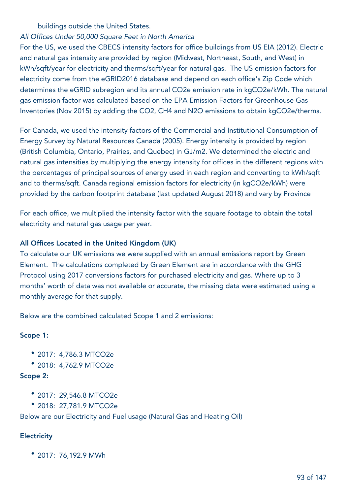buildings outside the United States.

### *All Offices Under 50,000 Square Feet in North America*

For the US, we used the CBECS intensity factors for office buildings from US EIA (2012). Electric and natural gas intensity are provided by region (Midwest, Northeast, South, and West) in kWh/sqft/year for electricity and therms/sqft/year for natural gas. The US emission factors for electricity come from the eGRID2016 database and depend on each office's Zip Code which determines the eGRID subregion and its annual CO2e emission rate in kgCO2e/kWh. The natural gas emission factor was calculated based on the EPA Emission Factors for Greenhouse Gas Inventories (Nov 2015) by adding the CO2, CH4 and N2O emissions to obtain kgCO2e/therms.

For Canada, we used the intensity factors of the Commercial and Institutional Consumption of Energy Survey by Natural Resources Canada (2005). Energy intensity is provided by region (British Columbia, Ontario, Prairies, and Quebec) in GJ/m2. We determined the electric and natural gas intensities by multiplying the energy intensity for offices in the different regions with the percentages of principal sources of energy used in each region and converting to kWh/sqft and to therms/sqft. Canada regional emission factors for electricity (in kgCO2e/kWh) were provided by the carbon footprint database (last updated August 2018) and vary by Province

For each office, we multiplied the intensity factor with the square footage to obtain the total electricity and natural gas usage per year.

### All Offices Located in the United Kingdom (UK)

To calculate our UK emissions we were supplied with an annual emissions report by Green Element. The calculations completed by Green Element are in accordance with the GHG Protocol using 2017 conversions factors for purchased electricity and gas. Where up to 3 months' worth of data was not available or accurate, the missing data were estimated using a monthly average for that supply.

Below are the combined calculated Scope 1 and 2 emissions:

### Scope 1:

- 2017: 4,786.3 MTCO2e
- 2018: 4,762.9 MTCO2e

### Scope 2:

- 2017: 29,546.8 MTCO2e
- 2018: 27,781.9 MTCO2e

Below are our Electricity and Fuel usage (Natural Gas and Heating Oil)

### **Electricity**

2017: 76,192.9 MWh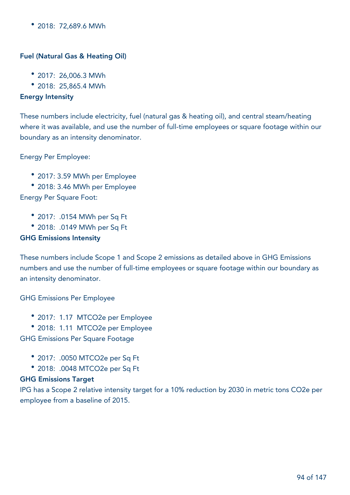2018: 72,689.6 MWh

### Fuel (Natural Gas & Heating Oil)

- 2017: 26,006.3 MWh
- 2018: 25,865.4 MWh

### Energy Intensity

These numbers include electricity, fuel (natural gas & heating oil), and central steam/heating where it was available, and use the number of full-time employees or square footage within our boundary as an intensity denominator.

Energy Per Employee:

- 2017: 3.59 MWh per Employee
- 2018: 3.46 MWh per Employee Energy Per Square Foot:
	- 2017: .0154 MWh per Sq Ft
	- 2018: .0149 MWh per Sq Ft

### GHG Emissions Intensity

These numbers include Scope 1 and Scope 2 emissions as detailed above in GHG Emissions numbers and use the number of full-time employees or square footage within our boundary as an intensity denominator.

GHG Emissions Per Employee

- 2017: 1.17 MTCO2e per Employee
- 2018: 1.11 MTCO2e per Employee

GHG Emissions Per Square Footage

- 2017: .0050 MTCO2e per Sq Ft
- 2018: .0048 MTCO2e per Sq Ft

### GHG Emissions Target

IPG has a Scope 2 relative intensity target for a 10% reduction by 2030 in metric tons CO2e per employee from a baseline of 2015.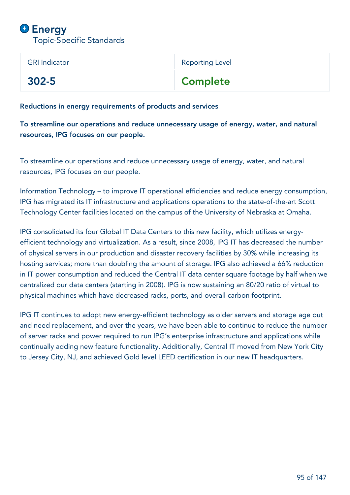

| <b>GRI Indicator</b> | <b>Reporting Level</b> |
|----------------------|------------------------|
| 302-5                | <b>Complete</b>        |

#### Reductions in energy requirements of products and services

To streamline our operations and reduce unnecessary usage of energy, water, and natural resources, IPG focuses on our people.

To streamline our operations and reduce unnecessary usage of energy, water, and natural resources, IPG focuses on our people.

Information Technology – to improve IT operational efficiencies and reduce energy consumption, IPG has migrated its IT infrastructure and applications operations to the state-of-the-art Scott Technology Center facilities located on the campus of the University of Nebraska at Omaha.

IPG consolidated its four Global IT Data Centers to this new facility, which utilizes energyefficient technology and virtualization. As a result, since 2008, IPG IT has decreased the number of physical servers in our production and disaster recovery facilities by 30% while increasing its hosting services; more than doubling the amount of storage. IPG also achieved a 66% reduction in IT power consumption and reduced the Central IT data center square footage by half when we centralized our data centers (starting in 2008). IPG is now sustaining an 80/20 ratio of virtual to physical machines which have decreased racks, ports, and overall carbon footprint.

IPG IT continues to adopt new energy-efficient technology as older servers and storage age out and need replacement, and over the years, we have been able to continue to reduce the number of server racks and power required to run IPG's enterprise infrastructure and applications while continually adding new feature functionality. Additionally, Central IT moved from New York City to Jersey City, NJ, and achieved Gold level LEED certification in our new IT headquarters.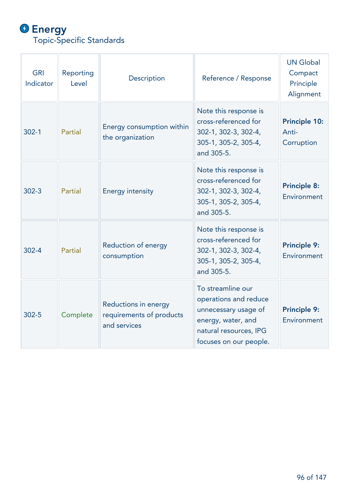

| <b>GRI</b><br>Indicator | Reporting<br>Level | Description                                                      | Reference / Response                                                                                                                         | <b>UN Global</b><br>Compact<br>Principle<br>Alignment |
|-------------------------|--------------------|------------------------------------------------------------------|----------------------------------------------------------------------------------------------------------------------------------------------|-------------------------------------------------------|
| $302 - 1$               | Partial            | Energy consumption within<br>the organization                    | Note this response is<br>cross-referenced for<br>302-1, 302-3, 302-4,<br>305-1, 305-2, 305-4,<br>and 305-5.                                  | <b>Principle 10:</b><br>Anti-<br>Corruption           |
| $302 - 3$               | Partial            | <b>Energy intensity</b>                                          | Note this response is<br>cross-referenced for<br>302-1, 302-3, 302-4,<br>305-1, 305-2, 305-4,<br>and 305-5.                                  | <b>Principle 8:</b><br>Environment                    |
| $302 - 4$               | Partial            | Reduction of energy<br>consumption                               | Note this response is<br>cross-referenced for<br>302-1, 302-3, 302-4,<br>305-1, 305-2, 305-4,<br>and 305-5.                                  | <b>Principle 9:</b><br>Environment                    |
| $302 - 5$               | Complete           | Reductions in energy<br>requirements of products<br>and services | To streamline our<br>operations and reduce<br>unnecessary usage of<br>energy, water, and<br>natural resources, IPG<br>focuses on our people. | <b>Principle 9:</b><br>Environment                    |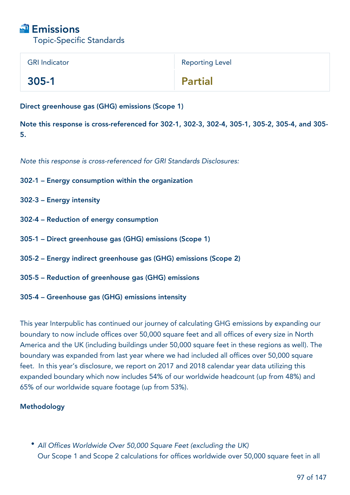# **Emissions**

Topic-Specific Standards

| <b>GRI</b> Indicator | <b>Reporting Level</b> |
|----------------------|------------------------|
| 305-1                | <b>Partial</b>         |

Direct greenhouse gas (GHG) emissions (Scope 1)

Note this response is cross-referenced for 302-1, 302-3, 302-4, 305-1, 305-2, 305-4, and 305- 5.

*Note this response is cross-referenced for GRI Standards Disclosures:*

- 302-1 Energy consumption within the organization
- 302-3 Energy intensity
- 302-4 Reduction of energy consumption
- 305-1 Direct greenhouse gas (GHG) emissions (Scope 1)
- 305-2 Energy indirect greenhouse gas (GHG) emissions (Scope 2)
- 305-5 Reduction of greenhouse gas (GHG) emissions
- 305-4 Greenhouse gas (GHG) emissions intensity

This year Interpublic has continued our journey of calculating GHG emissions by expanding our boundary to now include offices over 50,000 square feet and all offices of every size in North America and the UK (including buildings under 50,000 square feet in these regions as well). The boundary was expanded from last year where we had included all offices over 50,000 square feet. In this year's disclosure, we report on 2017 and 2018 calendar year data utilizing this expanded boundary which now includes 54% of our worldwide headcount (up from 48%) and 65% of our worldwide square footage (up from 53%).

### Methodology

*All Offices Worldwide Over 50,000 Square Feet (excluding the UK)* Our Scope 1 and Scope 2 calculations for offices worldwide over 50,000 square feet in all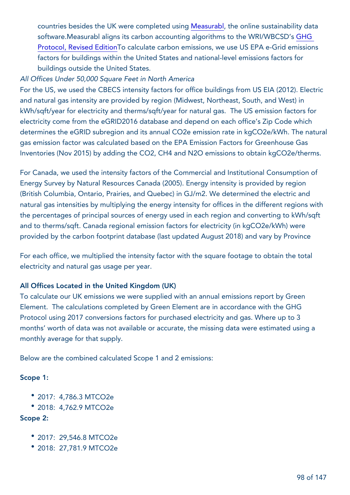countries besides the UK were Mconamspulnet behole uosnihigne sustainabilit software. Measurabl aligns its carbon accounting algorhigshms to [Protocol, Revise](http://t.hsms02.com/e1t/c/5/f18dQhb0SmZ58dDMPbW2n0x6l2B9nMJW7sM9dn7dK_MMdBzM2-04?t=http://www.ghgprotocol.org/files/ghgp/public/ghg-protocol-revised.pdf&si=5101986462040064&pi=a4ca4c4f-479c-4184-b6cd-eaa6d0b31f05)Tdo Edailton ate carbon emissions, we use US EP factors for buildings within the United States and national-level buildings outside the United States.

All Offices Under 50,000 Square Feet in North America For the US, we used the CBECS intensity factors for office building and natural gas intensity are provided by region (Midwest, Northe kWh/sqft/year for electricity and therms/sqft/year for natural gas. electricity come from the eGRID2016 database and depend on ead determines the eGRID subregion and its annual CO2e emission ra gas emission factor was calculated based on the EPA Emission Factors for Inventories (Nov 2015) by adding the CO2, CH4 and N2O emission

For Canada, we used the intensity factors of the Commercial and Energy Survey by Natural Resources Canada (2005). Energy inten (British Columbia, Ontario, Prairies, and Quebec) in GJ/m2. We d natural gas intensities by multiplying the energy intensity for off the percentages of principal sources of energy used in each regional and to therms/sqft. Canada regional emission factors for electric provided by the carbon footprint database (last updated August 2

For each office, we multiplied the intensity factor with the square electricity and natural gas usage per year.

All Offices Located in the United Kingdom (UK) To calculate our UK emissions we were supplied with an annual e Element. The calculations completed by Green Element are in ac Protocol using 2017 conversions factors for purchased electricity months worth of data was not available or accurate, the missing monthly average for that supply.

Below are the combined calculated Scope 1 and 2 emissions:

Scope 1:

2017: 4,786.3 MTCO2e 2018: 4,762.9 MTCO2e

Scope 2:

- 2017: 29,546.8 MTCO2e
- 2018: 27,781.9 MTCO2e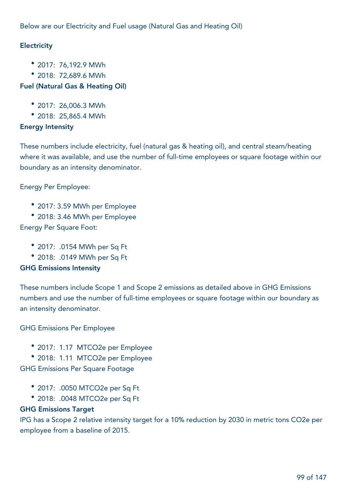Below are our Electricity and Fuel usage (Natural Gas and Heating Oil)

### **Electricity**

- 2017: 76,192.9 MWh
- 2018: 72,689.6 MWh

### Fuel (Natural Gas & Heating Oil)

- 2017: 26,006.3 MWh
- 2018: 25,865.4 MWh

### Energy Intensity

These numbers include electricity, fuel (natural gas & heating oil), and central steam/heating where it was available, and use the number of full-time employees or square footage within our boundary as an intensity denominator.

Energy Per Employee:

- 2017: 3.59 MWh per Employee
- 2018: 3.46 MWh per Employee

### Energy Per Square Foot:

- 2017: .0154 MWh per Sq Ft
- 2018: .0149 MWh per Sq Ft

### GHG Emissions Intensity

These numbers include Scope 1 and Scope 2 emissions as detailed above in GHG Emissions numbers and use the number of full-time employees or square footage within our boundary as an intensity denominator.

GHG Emissions Per Employee

- 2017: 1.17 MTCO2e per Employee
- 2018: 1.11 MTCO2e per Employee

GHG Emissions Per Square Footage

- 2017: .0050 MTCO2e per Sq Ft
- 2018: .0048 MTCO2e per Sq Ft

### **GHG Emissions Target**

IPG has a Scope 2 relative intensity target for a 10% reduction by 2030 in metric tons CO2e per employee from a baseline of 2015.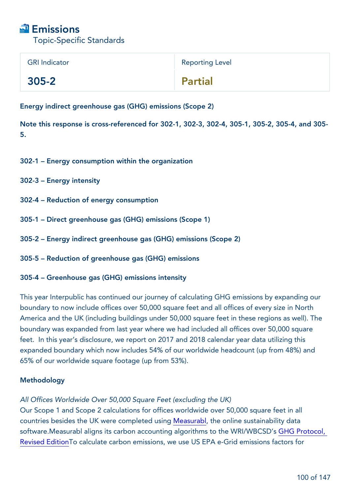# Emissions

Topic-Specific Standards

| <b>GRI</b> Indicator | Reporting Level |
|----------------------|-----------------|
| $305 - 2$            | Partial         |

Energy indirect greenhouse gas (GHG) emissions (Scope 2)

Note this response is cross-referenced for 302-1, 302-3, 302-4, 3 5.

- 302-1 Energy consumption within the organization
- 302-3 Energy intensity
- 302-4 Reduction of energy consumption
- 305-1 Direct greenhouse gas (GHG) emissions (Scope 1)
- 305-2 Energy indirect greenhouse gas (GHG) emissions (Scope 2)
- 305-5 Reduction of greenhouse gas (GHG) emissions
- 305-4 Greenhouse gas (GHG) emissions intensity

This year Interpublic has continued our journey of calculating GH boundary to now include offices over 50,000 square feet and all of America and the UK (including buildings under 50,000 square fee boundary was expanded from last year where we had included all feet. In this year s disclosure, we report on 2017 and 2018 caler expanded boundary which now includes 54% of our worldwide hea 65% of our worldwide square footage (up from 53%).

Methodology

All Offices Worldwide Over 50,000 Square Feet (excluding the UK) Our Scope 1 and Scope 2 calculations for offices worldwide over countries besides the UK were **Meanspulied beloches in the sustainability** da software. Measurabl aligns its carbon accounting algorhige him s those of  $\mathfrak g$ [Revised E](http://t.hsms02.com/e1t/c/5/f18dQhb0SmZ58dDMPbW2n0x6l2B9nMJW7sM9dn7dK_MMdBzM2-04?t=http://www.ghgprotocol.org/files/ghgp/public/ghg-protocol-revised.pdf&si=5101986462040064&pi=a4ca4c4f-479c-4184-b6cd-eaa6d0b31f05)dition and culate carbon emissions, we use US EPA e-Grid emissions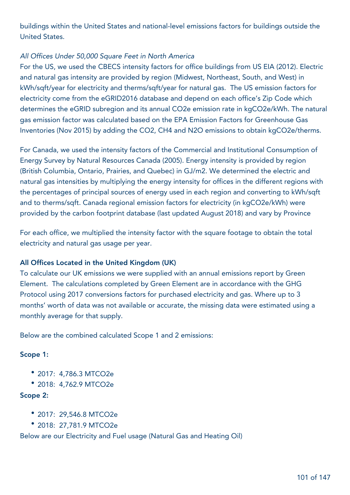buildings within the United States and national-level emissions factors for buildings outside the United States.

### *All Offices Under 50,000 Square Feet in North America*

For the US, we used the CBECS intensity factors for office buildings from US EIA (2012). Electric and natural gas intensity are provided by region (Midwest, Northeast, South, and West) in kWh/sqft/year for electricity and therms/sqft/year for natural gas. The US emission factors for electricity come from the eGRID2016 database and depend on each office's Zip Code which determines the eGRID subregion and its annual CO2e emission rate in kgCO2e/kWh. The natural gas emission factor was calculated based on the EPA Emission Factors for Greenhouse Gas Inventories (Nov 2015) by adding the CO2, CH4 and N2O emissions to obtain kgCO2e/therms.

For Canada, we used the intensity factors of the Commercial and Institutional Consumption of Energy Survey by Natural Resources Canada (2005). Energy intensity is provided by region (British Columbia, Ontario, Prairies, and Quebec) in GJ/m2. We determined the electric and natural gas intensities by multiplying the energy intensity for offices in the different regions with the percentages of principal sources of energy used in each region and converting to kWh/sqft and to therms/sqft. Canada regional emission factors for electricity (in kgCO2e/kWh) were provided by the carbon footprint database (last updated August 2018) and vary by Province

For each office, we multiplied the intensity factor with the square footage to obtain the total electricity and natural gas usage per year.

### All Offices Located in the United Kingdom (UK)

To calculate our UK emissions we were supplied with an annual emissions report by Green Element. The calculations completed by Green Element are in accordance with the GHG Protocol using 2017 conversions factors for purchased electricity and gas. Where up to 3 months' worth of data was not available or accurate, the missing data were estimated using a monthly average for that supply.

Below are the combined calculated Scope 1 and 2 emissions:

### Scope 1:

- 2017: 4,786.3 MTCO2e
- 2018: 4,762.9 MTCO2e

### Scope 2:

- 2017: 29,546.8 MTCO2e
- 2018: 27,781.9 MTCO2e

Below are our Electricity and Fuel usage (Natural Gas and Heating Oil)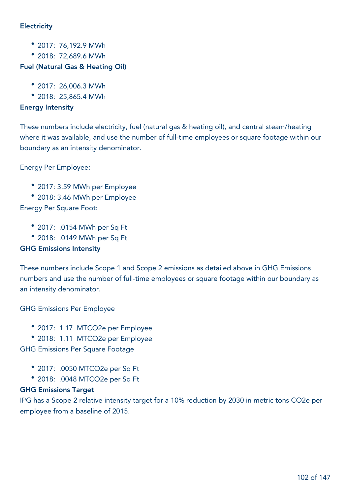### **Electricity**

- 2017: 76,192.9 MWh
- 2018: 72,689.6 MWh

### Fuel (Natural Gas & Heating Oil)

- 2017: 26,006.3 MWh
- 2018: 25,865.4 MWh

#### Energy Intensity

These numbers include electricity, fuel (natural gas & heating oil), and central steam/heating where it was available, and use the number of full-time employees or square footage within our boundary as an intensity denominator.

Energy Per Employee:

2017: 3.59 MWh per Employee

2018: 3.46 MWh per Employee Energy Per Square Foot:

- 2017: .0154 MWh per Sq Ft
- 2018: .0149 MWh per Sq Ft

### GHG Emissions Intensity

These numbers include Scope 1 and Scope 2 emissions as detailed above in GHG Emissions numbers and use the number of full-time employees or square footage within our boundary as an intensity denominator.

GHG Emissions Per Employee

- 2017: 1.17 MTCO2e per Employee
- 2018: 1.11 MTCO2e per Employee

GHG Emissions Per Square Footage

- 2017: .0050 MTCO2e per Sq Ft
- 2018: .0048 MTCO2e per Sq Ft

### GHG Emissions Target

IPG has a Scope 2 relative intensity target for a 10% reduction by 2030 in metric tons CO2e per employee from a baseline of 2015.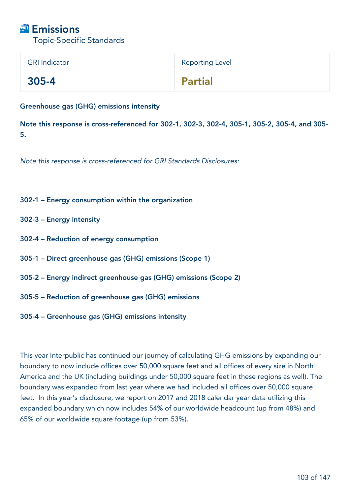# **Emissions**

Topic-Specific Standards

| <b>GRI</b> Indicator | <b>Reporting Level</b> |
|----------------------|------------------------|
| 305-4                | <b>Partial</b>         |

Greenhouse gas (GHG) emissions intensity

Note this response is cross-referenced for 302-1, 302-3, 302-4, 305-1, 305-2, 305-4, and 305- 5.

*Note this response is cross-referenced for GRI Standards Disclosures:*

- 302-1 Energy consumption within the organization
- 302-3 Energy intensity
- 302-4 Reduction of energy consumption
- 305-1 Direct greenhouse gas (GHG) emissions (Scope 1)
- 305-2 Energy indirect greenhouse gas (GHG) emissions (Scope 2)
- 305-5 Reduction of greenhouse gas (GHG) emissions
- 305-4 Greenhouse gas (GHG) emissions intensity

This year Interpublic has continued our journey of calculating GHG emissions by expanding our boundary to now include offices over 50,000 square feet and all offices of every size in North America and the UK (including buildings under 50,000 square feet in these regions as well). The boundary was expanded from last year where we had included all offices over 50,000 square feet. In this year's disclosure, we report on 2017 and 2018 calendar year data utilizing this expanded boundary which now includes 54% of our worldwide headcount (up from 48%) and 65% of our worldwide square footage (up from 53%).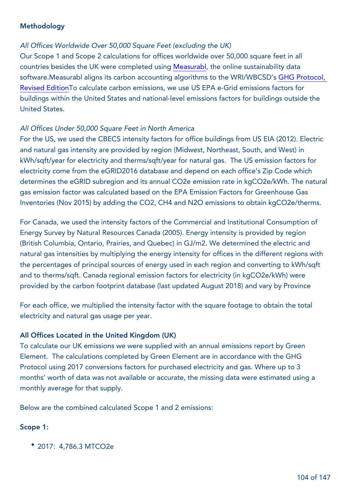Methodology

All Offices Worldwide Over 50,000 Square Feet (excluding the UK) Our Scope 1 and Scope 2 calculations for offices worldwide over countries besides the UK were **Meanspulied beloches in the sustainability** da software. Measurabl aligns its carbon accounting algorhige him s those of  $\mathfrak g$ [Revised E](http://t.hsms02.com/e1t/c/5/f18dQhb0SmZ58dDMPbW2n0x6l2B9nMJW7sM9dn7dK_MMdBzM2-04?t=http://www.ghgprotocol.org/files/ghgp/public/ghg-protocol-revised.pdf&si=5101986462040064&pi=a4ca4c4f-479c-4184-b6cd-eaa6d0b31f05)dition and culate carbon emissions, we use US EPA e-Grid emissions buildings within the United States and national-level emissions factors for buildings within the United States and national-level emissions fa United States.

All Offices Under 50,000 Square Feet in North America For the US, we used the CBECS intensity factors for office building and natural gas intensity are provided by region (Midwest, Northe kWh/sqft/year for electricity and therms/sqft/year for natural gas. electricity come from the eGRID2016 database and depend on ead determines the eGRID subregion and its annual CO2e emission ra gas emission factor was calculated based on the EPA Emission Factors for Inventories (Nov 2015) by adding the CO2, CH4 and N2O emission

For Canada, we used the intensity factors of the Commercial and Energy Survey by Natural Resources Canada (2005). Energy inten (British Columbia, Ontario, Prairies, and Quebec) in GJ/m2. We d natural gas intensities by multiplying the energy intensity for off the percentages of principal sources of energy used in each region and to therms/sqft. Canada regional emission factors for electric provided by the carbon footprint database (last updated August 2

For each office, we multiplied the intensity factor with the square electricity and natural gas usage per year.

All Offices Located in the United Kingdom (UK)

To calculate our UK emissions we were supplied with an annual e Element. The calculations completed by Green Element are in ac Protocol using 2017 conversions factors for purchased electricity months worth of data was not available or accurate, the missing monthly average for that supply.

Below are the combined calculated Scope 1 and 2 emissions:

Scope 1:

2017: 4,786.3 MTCO2e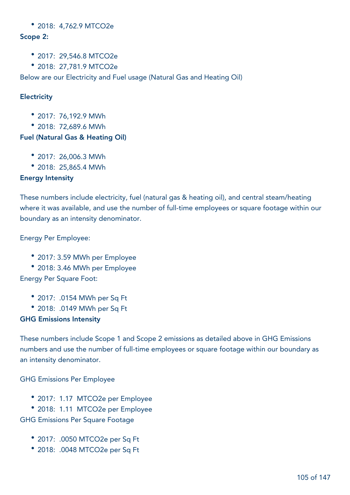### 2018: 4,762.9 MTCO2e

### Scope 2:

- 2017: 29,546.8 MTCO2e
- 2018: 27,781.9 MTCO2e

Below are our Electricity and Fuel usage (Natural Gas and Heating Oil)

### **Electricity**

- 2017: 76,192.9 MWh
- 2018: 72,689.6 MWh

### Fuel (Natural Gas & Heating Oil)

- 2017: 26,006.3 MWh
- 2018: 25,865.4 MWh

### Energy Intensity

These numbers include electricity, fuel (natural gas & heating oil), and central steam/heating where it was available, and use the number of full-time employees or square footage within our boundary as an intensity denominator.

Energy Per Employee:

2017: 3.59 MWh per Employee

2018: 3.46 MWh per Employee

Energy Per Square Foot:

- 2017: .0154 MWh per Sq Ft
- 2018: .0149 MWh per Sq Ft

### GHG Emissions Intensity

These numbers include Scope 1 and Scope 2 emissions as detailed above in GHG Emissions numbers and use the number of full-time employees or square footage within our boundary as an intensity denominator.

GHG Emissions Per Employee

- 2017: 1.17 MTCO2e per Employee
- 2018: 1.11 MTCO2e per Employee

GHG Emissions Per Square Footage

- 2017: .0050 MTCO2e per Sq Ft
- 2018: .0048 MTCO2e per Sq Ft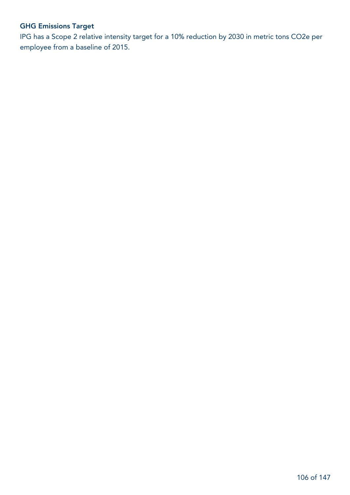## GHG Emissions Target

IPG has a Scope 2 relative intensity target for a 10% reduction by 2030 in metric tons CO2e per employee from a baseline of 2015.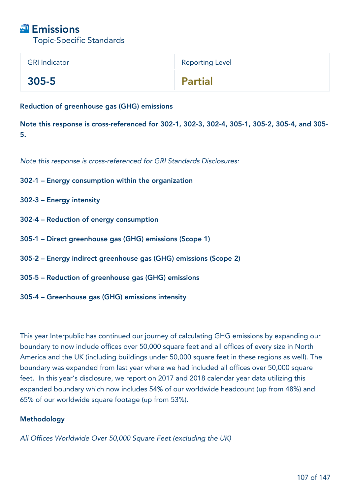# **Emissions**

Topic-Specific Standards

| <b>GRI</b> Indicator | <b>Reporting Level</b> |
|----------------------|------------------------|
| 305-5                | <b>Partial</b>         |

### Reduction of greenhouse gas (GHG) emissions

Note this response is cross-referenced for 302-1, 302-3, 302-4, 305-1, 305-2, 305-4, and 305- 5.

*Note this response is cross-referenced for GRI Standards Disclosures:*

- 302-1 Energy consumption within the organization
- 302-3 Energy intensity
- 302-4 Reduction of energy consumption
- 305-1 Direct greenhouse gas (GHG) emissions (Scope 1)
- 305-2 Energy indirect greenhouse gas (GHG) emissions (Scope 2)
- 305-5 Reduction of greenhouse gas (GHG) emissions
- 305-4 Greenhouse gas (GHG) emissions intensity

This year Interpublic has continued our journey of calculating GHG emissions by expanding our boundary to now include offices over 50,000 square feet and all offices of every size in North America and the UK (including buildings under 50,000 square feet in these regions as well). The boundary was expanded from last year where we had included all offices over 50,000 square feet. In this year's disclosure, we report on 2017 and 2018 calendar year data utilizing this expanded boundary which now includes 54% of our worldwide headcount (up from 48%) and 65% of our worldwide square footage (up from 53%).

### Methodology

*All Offices Worldwide Over 50,000 Square Feet (excluding the UK)*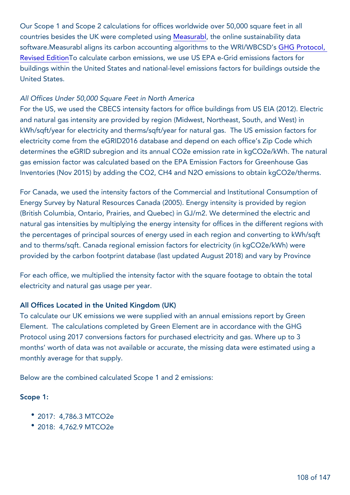Our Scope 1 and Scope 2 calculations for offices worldwide over countries besides the UK were **Meanspulied belogic** us in the sustainability da software.Measurabl aligns its carbon accounting algorhigen Francothe [Revised E](http://t.hsms02.com/e1t/c/5/f18dQhb0SmZ58dDMPbW2n0x6l2B9nMJW7sM9dn7dK_MMdBzM2-04?t=http://www.ghgprotocol.org/files/ghgp/public/ghg-protocol-revised.pdf&si=5101986462040064&pi=a4ca4c4f-479c-4184-b6cd-eaa6d0b31f05)diotican culate carbon emissions, we use US EPA e-Grid e buildings within the United States and national-level emissions factors for buildings within the United States and national-level emissions fa United States.

All Offices Under 50,000 Square Feet in North America For the US, we used the CBECS intensity factors for office buildi and natural gas intensity are provided by region (Midwest, Northe kWh/sqft/year for electricity and therms/sqft/year for natural gas. electricity come from the eGRID2016 database and depend on ead determines the eGRID subregion and its annual CO2e emission ra gas emission factor was calculated based on the EPA Emission Factors for Gassion Factors for Gassion Gassion G Inventories (Nov 2015) by adding the CO2, CH4 and N2O emission

For Canada, we used the intensity factors of the Commercial and Energy Survey by Natural Resources Canada (2005). Energy inten (British Columbia, Ontario, Prairies, and Quebec) in GJ/m2. We d natural gas intensities by multiplying the energy intensity for off the percentages of principal sources of energy used in each regional and to therms/sqft. Canada regional emission factors for electric provided by the carbon footprint database (last updated August 2

For each office, we multiplied the intensity factor with the square electricity and natural gas usage per year.

All Offices Located in the United Kingdom (UK) To calculate our UK emissions we were supplied with an annual e Element. The calculations completed by Green Element are in ac Protocol using 2017 conversions factors for purchased electricity months worth of data was not available or accurate, the missing monthly average for that supply.

Below are the combined calculated Scope 1 and 2 emissions:

Scope 1:

- 2017: 4,786.3 MTCO2e
- 2018: 4,762.9 MTCO2e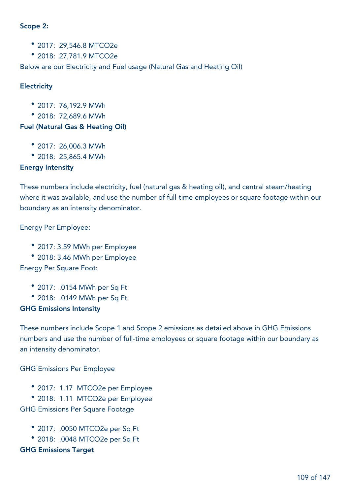### Scope 2:

- 2017: 29,546.8 MTCO2e
- 2018: 27,781.9 MTCO2e

Below are our Electricity and Fuel usage (Natural Gas and Heating Oil)

### **Electricity**

- 2017: 76,192.9 MWh
- 2018: 72,689.6 MWh

### Fuel (Natural Gas & Heating Oil)

- 2017: 26,006.3 MWh
- 2018: 25,865.4 MWh

### Energy Intensity

These numbers include electricity, fuel (natural gas & heating oil), and central steam/heating where it was available, and use the number of full-time employees or square footage within our boundary as an intensity denominator.

### Energy Per Employee:

- 2017: 3.59 MWh per Employee
- 2018: 3.46 MWh per Employee

Energy Per Square Foot:

- 2017: .0154 MWh per Sq Ft
- 2018: .0149 MWh per Sq Ft

### GHG Emissions Intensity

These numbers include Scope 1 and Scope 2 emissions as detailed above in GHG Emissions numbers and use the number of full-time employees or square footage within our boundary as an intensity denominator.

### GHG Emissions Per Employee

- 2017: 1.17 MTCO2e per Employee
- 2018: 1.11 MTCO2e per Employee

GHG Emissions Per Square Footage

- 2017: .0050 MTCO2e per Sq Ft
- 2018: .0048 MTCO2e per Sq Ft

### GHG Emissions Target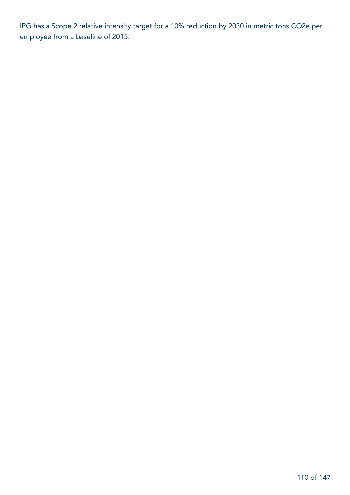IPG has a Scope 2 relative intensity target for a 10% reduction by 2030 in metric tons CO2e per employee from a baseline of 2015.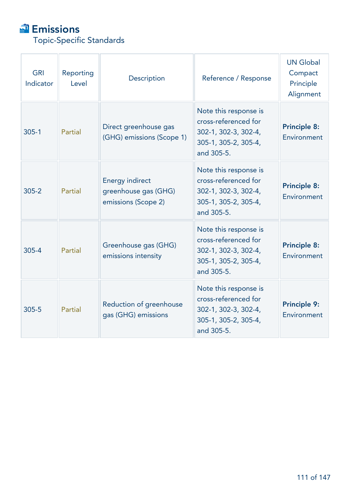# **Emissions**

Topic-Specific Standards

| <b>GRI</b><br>Indicator | Reporting<br>Level | Description                                                           | Reference / Response                                                                                        | <b>UN Global</b><br>Compact<br>Principle<br>Alignment |
|-------------------------|--------------------|-----------------------------------------------------------------------|-------------------------------------------------------------------------------------------------------------|-------------------------------------------------------|
| $305 - 1$               | Partial            | Direct greenhouse gas<br>(GHG) emissions (Scope 1)                    | Note this response is<br>cross-referenced for<br>302-1, 302-3, 302-4,<br>305-1, 305-2, 305-4,<br>and 305-5. | <b>Principle 8:</b><br>Environment                    |
| $305 - 2$               | Partial            | <b>Energy indirect</b><br>greenhouse gas (GHG)<br>emissions (Scope 2) | Note this response is<br>cross-referenced for<br>302-1, 302-3, 302-4,<br>305-1, 305-2, 305-4,<br>and 305-5. | <b>Principle 8:</b><br>Environment                    |
| $305 - 4$               | Partial            | Greenhouse gas (GHG)<br>emissions intensity                           | Note this response is<br>cross-referenced for<br>302-1, 302-3, 302-4,<br>305-1, 305-2, 305-4,<br>and 305-5. | <b>Principle 8:</b><br>Environment                    |
| $305 - 5$               | Partial            | Reduction of greenhouse<br>gas (GHG) emissions                        | Note this response is<br>cross-referenced for<br>302-1, 302-3, 302-4,<br>305-1, 305-2, 305-4,<br>and 305-5. | <b>Principle 9:</b><br>Environment                    |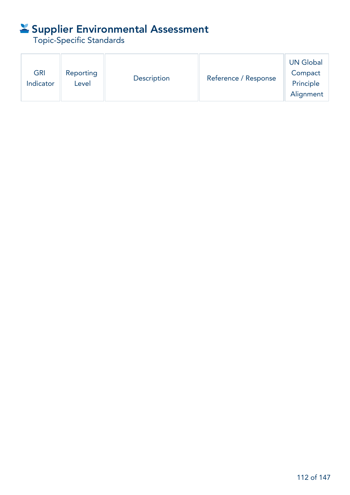# Supplier Environmental Assessment

Topic-Specific Standards

| <b>GRI</b><br>Indicator | Reporting<br>Level | <b>Description</b> | Reference / Response | <b>UN Global</b><br>Compact<br>Principle<br>Alignment |
|-------------------------|--------------------|--------------------|----------------------|-------------------------------------------------------|
|-------------------------|--------------------|--------------------|----------------------|-------------------------------------------------------|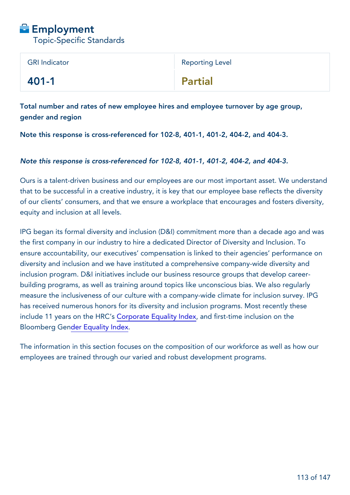# Employment

Topic-Specific Standards

| <b>GRI</b> Indicator | Reporting Level |
|----------------------|-----------------|
| $401 - 1$            | Partial         |

Total number and rates of new employee hires and employee turn gender and region

Note this response is cross-referenced for 102-8, 401-1, 401-2, 4

Note this response is cross-referenced for 102-8, 401-1, 401-2, 4

Ours is a talent-driven business and our employees are our most that to be successful in a creative industry, it is key that our em of our clients consumers, and that we ensure a workplace that e equity and inclusion at all levels.

IPG began its formal diversity and inclusion (D&I) commitment mo the first company in our industry to hire a dedicated Director of I ensure accountability, our executives compensation is linked to diversity and inclusion and we have instituted a comprehensive c inclusion program. D&I initiatives include our business resource building programs, as well as training around topics like unconsc measure the inclusiveness of our culture with a company-wide cli has received numerous honors for its diversity and inclusion prog include 11 years on Ctchrep of HRIC es Equality in Ich diers t-time inclusion on th Bloombergd@enEquality Index

The information in this section focuses on the composition of our employees are trained through our varied and robust development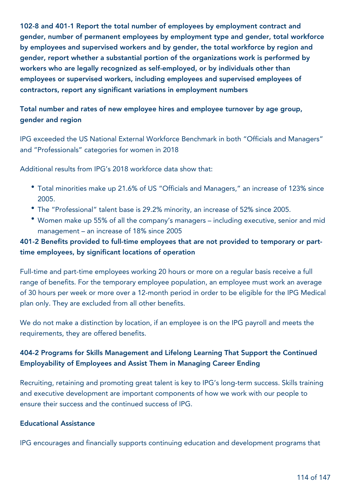102-8 and 401-1 Report the total number of employees by employment contract and gender, number of permanent employees by employment type and gender, total workforce by employees and supervised workers and by gender, the total workforce by region and gender, report whether a substantial portion of the organizations work is performed by workers who are legally recognized as self-employed, or by individuals other than employees or supervised workers, including employees and supervised employees of contractors, report any significant variations in employment numbers

## Total number and rates of new employee hires and employee turnover by age group, gender and region

IPG exceeded the US National External Workforce Benchmark in both "Officials and Managers" and "Professionals" categories for women in 2018

Additional results from IPG's 2018 workforce data show that:

- Total minorities make up 21.6% of US "Officials and Managers," an increase of 123% since 2005.
- The "Professional" talent base is 29.2% minority, an increase of 52% since 2005.
- Women make up 55% of all the company's managers including executive, senior and mid management – an increase of 18% since 2005

## 401-2 Benefits provided to full-time employees that are not provided to temporary or parttime employees, by significant locations of operation

Full-time and part-time employees working 20 hours or more on a regular basis receive a full range of benefits. For the temporary employee population, an employee must work an average of 30 hours per week or more over a 12-month period in order to be eligible for the IPG Medical plan only. They are excluded from all other benefits.

We do not make a distinction by location, if an employee is on the IPG payroll and meets the requirements, they are offered benefits.

## 404-2 Programs for Skills Management and Lifelong Learning That Support the Continued Employability of Employees and Assist Them in Managing Career Ending

Recruiting, retaining and promoting great talent is key to IPG's long-term success. Skills training and executive development are important components of how we work with our people to ensure their success and the continued success of IPG.

### Educational Assistance

IPG encourages and financially supports continuing education and development programs that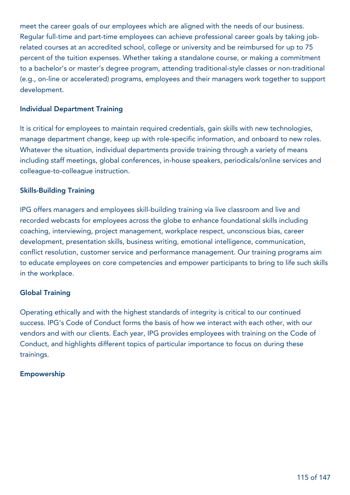meet the career goals of our employees which are aligned with the needs of our business. Regular full-time and part-time employees can achieve professional career goals by taking jobrelated courses at an accredited school, college or university and be reimbursed for up to 75 percent of the tuition expenses. Whether taking a standalone course, or making a commitment to a bachelor's or master's degree program, attending traditional-style classes or non-traditional (e.g., on-line or accelerated) programs, employees and their managers work together to support development.

### Individual Department Training

It is critical for employees to maintain required credentials, gain skills with new technologies, manage department change, keep up with role-specific information, and onboard to new roles. Whatever the situation, individual departments provide training through a variety of means including staff meetings, global conferences, in-house speakers, periodicals/online services and colleague-to-colleague instruction.

#### Skills-Building Training

IPG offers managers and employees skill-building training via live classroom and live and recorded webcasts for employees across the globe to enhance foundational skills including coaching, interviewing, project management, workplace respect, unconscious bias, career development, presentation skills, business writing, emotional intelligence, communication, conflict resolution, customer service and performance management. Our training programs aim to educate employees on core competencies and empower participants to bring to life such skills in the workplace.

#### Global Training

Operating ethically and with the highest standards of integrity is critical to our continued success. IPG's Code of Conduct forms the basis of how we interact with each other, with our vendors and with our clients. Each year, IPG provides employees with training on the Code of Conduct, and highlights different topics of particular importance to focus on during these trainings.

#### Empowership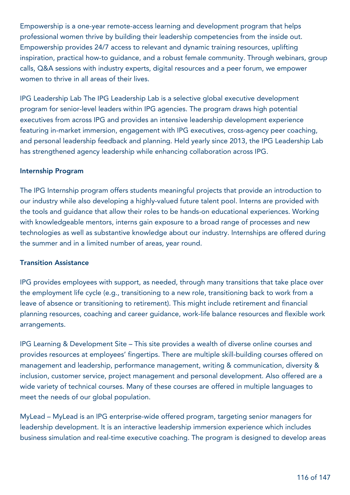Empowership is a one-year remote-access learning and development program that helps professional women thrive by building their leadership competencies from the inside out. Empowership provides 24/7 access to relevant and dynamic training resources, uplifting inspiration, practical how-to guidance, and a robust female community. Through webinars, group calls, Q&A sessions with industry experts, digital resources and a peer forum, we empower women to thrive in all areas of their lives.

IPG Leadership Lab The IPG Leadership Lab is a selective global executive development program for senior-level leaders within IPG agencies. The program draws high potential executives from across IPG and provides an intensive leadership development experience featuring in-market immersion, engagement with IPG executives, cross-agency peer coaching, and personal leadership feedback and planning. Held yearly since 2013, the IPG Leadership Lab has strengthened agency leadership while enhancing collaboration across IPG.

### Internship Program

The IPG Internship program offers students meaningful projects that provide an introduction to our industry while also developing a highly-valued future talent pool. Interns are provided with the tools and guidance that allow their roles to be hands-on educational experiences. Working with knowledgeable mentors, interns gain exposure to a broad range of processes and new technologies as well as substantive knowledge about our industry. Internships are offered during the summer and in a limited number of areas, year round.

#### Transition Assistance

IPG provides employees with support, as needed, through many transitions that take place over the employment life cycle (e.g., transitioning to a new role, transitioning back to work from a leave of absence or transitioning to retirement). This might include retirement and financial planning resources, coaching and career guidance, work-life balance resources and flexible work arrangements.

IPG Learning & Development Site – This site provides a wealth of diverse online courses and provides resources at employees' fingertips. There are multiple skill-building courses offered on management and leadership, performance management, writing & communication, diversity & inclusion, customer service, project management and personal development. Also offered are a wide variety of technical courses. Many of these courses are offered in multiple languages to meet the needs of our global population.

MyLead – MyLead is an IPG enterprise-wide offered program, targeting senior managers for leadership development. It is an interactive leadership immersion experience which includes business simulation and real-time executive coaching. The program is designed to develop areas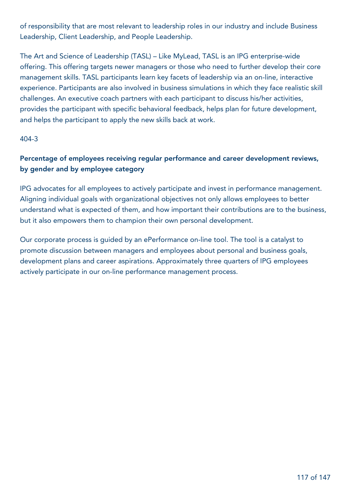of responsibility that are most relevant to leadership roles in our industry and include Business Leadership, Client Leadership, and People Leadership.

The Art and Science of Leadership (TASL) – Like MyLead, TASL is an IPG enterprise-wide offering. This offering targets newer managers or those who need to further develop their core management skills. TASL participants learn key facets of leadership via an on-line, interactive experience. Participants are also involved in business simulations in which they face realistic skill challenges. An executive coach partners with each participant to discuss his/her activities, provides the participant with specific behavioral feedback, helps plan for future development, and helps the participant to apply the new skills back at work.

### 404-3

## Percentage of employees receiving regular performance and career development reviews, by gender and by employee category

IPG advocates for all employees to actively participate and invest in performance management. Aligning individual goals with organizational objectives not only allows employees to better understand what is expected of them, and how important their contributions are to the business, but it also empowers them to champion their own personal development.

Our corporate process is guided by an ePerformance on-line tool. The tool is a catalyst to promote discussion between managers and employees about personal and business goals, development plans and career aspirations. Approximately three quarters of IPG employees actively participate in our on-line performance management process.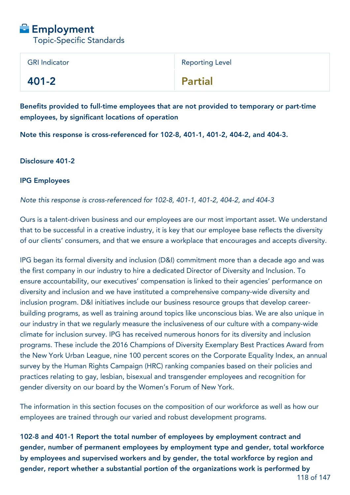# **Employment**

Topic-Specific Standards

| <b>GRI</b> Indicator | <b>Reporting Level</b> |
|----------------------|------------------------|
| 401-2                | <b>Partial</b>         |

Benefits provided to full-time employees that are not provided to temporary or part-time employees, by significant locations of operation

Note this response is cross-referenced for 102-8, 401-1, 401-2, 404-2, and 404-3.

Disclosure 401-2

### IPG Employees

*Note this response is cross-referenced for 102-8, 401-1, 401-2, 404-2, and 404-3*

Ours is a talent-driven business and our employees are our most important asset. We understand that to be successful in a creative industry, it is key that our employee base reflects the diversity of our clients' consumers, and that we ensure a workplace that encourages and accepts diversity.

IPG began its formal diversity and inclusion (D&I) commitment more than a decade ago and was the first company in our industry to hire a dedicated Director of Diversity and Inclusion. To ensure accountability, our executives' compensation is linked to their agencies' performance on diversity and inclusion and we have instituted a comprehensive company-wide diversity and inclusion program. D&I initiatives include our business resource groups that develop careerbuilding programs, as well as training around topics like unconscious bias. We are also unique in our industry in that we regularly measure the inclusiveness of our culture with a company-wide climate for inclusion survey. IPG has received numerous honors for its diversity and inclusion programs. These include the 2016 Champions of Diversity Exemplary Best Practices Award from the New York Urban League, nine 100 percent scores on the Corporate Equality Index, an annual survey by the Human Rights Campaign (HRC) ranking companies based on their policies and practices relating to gay, lesbian, bisexual and transgender employees and recognition for gender diversity on our board by the Women's Forum of New York.

The information in this section focuses on the composition of our workforce as well as how our employees are trained through our varied and robust development programs.

102-8 and 401-1 Report the total number of employees by employment contract and gender, number of permanent employees by employment type and gender, total workforce by employees and supervised workers and by gender, the total workforce by region and gender, report whether a substantial portion of the organizations work is performed by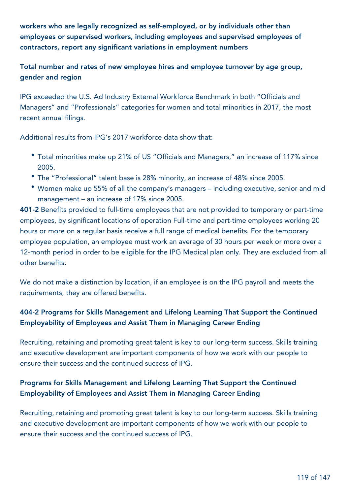workers who are legally recognized as self-employed, or by individuals other than employees or supervised workers, including employees and supervised employees of contractors, report any significant variations in employment numbers

## Total number and rates of new employee hires and employee turnover by age group, gender and region

IPG exceeded the U.S. Ad Industry External Workforce Benchmark in both "Officials and Managers" and "Professionals" categories for women and total minorities in 2017, the most recent annual filings.

Additional results from IPG's 2017 workforce data show that:

- Total minorities make up 21% of US "Officials and Managers," an increase of 117% since 2005.
- The "Professional" talent base is 28% minority, an increase of 48% since 2005.
- Women make up 55% of all the company's managers including executive, senior and mid management – an increase of 17% since 2005.

401-2 Benefits provided to full-time employees that are not provided to temporary or part-time employees, by significant locations of operation Full-time and part-time employees working 20 hours or more on a regular basis receive a full range of medical benefits. For the temporary employee population, an employee must work an average of 30 hours per week or more over a 12-month period in order to be eligible for the IPG Medical plan only. They are excluded from all other benefits.

We do not make a distinction by location, if an employee is on the IPG payroll and meets the requirements, they are offered benefits.

## 404-2 Programs for Skills Management and Lifelong Learning That Support the Continued Employability of Employees and Assist Them in Managing Career Ending

Recruiting, retaining and promoting great talent is key to our long-term success. Skills training and executive development are important components of how we work with our people to ensure their success and the continued success of IPG.

## Programs for Skills Management and Lifelong Learning That Support the Continued Employability of Employees and Assist Them in Managing Career Ending

Recruiting, retaining and promoting great talent is key to our long-term success. Skills training and executive development are important components of how we work with our people to ensure their success and the continued success of IPG.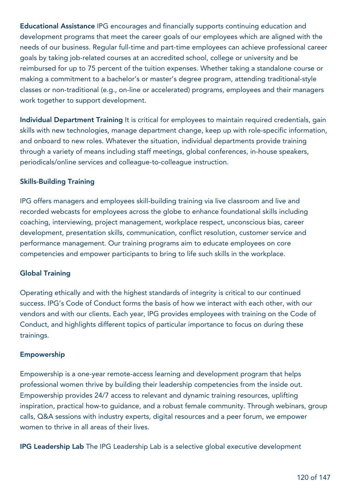Educational Assistance IPG encourages and financially supports continuing education and development programs that meet the career goals of our employees which are aligned with the needs of our business. Regular full-time and part-time employees can achieve professional career goals by taking job-related courses at an accredited school, college or university and be reimbursed for up to 75 percent of the tuition expenses. Whether taking a standalone course or making a commitment to a bachelor's or master's degree program, attending traditional-style classes or non-traditional (e.g., on-line or accelerated) programs, employees and their managers work together to support development.

Individual Department Training It is critical for employees to maintain required credentials, gain skills with new technologies, manage department change, keep up with role-specific information, and onboard to new roles. Whatever the situation, individual departments provide training through a variety of means including staff meetings, global conferences, in-house speakers, periodicals/online services and colleague-to-colleague instruction.

### Skills-Building Training

IPG offers managers and employees skill-building training via live classroom and live and recorded webcasts for employees across the globe to enhance foundational skills including coaching, interviewing, project management, workplace respect, unconscious bias, career development, presentation skills, communication, conflict resolution, customer service and performance management. Our training programs aim to educate employees on core competencies and empower participants to bring to life such skills in the workplace.

### Global Training

Operating ethically and with the highest standards of integrity is critical to our continued success. IPG's Code of Conduct forms the basis of how we interact with each other, with our vendors and with our clients. Each year, IPG provides employees with training on the Code of Conduct, and highlights different topics of particular importance to focus on during these trainings.

### Empowership

Empowership is a one-year remote-access learning and development program that helps professional women thrive by building their leadership competencies from the inside out. Empowership provides 24/7 access to relevant and dynamic training resources, uplifting inspiration, practical how-to guidance, and a robust female community. Through webinars, group calls, Q&A sessions with industry experts, digital resources and a peer forum, we empower women to thrive in all areas of their lives.

IPG Leadership Lab The IPG Leadership Lab is a selective global executive development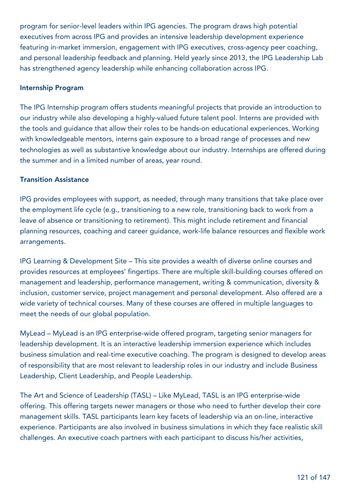program for senior-level leaders within IPG agencies. The program draws high potential executives from across IPG and provides an intensive leadership development experience featuring in-market immersion, engagement with IPG executives, cross-agency peer coaching, and personal leadership feedback and planning. Held yearly since 2013, the IPG Leadership Lab has strengthened agency leadership while enhancing collaboration across IPG.

#### Internship Program

The IPG Internship program offers students meaningful projects that provide an introduction to our industry while also developing a highly-valued future talent pool. Interns are provided with the tools and guidance that allow their roles to be hands-on educational experiences. Working with knowledgeable mentors, interns gain exposure to a broad range of processes and new technologies as well as substantive knowledge about our industry. Internships are offered during the summer and in a limited number of areas, year round.

### Transition Assistance

IPG provides employees with support, as needed, through many transitions that take place over the employment life cycle (e.g., transitioning to a new role, transitioning back to work from a leave of absence or transitioning to retirement). This might include retirement and financial planning resources, coaching and career guidance, work-life balance resources and flexible work arrangements.

IPG Learning & Development Site – This site provides a wealth of diverse online courses and provides resources at employees' fingertips. There are multiple skill-building courses offered on management and leadership, performance management, writing & communication, diversity & inclusion, customer service, project management and personal development. Also offered are a wide variety of technical courses. Many of these courses are offered in multiple languages to meet the needs of our global population.

MyLead – MyLead is an IPG enterprise-wide offered program, targeting senior managers for leadership development. It is an interactive leadership immersion experience which includes business simulation and real-time executive coaching. The program is designed to develop areas of responsibility that are most relevant to leadership roles in our industry and include Business Leadership, Client Leadership, and People Leadership.

The Art and Science of Leadership (TASL) – Like MyLead, TASL is an IPG enterprise-wide offering. This offering targets newer managers or those who need to further develop their core management skills. TASL participants learn key facets of leadership via an on-line, interactive experience. Participants are also involved in business simulations in which they face realistic skill challenges. An executive coach partners with each participant to discuss his/her activities,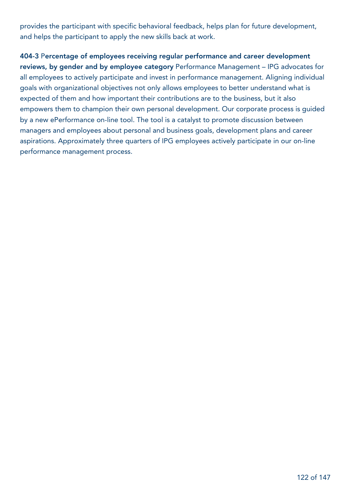provides the participant with specific behavioral feedback, helps plan for future development, and helps the participant to apply the new skills back at work.

404-3 Percentage of employees receiving regular performance and career development reviews, by gender and by employee category Performance Management – IPG advocates for all employees to actively participate and invest in performance management. Aligning individual goals with organizational objectives not only allows employees to better understand what is expected of them and how important their contributions are to the business, but it also empowers them to champion their own personal development. Our corporate process is guided by a new ePerformance on-line tool. The tool is a catalyst to promote discussion between managers and employees about personal and business goals, development plans and career aspirations. Approximately three quarters of IPG employees actively participate in our on-line performance management process.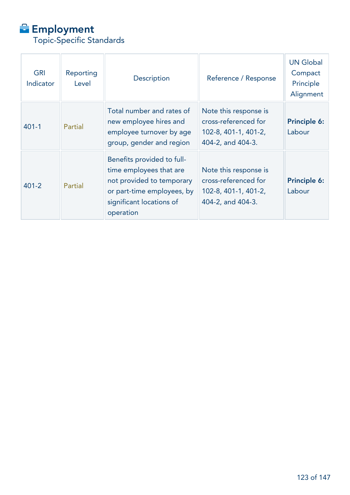# Employment

Topic-Specific Standards

| <b>GRI</b><br>Indicator | Reporting<br>Level | Description                                                                                                                                               | Reference / Response                                                                       | <b>UN Global</b><br>Compact<br>Principle<br>Alignment |
|-------------------------|--------------------|-----------------------------------------------------------------------------------------------------------------------------------------------------------|--------------------------------------------------------------------------------------------|-------------------------------------------------------|
| $401 - 1$               | Partial            | Total number and rates of<br>new employee hires and<br>employee turnover by age<br>group, gender and region                                               | Note this response is<br>cross-referenced for<br>102-8, 401-1, 401-2,<br>404-2, and 404-3. | Principle 6:<br>Labour                                |
| $401 - 2$               | Partial            | Benefits provided to full-<br>time employees that are<br>not provided to temporary<br>or part-time employees, by<br>significant locations of<br>operation | Note this response is<br>cross-referenced for<br>102-8, 401-1, 401-2,<br>404-2, and 404-3. | Principle 6:<br>Labour                                |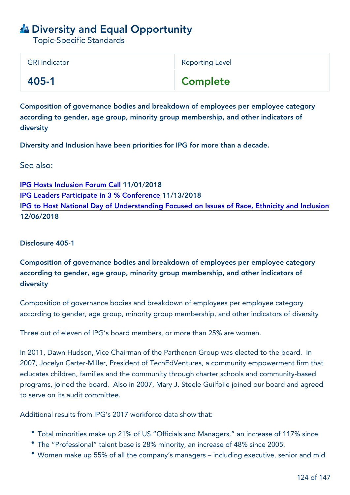# Diversity and Equal Opportunity Topic-Specific Standards

| <b>GRI</b> Indicator | Reporting Level |
|----------------------|-----------------|
| $405 - 1$            | Complete        |

Composition of governance bodies and breakdown of employees p according to gender, age group, minority group membership, and diversity

Diversity and Inclusion have been priorities for IPG for more than

See also:

[IPG Hosts Inclusion](https://www.interpublic.com/news/ipg-hosts-inclusion-forum-call/) Fldrom/CGalB [IPG Leaders Participate in 3](https://www.interpublic.com/news/ipg-leaders-participate-in-3-conference/) 1% / C 3 h 2 0 1 & n c e [IPG to Host National Day of Understanding Focused on Issues](https://www.interpublic.com/news/ipg-to-host-national-day-of-understanding-focused-on-issues-of-race-ethnicity-and-inclusion/) of 12/06/2018

Disclosure 405-1

Composition of governance bodies and breakdown of employees p according to gender, age group, minority group membership, and diversity

Composition of governance bodies and breakdown of employees p according to gender, age group, minority group membership, and

Three out of eleven of IPG s board members, or more than 25% a

In 2011, Dawn Hudson, Vice Chairman of the Parthenon Group wa 2007, Jocelyn Carter-Miller, President of TechEdVentures, a com educates children, families and the community through charter sc programs, joined the board. Also in 2007, Mary J. Steele Guilfoi to serve on its audit committee.

Additional results from IPG s 2017 workforce data show that:

- Total minorities make up 21% of US Officials and Managers,
- \* The Professional talent base is 28% minority, an increase of
- \* Women make up 55% of all the company s managers including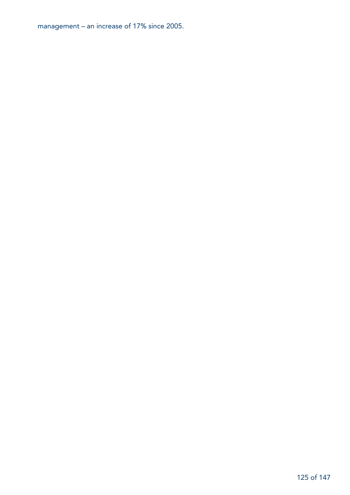management – an increase of 17% since 2005.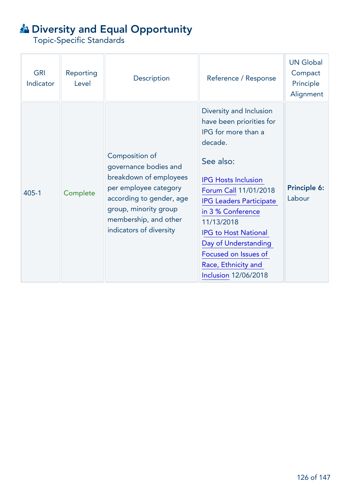# Diversity and Equal Opportunity Topic-Specific Standards

| GRI       | Reporting<br>Indicator Level | Description                                                                                                                                                       | Reference / Response<br>Principle                                                                                                                                                                                                                                                                | UN Global<br>Alignment |
|-----------|------------------------------|-------------------------------------------------------------------------------------------------------------------------------------------------------------------|--------------------------------------------------------------------------------------------------------------------------------------------------------------------------------------------------------------------------------------------------------------------------------------------------|------------------------|
| $405 - 1$ | Complet                      | Composition of<br>governance bodies<br>breakdown of emp<br>per employee cate<br>according to gend<br>group, minority gr<br>membership, and<br>indicators of diver | Diversity and In<br>have been priori<br>IPG for more tha<br>decade.<br>See also:<br><b>IPG Hosts Inclus</b><br>Forum Clall 101/20<br><b>IPG Leaders Par</b><br>in 3 % Conferent<br>11/13/2018<br>IPG to Host Nati<br>Day of Understa<br>Focused on Issu<br>Race, Ethnicity<br>Inclusito2n/06/201 | Principle 6:<br>Labour |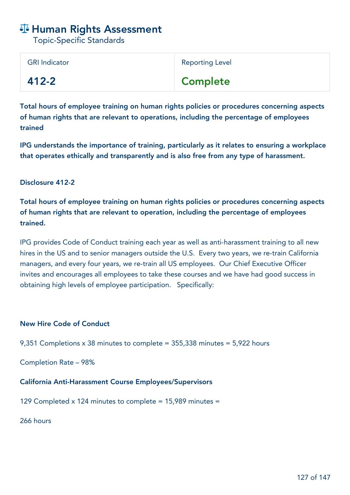# **Human Rights Assessment**

Topic-Specific Standards

| <b>GRI</b> Indicator | <b>Reporting Level</b> |
|----------------------|------------------------|
| 412-2                | <b>Complete</b>        |

Total hours of employee training on human rights policies or procedures concerning aspects of human rights that are relevant to operations, including the percentage of employees trained

IPG understands the importance of training, particularly as it relates to ensuring a workplace that operates ethically and transparently and is also free from any type of harassment.

### Disclosure 412-2

Total hours of employee training on human rights policies or procedures concerning aspects of human rights that are relevant to operation, including the percentage of employees trained.

IPG provides Code of Conduct training each year as well as anti-harassment training to all new hires in the US and to senior managers outside the U.S. Every two years, we re-train California managers, and every four years, we re-train all US employees. Our Chief Executive Officer invites and encourages all employees to take these courses and we have had good success in obtaining high levels of employee participation. Specifically:

### New Hire Code of Conduct

9,351 Completions x 38 minutes to complete = 355,338 minutes = 5,922 hours

Completion Rate – 98%

### California Anti-Harassment Course Employees/Supervisors

129 Completed x 124 minutes to complete = 15,989 minutes =

266 hours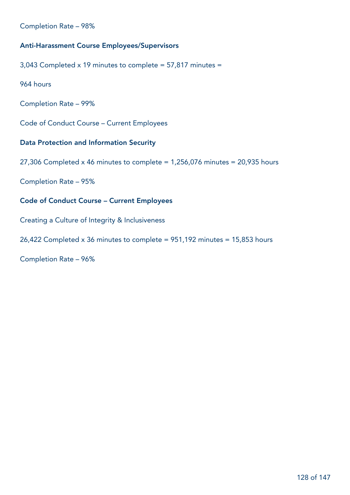Completion Rate – 98%

### Anti-Harassment Course Employees/Supervisors

3,043 Completed x 19 minutes to complete = 57,817 minutes =

964 hours

Completion Rate – 99%

Code of Conduct Course – Current Employees

### Data Protection and Information Security

27,306 Completed x 46 minutes to complete = 1,256,076 minutes = 20,935 hours

Completion Rate – 95%

Code of Conduct Course – Current Employees

Creating a Culture of Integrity & Inclusiveness

26,422 Completed x 36 minutes to complete = 951,192 minutes = 15,853 hours

Completion Rate – 96%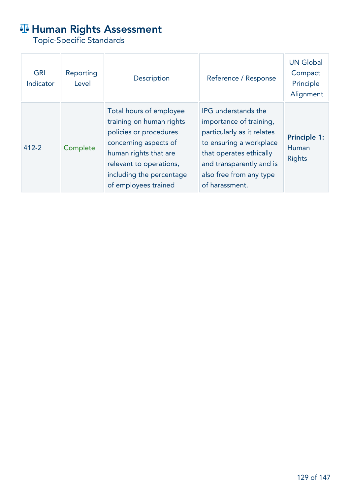# Human Rights Assessment

Topic-Specific Standards

| <b>GRI</b><br>Indicator | Reporting<br>Level | Description                                                                                                                                                                                                    | Reference / Response                                                                                                                                                                                               | <b>UN Global</b><br>Compact<br>Principle<br>Alignment |
|-------------------------|--------------------|----------------------------------------------------------------------------------------------------------------------------------------------------------------------------------------------------------------|--------------------------------------------------------------------------------------------------------------------------------------------------------------------------------------------------------------------|-------------------------------------------------------|
| $412 - 2$               | Complete           | Total hours of employee<br>training on human rights<br>policies or procedures<br>concerning aspects of<br>human rights that are<br>relevant to operations,<br>including the percentage<br>of employees trained | <b>IPG</b> understands the<br>importance of training,<br>particularly as it relates<br>to ensuring a workplace<br>that operates ethically<br>and transparently and is<br>also free from any type<br>of harassment. | <b>Principle 1:</b><br>Human<br><b>Rights</b>         |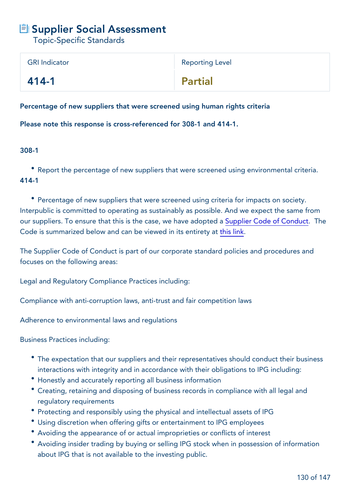# Supplier Social Assessment Topic-Specific Standards

| <b>GRI</b> Indicator | Reporting Level |
|----------------------|-----------------|
| 414-1                | Partial         |

Percentage of new suppliers that were screened using human rights Please note this response is cross-referenced for 308-1 and 414-

308-1

• Report the percentage of new suppliers that were screened us 414-1

• Percentage of new suppliers that were screened using criteria Interpublic is committed to operating as sustainably as possible. our suppliers. To ensure that this is the Sapplieve Chade at Contedua Code is summarized below and can be vide whe dink its entirety at

The Supplier Code of Conduct is part of our corporate standard p focuses on the following areas:

Legal and Regulatory Compliance Practices including:

Compliance with anti-corruption laws, anti-trust and fair competit

Adherence to environmental laws and regulations

Business Practices including:

- \* The expectation that our suppliers and their representatives s interactions with integrity and in accordance with their obliga
- Honestly and accurately reporting all business information
- <sup>.</sup> Creating, retaining and disposing of business records in comp regulatory requirements
- Protecting and responsibly using the physical and intellectual
- Using discretion when offering gifts or entertainment to IPG e
- Avoiding the appearance of or actual improprieties or conflict
- \* Avoiding insider trading by buying or selling IPG stock when i about IPG that is not available to the investing public.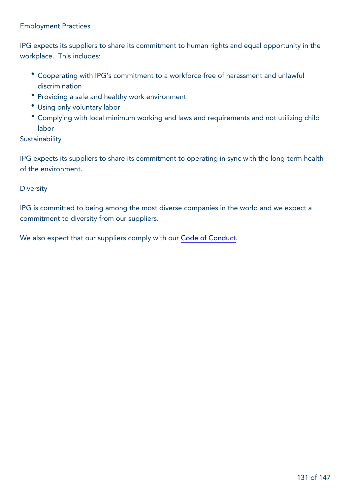Employment Practices

IPG expects its suppliers to share its commitment to human rights workplace. This includes:

- Cooperating with IPG s commitment to a workforce free of har discrimination
- Providing a safe and healthy work environment
- Using only voluntary labor
- Complying with local minimum working and laws and requireme labor

Sustainability

IPG expects its suppliers to share its commitment to operating in of the environment.

Diversity

IPG is committed to being among the most diverse companies in t commitment to diversity from our suppliers.

We also expect that our supplier God emont C with the otur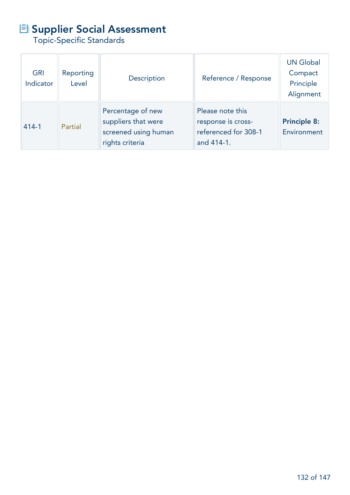# Supplier Social Assessment

Topic-Specific Standards

| <b>GRI</b><br>Indicator | Reporting<br>Level | Description                                                                         | Reference / Response                                                         | <b>UN Global</b><br>Compact<br>Principle<br>Alignment |
|-------------------------|--------------------|-------------------------------------------------------------------------------------|------------------------------------------------------------------------------|-------------------------------------------------------|
| $414 - 1$               | Partial            | Percentage of new<br>suppliers that were<br>screened using human<br>rights criteria | Please note this<br>response is cross-<br>referenced for 308-1<br>and 414-1. | <b>Principle 8:</b><br>Environment                    |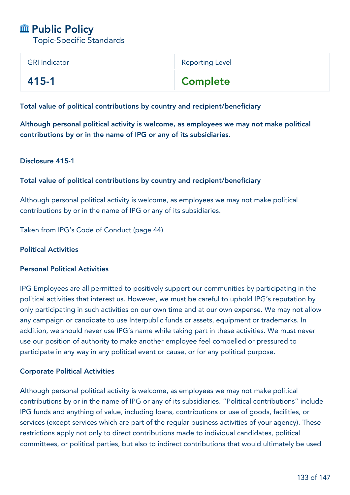# **III** Public Policy

Topic-Specific Standards

| <b>GRI</b> Indicator | <b>Reporting Level</b> |
|----------------------|------------------------|
| 415-1                | <b>Complete</b>        |

### Total value of political contributions by country and recipient/beneficiary

Although personal political activity is welcome, as employees we may not make political contributions by or in the name of IPG or any of its subsidiaries.

### Disclosure 415-1

### Total value of political contributions by country and recipient/beneficiary

Although personal political activity is welcome, as employees we may not make political contributions by or in the name of IPG or any of its subsidiaries.

Taken from IPG's Code of Conduct (page 44)

### Political Activities

#### Personal Political Activities

IPG Employees are all permitted to positively support our communities by participating in the political activities that interest us. However, we must be careful to uphold IPG's reputation by only participating in such activities on our own time and at our own expense. We may not allow any campaign or candidate to use Interpublic funds or assets, equipment or trademarks. In addition, we should never use IPG's name while taking part in these activities. We must never use our position of authority to make another employee feel compelled or pressured to participate in any way in any political event or cause, or for any political purpose.

### Corporate Political Activities

Although personal political activity is welcome, as employees we may not make political contributions by or in the name of IPG or any of its subsidiaries. "Political contributions" include IPG funds and anything of value, including loans, contributions or use of goods, facilities, or services (except services which are part of the regular business activities of your agency). These restrictions apply not only to direct contributions made to individual candidates, political committees, or political parties, but also to indirect contributions that would ultimately be used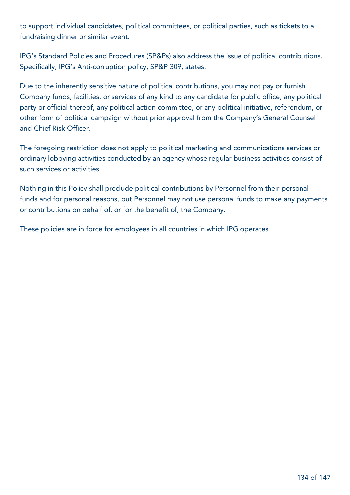to support individual candidates, political committees, or political parties, such as tickets to a fundraising dinner or similar event.

IPG's Standard Policies and Procedures (SP&Ps) also address the issue of political contributions. Specifically, IPG's Anti-corruption policy, SP&P 309, states:

Due to the inherently sensitive nature of political contributions, you may not pay or furnish Company funds, facilities, or services of any kind to any candidate for public office, any political party or official thereof, any political action committee, or any political initiative, referendum, or other form of political campaign without prior approval from the Company's General Counsel and Chief Risk Officer.

The foregoing restriction does not apply to political marketing and communications services or ordinary lobbying activities conducted by an agency whose regular business activities consist of such services or activities.

Nothing in this Policy shall preclude political contributions by Personnel from their personal funds and for personal reasons, but Personnel may not use personal funds to make any payments or contributions on behalf of, or for the benefit of, the Company.

These policies are in force for employees in all countries in which IPG operates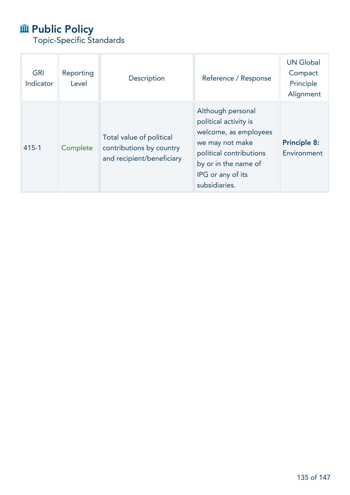# Public Policy

Topic-Specific Standards

| <b>GRI</b><br>Indicator | Reporting<br>Level | Description                                                                       | Reference / Response                                                                                                                                                            | <b>UN Global</b><br>Compact<br>Principle<br>Alignment |
|-------------------------|--------------------|-----------------------------------------------------------------------------------|---------------------------------------------------------------------------------------------------------------------------------------------------------------------------------|-------------------------------------------------------|
| $415 - 1$               | Complete           | Total value of political<br>contributions by country<br>and recipient/beneficiary | Although personal<br>political activity is<br>welcome, as employees<br>we may not make<br>political contributions<br>by or in the name of<br>IPG or any of its<br>subsidiaries. | <b>Principle 8:</b><br>Environment                    |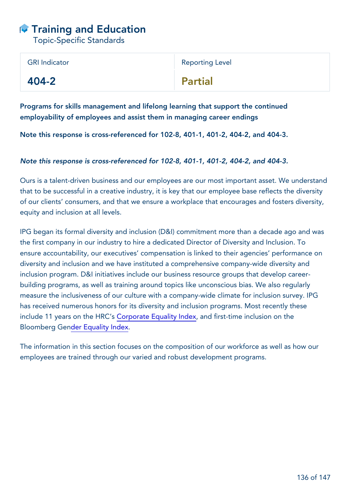# Training and Education Topic-Specific Standards

| <b>GRI</b> Indicator | Reporting Level |  |
|----------------------|-----------------|--|
| $404 - 2$            | Partial         |  |

Programs for skills management and lifelong learning that suppor employability of employees and assist them in managing career e

Note this response is cross-referenced for 102-8, 401-1, 401-2, 4

Note this response is cross-referenced for 102-8, 401-1, 401-2, 4

Ours is a talent-driven business and our employees are our most that to be successful in a creative industry, it is key that our em of our clients consumers, and that we ensure a workplace that e equity and inclusion at all levels.

IPG began its formal diversity and inclusion (D&I) commitment mo the first company in our industry to hire a dedicated Director of I ensure accountability, our executives compensation is linked to diversity and inclusion and we have instituted a comprehensive c inclusion program. D&I initiatives include our business resource building programs, as well as training around topics like unconsc measure the inclusiveness of our culture with a company-wide cli has received numerous honors for its diversity and inclusion prog include 11 years on Ctchrep of HRIC es Equality in Ich diers t-time inclusion on th Bloombergd@enEquality Index

The information in this section focuses on the composition of our employees are trained through our varied and robust development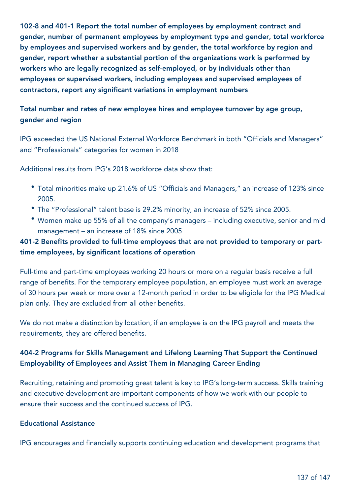102-8 and 401-1 Report the total number of employees by employment contract and gender, number of permanent employees by employment type and gender, total workforce by employees and supervised workers and by gender, the total workforce by region and gender, report whether a substantial portion of the organizations work is performed by workers who are legally recognized as self-employed, or by individuals other than employees or supervised workers, including employees and supervised employees of contractors, report any significant variations in employment numbers

## Total number and rates of new employee hires and employee turnover by age group, gender and region

IPG exceeded the US National External Workforce Benchmark in both "Officials and Managers" and "Professionals" categories for women in 2018

Additional results from IPG's 2018 workforce data show that:

- Total minorities make up 21.6% of US "Officials and Managers," an increase of 123% since 2005.
- The "Professional" talent base is 29.2% minority, an increase of 52% since 2005.
- Women make up 55% of all the company's managers including executive, senior and mid management – an increase of 18% since 2005

## 401-2 Benefits provided to full-time employees that are not provided to temporary or parttime employees, by significant locations of operation

Full-time and part-time employees working 20 hours or more on a regular basis receive a full range of benefits. For the temporary employee population, an employee must work an average of 30 hours per week or more over a 12-month period in order to be eligible for the IPG Medical plan only. They are excluded from all other benefits.

We do not make a distinction by location, if an employee is on the IPG payroll and meets the requirements, they are offered benefits.

## 404-2 Programs for Skills Management and Lifelong Learning That Support the Continued Employability of Employees and Assist Them in Managing Career Ending

Recruiting, retaining and promoting great talent is key to IPG's long-term success. Skills training and executive development are important components of how we work with our people to ensure their success and the continued success of IPG.

### Educational Assistance

IPG encourages and financially supports continuing education and development programs that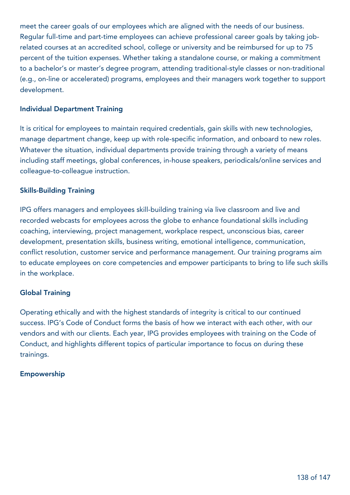meet the career goals of our employees which are aligned with the needs of our business. Regular full-time and part-time employees can achieve professional career goals by taking jobrelated courses at an accredited school, college or university and be reimbursed for up to 75 percent of the tuition expenses. Whether taking a standalone course, or making a commitment to a bachelor's or master's degree program, attending traditional-style classes or non-traditional (e.g., on-line or accelerated) programs, employees and their managers work together to support development.

### Individual Department Training

It is critical for employees to maintain required credentials, gain skills with new technologies, manage department change, keep up with role-specific information, and onboard to new roles. Whatever the situation, individual departments provide training through a variety of means including staff meetings, global conferences, in-house speakers, periodicals/online services and colleague-to-colleague instruction.

#### Skills-Building Training

IPG offers managers and employees skill-building training via live classroom and live and recorded webcasts for employees across the globe to enhance foundational skills including coaching, interviewing, project management, workplace respect, unconscious bias, career development, presentation skills, business writing, emotional intelligence, communication, conflict resolution, customer service and performance management. Our training programs aim to educate employees on core competencies and empower participants to bring to life such skills in the workplace.

#### Global Training

Operating ethically and with the highest standards of integrity is critical to our continued success. IPG's Code of Conduct forms the basis of how we interact with each other, with our vendors and with our clients. Each year, IPG provides employees with training on the Code of Conduct, and highlights different topics of particular importance to focus on during these trainings.

#### Empowership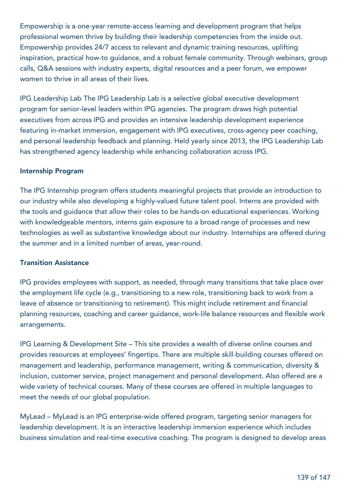Empowership is a one-year remote-access learning and development program that helps professional women thrive by building their leadership competencies from the inside out. Empowership provides 24/7 access to relevant and dynamic training resources, uplifting inspiration, practical how-to guidance, and a robust female community. Through webinars, group calls, Q&A sessions with industry experts, digital resources and a peer forum, we empower women to thrive in all areas of their lives.

IPG Leadership Lab The IPG Leadership Lab is a selective global executive development program for senior-level leaders within IPG agencies. The program draws high potential executives from across IPG and provides an intensive leadership development experience featuring in-market immersion, engagement with IPG executives, cross-agency peer coaching, and personal leadership feedback and planning. Held yearly since 2013, the IPG Leadership Lab has strengthened agency leadership while enhancing collaboration across IPG.

### Internship Program

The IPG Internship program offers students meaningful projects that provide an introduction to our industry while also developing a highly-valued future talent pool. Interns are provided with the tools and guidance that allow their roles to be hands-on educational experiences. Working with knowledgeable mentors, interns gain exposure to a broad range of processes and new technologies as well as substantive knowledge about our industry. Internships are offered during the summer and in a limited number of areas, year-round.

#### Transition Assistance

IPG provides employees with support, as needed, through many transitions that take place over the employment life cycle (e.g., transitioning to a new role, transitioning back to work from a leave of absence or transitioning to retirement). This might include retirement and financial planning resources, coaching and career guidance, work-life balance resources and flexible work arrangements.

IPG Learning & Development Site – This site provides a wealth of diverse online courses and provides resources at employees' fingertips. There are multiple skill-building courses offered on management and leadership, performance management, writing & communication, diversity & inclusion, customer service, project management and personal development. Also offered are a wide variety of technical courses. Many of these courses are offered in multiple languages to meet the needs of our global population.

MyLead – MyLead is an IPG enterprise-wide offered program, targeting senior managers for leadership development. It is an interactive leadership immersion experience which includes business simulation and real-time executive coaching. The program is designed to develop areas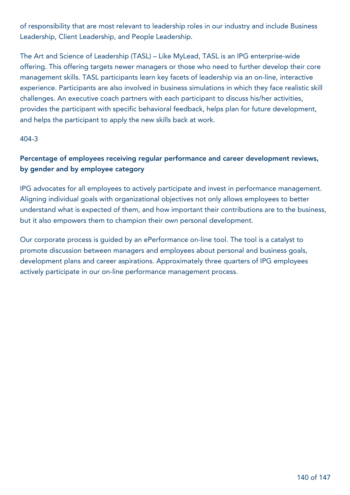of responsibility that are most relevant to leadership roles in our industry and include Business Leadership, Client Leadership, and People Leadership.

The Art and Science of Leadership (TASL) – Like MyLead, TASL is an IPG enterprise-wide offering. This offering targets newer managers or those who need to further develop their core management skills. TASL participants learn key facets of leadership via an on-line, interactive experience. Participants are also involved in business simulations in which they face realistic skill challenges. An executive coach partners with each participant to discuss his/her activities, provides the participant with specific behavioral feedback, helps plan for future development, and helps the participant to apply the new skills back at work.

### 404-3

## Percentage of employees receiving regular performance and career development reviews, by gender and by employee category

IPG advocates for all employees to actively participate and invest in performance management. Aligning individual goals with organizational objectives not only allows employees to better understand what is expected of them, and how important their contributions are to the business, but it also empowers them to champion their own personal development.

Our corporate process is guided by an ePerformance on-line tool. The tool is a catalyst to promote discussion between managers and employees about personal and business goals, development plans and career aspirations. Approximately three quarters of IPG employees actively participate in our on-line performance management process.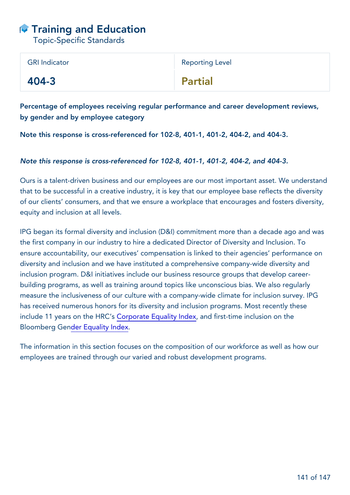# Training and Education Topic-Specific Standards

| <b>GRI</b> Indicator | Reporting Level |
|----------------------|-----------------|
| $404 - 3$            | Partial         |

Percentage of employees receiving regular performance and caree by gender and by employee category

Note this response is cross-referenced for 102-8, 401-1, 401-2, 4

Note this response is cross-referenced for 102-8, 401-1, 401-2, 4

Ours is a talent-driven business and our employees are our most that to be successful in a creative industry, it is key that our em of our clients consumers, and that we ensure a workplace that e equity and inclusion at all levels.

IPG began its formal diversity and inclusion (D&I) commitment mo the first company in our industry to hire a dedicated Director of I ensure accountability, our executives compensation is linked to diversity and inclusion and we have instituted a comprehensive c inclusion program. D&I initiatives include our business resource building programs, as well as training around topics like unconsc measure the inclusiveness of our culture with a company-wide cli has received numerous honors for its diversity and inclusion prog include 11 years on Ctchrep of HRIC es Equality in Ich diers t-time inclusion on th Bloombergd@enEquality Index

The information in this section focuses on the composition of our employees are trained through our varied and robust development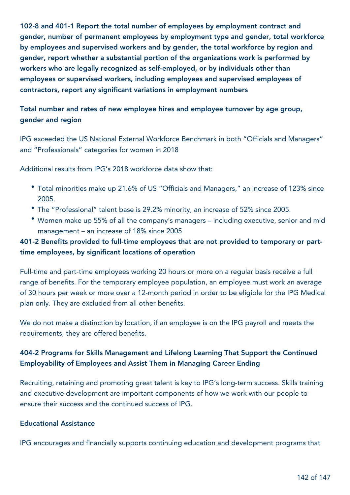102-8 and 401-1 Report the total number of employees by employment contract and gender, number of permanent employees by employment type and gender, total workforce by employees and supervised workers and by gender, the total workforce by region and gender, report whether a substantial portion of the organizations work is performed by workers who are legally recognized as self-employed, or by individuals other than employees or supervised workers, including employees and supervised employees of contractors, report any significant variations in employment numbers

## Total number and rates of new employee hires and employee turnover by age group, gender and region

IPG exceeded the US National External Workforce Benchmark in both "Officials and Managers" and "Professionals" categories for women in 2018

Additional results from IPG's 2018 workforce data show that:

- Total minorities make up 21.6% of US "Officials and Managers," an increase of 123% since 2005.
- The "Professional" talent base is 29.2% minority, an increase of 52% since 2005.
- Women make up 55% of all the company's managers including executive, senior and mid management – an increase of 18% since 2005

## 401-2 Benefits provided to full-time employees that are not provided to temporary or parttime employees, by significant locations of operation

Full-time and part-time employees working 20 hours or more on a regular basis receive a full range of benefits. For the temporary employee population, an employee must work an average of 30 hours per week or more over a 12-month period in order to be eligible for the IPG Medical plan only. They are excluded from all other benefits.

We do not make a distinction by location, if an employee is on the IPG payroll and meets the requirements, they are offered benefits.

### 404-2 Programs for Skills Management and Lifelong Learning That Support the Continued Employability of Employees and Assist Them in Managing Career Ending

Recruiting, retaining and promoting great talent is key to IPG's long-term success. Skills training and executive development are important components of how we work with our people to ensure their success and the continued success of IPG.

### Educational Assistance

IPG encourages and financially supports continuing education and development programs that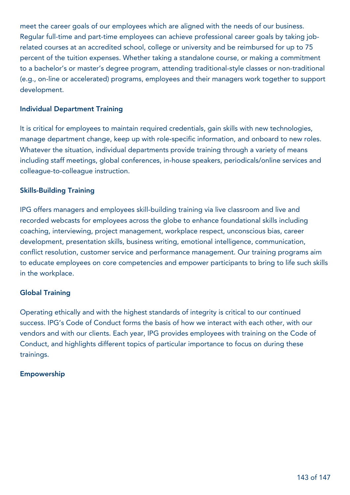meet the career goals of our employees which are aligned with the needs of our business. Regular full-time and part-time employees can achieve professional career goals by taking jobrelated courses at an accredited school, college or university and be reimbursed for up to 75 percent of the tuition expenses. Whether taking a standalone course, or making a commitment to a bachelor's or master's degree program, attending traditional-style classes or non-traditional (e.g., on-line or accelerated) programs, employees and their managers work together to support development.

### Individual Department Training

It is critical for employees to maintain required credentials, gain skills with new technologies, manage department change, keep up with role-specific information, and onboard to new roles. Whatever the situation, individual departments provide training through a variety of means including staff meetings, global conferences, in-house speakers, periodicals/online services and colleague-to-colleague instruction.

### Skills-Building Training

IPG offers managers and employees skill-building training via live classroom and live and recorded webcasts for employees across the globe to enhance foundational skills including coaching, interviewing, project management, workplace respect, unconscious bias, career development, presentation skills, business writing, emotional intelligence, communication, conflict resolution, customer service and performance management. Our training programs aim to educate employees on core competencies and empower participants to bring to life such skills in the workplace.

### Global Training

Operating ethically and with the highest standards of integrity is critical to our continued success. IPG's Code of Conduct forms the basis of how we interact with each other, with our vendors and with our clients. Each year, IPG provides employees with training on the Code of Conduct, and highlights different topics of particular importance to focus on during these trainings.

### Empowership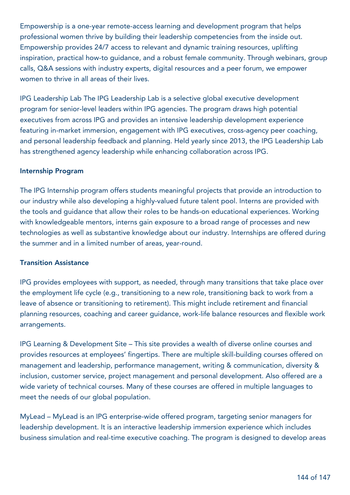Empowership is a one-year remote-access learning and development program that helps professional women thrive by building their leadership competencies from the inside out. Empowership provides 24/7 access to relevant and dynamic training resources, uplifting inspiration, practical how-to guidance, and a robust female community. Through webinars, group calls, Q&A sessions with industry experts, digital resources and a peer forum, we empower women to thrive in all areas of their lives.

IPG Leadership Lab The IPG Leadership Lab is a selective global executive development program for senior-level leaders within IPG agencies. The program draws high potential executives from across IPG and provides an intensive leadership development experience featuring in-market immersion, engagement with IPG executives, cross-agency peer coaching, and personal leadership feedback and planning. Held yearly since 2013, the IPG Leadership Lab has strengthened agency leadership while enhancing collaboration across IPG.

### Internship Program

The IPG Internship program offers students meaningful projects that provide an introduction to our industry while also developing a highly-valued future talent pool. Interns are provided with the tools and guidance that allow their roles to be hands-on educational experiences. Working with knowledgeable mentors, interns gain exposure to a broad range of processes and new technologies as well as substantive knowledge about our industry. Internships are offered during the summer and in a limited number of areas, year-round.

#### Transition Assistance

IPG provides employees with support, as needed, through many transitions that take place over the employment life cycle (e.g., transitioning to a new role, transitioning back to work from a leave of absence or transitioning to retirement). This might include retirement and financial planning resources, coaching and career guidance, work-life balance resources and flexible work arrangements.

IPG Learning & Development Site – This site provides a wealth of diverse online courses and provides resources at employees' fingertips. There are multiple skill-building courses offered on management and leadership, performance management, writing & communication, diversity & inclusion, customer service, project management and personal development. Also offered are a wide variety of technical courses. Many of these courses are offered in multiple languages to meet the needs of our global population.

MyLead – MyLead is an IPG enterprise-wide offered program, targeting senior managers for leadership development. It is an interactive leadership immersion experience which includes business simulation and real-time executive coaching. The program is designed to develop areas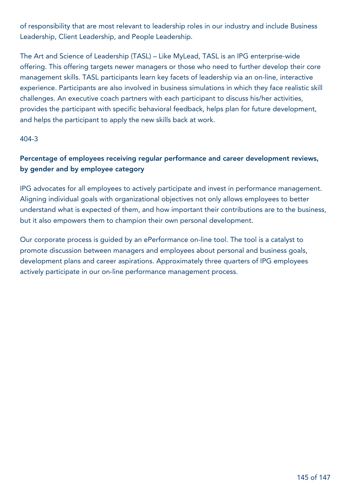of responsibility that are most relevant to leadership roles in our industry and include Business Leadership, Client Leadership, and People Leadership.

The Art and Science of Leadership (TASL) – Like MyLead, TASL is an IPG enterprise-wide offering. This offering targets newer managers or those who need to further develop their core management skills. TASL participants learn key facets of leadership via an on-line, interactive experience. Participants are also involved in business simulations in which they face realistic skill challenges. An executive coach partners with each participant to discuss his/her activities, provides the participant with specific behavioral feedback, helps plan for future development, and helps the participant to apply the new skills back at work.

## 404-3

## Percentage of employees receiving regular performance and career development reviews, by gender and by employee category

IPG advocates for all employees to actively participate and invest in performance management. Aligning individual goals with organizational objectives not only allows employees to better understand what is expected of them, and how important their contributions are to the business, but it also empowers them to champion their own personal development.

Our corporate process is guided by an ePerformance on-line tool. The tool is a catalyst to promote discussion between managers and employees about personal and business goals, development plans and career aspirations. Approximately three quarters of IPG employees actively participate in our on-line performance management process.